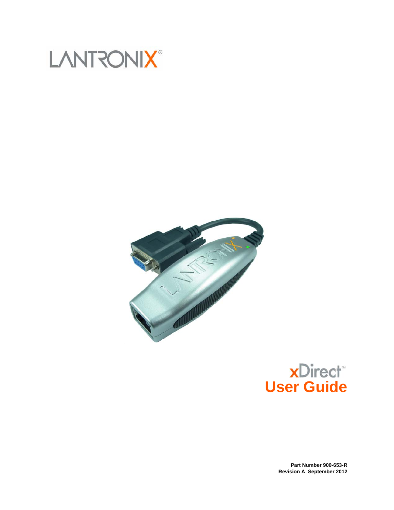





**Part Number 900-653-R Revision A September 2012**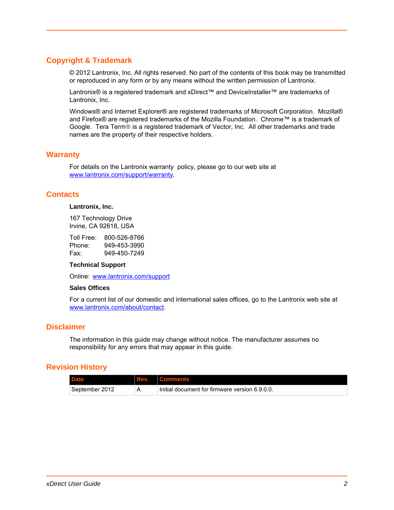### <span id="page-1-0"></span>**Copyright & Trademark**

© 2012 Lantronix, Inc. All rights reserved. No part of the contents of this book may be transmitted or reproduced in any form or by any means without the written permission of Lantronix.

Lantronix® is a registered trademark and xDirect™ and DeviceInstaller™ are trademarks of Lantronix, Inc.

Windows® and Internet Explorer® are registered trademarks of Microsoft Corporation. Mozilla® and Firefox® are registered trademarks of the Mozilla Foundation. Chrome™ is a trademark of Google. Tera Term® is a registered trademark of Vector, Inc. All other trademarks and trade names are the property of their respective holders.

#### <span id="page-1-1"></span>**Warranty**

For details on the Lantronix warranty policy, please go to our web site at www.lantronix.com/support/warranty.

#### <span id="page-1-2"></span>**Contacts**

#### **Lantronix, Inc.**

167 Technology Drive Irvine, CA 92618, USA

Toll Free: 800-526-8766 Phone: 949-453-3990 Fax: 949-450-7249

#### **Technical Support**

Online: [www.lantronix.com/support](http://www.lantronix.com/support)

#### **Sales Offices**

For a current list of our domestic and international sales offices, go to the Lantronix web site at [www.lantronix.com/about/contact.](http://www.lantronix.com/about/contact)

#### <span id="page-1-3"></span>**Disclaimer**

The information in this guide may change without notice. The manufacturer assumes no responsibility for any errors that may appear in this guide.

### <span id="page-1-4"></span>**Revision History**

| <b>Date</b>    | I Rev. | <b>Comments</b>                                |
|----------------|--------|------------------------------------------------|
| September 2012 | A      | Initial document for firmware version 6.9.0.0. |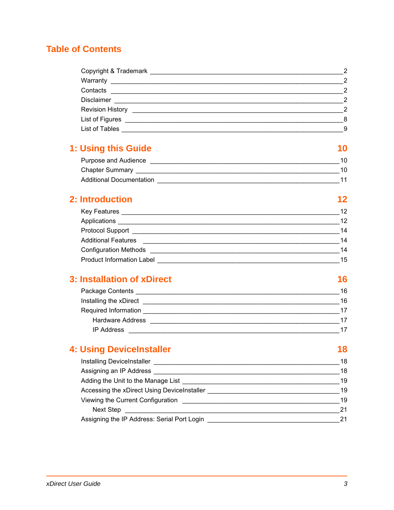### **Table of Contents**

|                                                                                                               | 2              |
|---------------------------------------------------------------------------------------------------------------|----------------|
|                                                                                                               | $\overline{2}$ |
| Contacts                                                                                                      | $\mathcal{P}$  |
|                                                                                                               | - 2            |
| <b>Revision History</b>                                                                                       | $\overline{2}$ |
|                                                                                                               | - 8            |
| List of Tables and the state of the state of the state of the state of the state of the state of the state of | -9             |
|                                                                                                               |                |

### **[1: Using this Guide 10](#page-9-0) 10 10 10**

| Purpose and Audience            |  |
|---------------------------------|--|
| <b>Chapter Summary</b>          |  |
| <b>Additional Documentation</b> |  |

### **[2: Introduction 12](#page-11-0)**

| Key Features                     | $12 \overline{ }$ |
|----------------------------------|-------------------|
| Applications                     | 12                |
| <b>Protocol Support</b>          | 14                |
| <b>Additional Features</b>       | 14                |
| <b>Configuration Methods</b>     | 14                |
| <b>Product Information Label</b> | 15                |

**[3: Installation of xDirect 16](#page-15-0)** [Package Contents \\_\\_\\_\\_\\_\\_\\_\\_\\_\\_\\_\\_\\_\\_\\_\\_\\_\\_\\_\\_\\_\\_\\_\\_\\_\\_\\_\\_\\_\\_\\_\\_\\_\\_\\_\\_\\_\\_\\_\\_\\_\\_\\_\\_\\_\\_\\_\\_\\_\\_\\_\\_\\_\\_\\_\\_\\_16](#page-15-1) [Installing the xDirect \\_\\_\\_\\_\\_\\_\\_\\_\\_\\_\\_\\_\\_\\_\\_\\_\\_\\_\\_\\_\\_\\_\\_\\_\\_\\_\\_\\_\\_\\_\\_\\_\\_\\_\\_\\_\\_\\_\\_\\_\\_\\_\\_\\_\\_\\_\\_\\_\\_\\_\\_\\_\\_\\_\\_16](#page-15-2) [Required Information \\_\\_\\_\\_\\_\\_\\_\\_\\_\\_\\_\\_\\_\\_\\_\\_\\_\\_\\_\\_\\_\\_\\_\\_\\_\\_\\_\\_\\_\\_\\_\\_\\_\\_\\_\\_\\_\\_\\_\\_\\_\\_\\_\\_\\_\\_\\_\\_\\_\\_\\_\\_\\_\\_\\_17](#page-16-0) [Hardware Address \\_\\_\\_\\_\\_\\_\\_\\_\\_\\_\\_\\_\\_\\_\\_\\_\\_\\_\\_\\_\\_\\_\\_\\_\\_\\_\\_\\_\\_\\_\\_\\_\\_\\_\\_\\_\\_\\_\\_\\_\\_\\_\\_\\_\\_\\_\\_\\_\\_\\_\\_\\_\\_17](#page-16-1) [IP Address \\_\\_\\_\\_\\_\\_\\_\\_\\_\\_\\_\\_\\_\\_\\_\\_\\_\\_\\_\\_\\_\\_\\_\\_\\_\\_\\_\\_\\_\\_\\_\\_\\_\\_\\_\\_\\_\\_\\_\\_\\_\\_\\_\\_\\_\\_\\_\\_\\_\\_\\_\\_\\_\\_\\_\\_\\_\\_\\_17](#page-16-2)

### **[4: Using DeviceInstaller 18](#page-17-0) 18**

| ٠   |
|-----|
| ۰   |
| - 3 |
|     |

| 18 |
|----|
| 18 |
| 19 |
| 19 |
| 19 |
| 21 |
| 21 |
|    |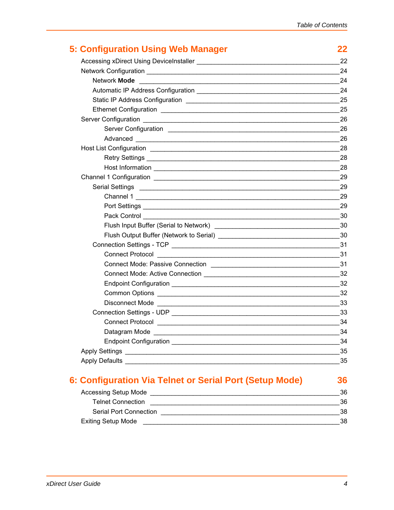## **5: Configuration Using Web Manager**

| ۰,                                                                                                                              | PO.                                                                                                            |
|---------------------------------------------------------------------------------------------------------------------------------|----------------------------------------------------------------------------------------------------------------|
|                                                                                                                                 |                                                                                                                |
| . .                                                                                                                             | . .                                                                                                            |
| $\mathcal{L}^{\text{max}}_{\text{max}}$ and $\mathcal{L}^{\text{max}}_{\text{max}}$ and $\mathcal{L}^{\text{max}}_{\text{max}}$ | and the state of the state of the state of the state of the state of the state of the state of the state of th |
|                                                                                                                                 |                                                                                                                |

|                                          | 22 |
|------------------------------------------|----|
|                                          | 24 |
|                                          | 24 |
|                                          | 24 |
|                                          | 25 |
|                                          | 25 |
|                                          | 26 |
|                                          | 26 |
|                                          | 26 |
|                                          | 28 |
|                                          | 28 |
|                                          | 28 |
|                                          | 29 |
|                                          | 29 |
| Channel 1                                | 29 |
|                                          | 29 |
|                                          |    |
|                                          |    |
|                                          |    |
|                                          |    |
| Connect Protocol <b>Connect Protocol</b> | 31 |
|                                          |    |
|                                          |    |
|                                          |    |
|                                          |    |
|                                          |    |
|                                          | 33 |
|                                          | 34 |
|                                          |    |
|                                          | 34 |
|                                          | 35 |
|                                          | 35 |

## **[6: Configuration Via Telnet or Serial Port \(Setup Mode\) 36](#page-35-0)**

| Accessing Setup Mode      | 36 |
|---------------------------|----|
| <b>Telnet Connection</b>  | 36 |
| Serial Port Connection    | 38 |
| <b>Exiting Setup Mode</b> | 38 |
|                           |    |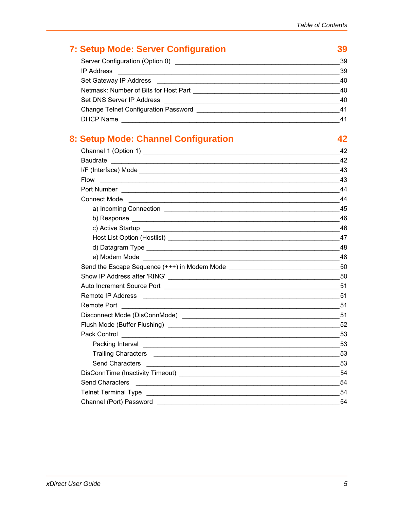# 7: Setup Mode: Server Configuration

|                                         | 39 |
|-----------------------------------------|----|
| IP Address                              | 39 |
| Set Gateway IP Address ________________ | 40 |
| Netmask: Number of Bits for Host Part   | 40 |
|                                         | 40 |
| Change Telnet Configuration Password    | 41 |
| DHCP Name                               | 41 |
|                                         |    |

## 8: Setup Mode: Channel Configuration

|                        | 42 |
|------------------------|----|
| <b>Baudrate</b>        | 42 |
|                        | 43 |
| <b>Flow</b>            | 43 |
|                        | 44 |
|                        |    |
|                        | 45 |
|                        |    |
|                        |    |
|                        |    |
|                        |    |
|                        |    |
|                        |    |
|                        |    |
|                        |    |
|                        |    |
|                        |    |
|                        |    |
|                        |    |
|                        |    |
|                        |    |
|                        |    |
| <b>Send Characters</b> |    |
|                        | 54 |
| Send Characters        | 54 |
|                        |    |
|                        | 54 |

42

39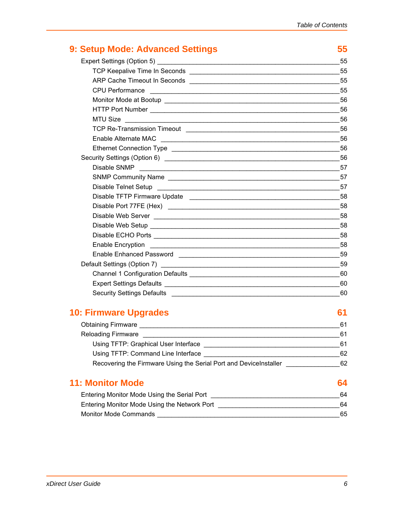## **9: Setup Mode: Advanced Settings**

| <b>Contract Contract Contract Contract Contract Contract Contract Contract Contract Contract Contract Contract Co</b> | <b>Service Service</b> |
|-----------------------------------------------------------------------------------------------------------------------|------------------------|
|                                                                                                                       |                        |
| ۰                                                                                                                     | I                      |
|                                                                                                                       | . .                    |
|                                                                                                                       |                        |
|                                                                                                                       |                        |

| Expert Settings (Option 5) Note that the contract of the contract of the contract of the contract of the contract of the contract of the contract of the contract of the contract of the contract of the contract of the contr       | 55 |
|--------------------------------------------------------------------------------------------------------------------------------------------------------------------------------------------------------------------------------------|----|
|                                                                                                                                                                                                                                      |    |
|                                                                                                                                                                                                                                      |    |
|                                                                                                                                                                                                                                      |    |
|                                                                                                                                                                                                                                      |    |
|                                                                                                                                                                                                                                      |    |
|                                                                                                                                                                                                                                      |    |
|                                                                                                                                                                                                                                      |    |
|                                                                                                                                                                                                                                      |    |
|                                                                                                                                                                                                                                      |    |
|                                                                                                                                                                                                                                      |    |
|                                                                                                                                                                                                                                      |    |
|                                                                                                                                                                                                                                      |    |
|                                                                                                                                                                                                                                      |    |
|                                                                                                                                                                                                                                      |    |
|                                                                                                                                                                                                                                      |    |
|                                                                                                                                                                                                                                      |    |
|                                                                                                                                                                                                                                      |    |
|                                                                                                                                                                                                                                      |    |
|                                                                                                                                                                                                                                      |    |
|                                                                                                                                                                                                                                      |    |
|                                                                                                                                                                                                                                      | 59 |
|                                                                                                                                                                                                                                      |    |
|                                                                                                                                                                                                                                      | 60 |
| Security Settings Defaults <b>Constant Construction Constant Constant Constant Constant Constant Constant Constant Constant Constant Constant Constant Constant Constant Constant Constant Constant Constant Constant Constant C</b> | 60 |
|                                                                                                                                                                                                                                      |    |

## **[10: Firmware Upgrades 61](#page-60-0)**

| <b>Obtaining Firmware</b>                                          | 61 |
|--------------------------------------------------------------------|----|
| Reloading Firmware                                                 | 61 |
| Using TFTP: Graphical User Interface                               | 61 |
| Using TFTP: Command Line Interface                                 | 62 |
| Recovering the Firmware Using the Serial Port and Device Installer | 62 |

## **[11: Monitor Mode 64](#page-63-0)**

| Entering Monitor Mode Using the Serial Port  | 64 |
|----------------------------------------------|----|
| Entering Monitor Mode Using the Network Port | 64 |
| Monitor Mode Commands                        | 65 |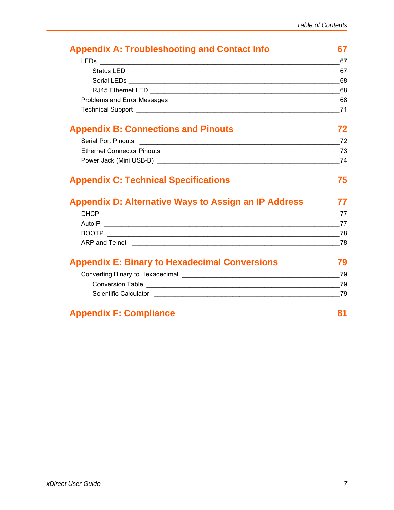|                                                                       | 67             |
|-----------------------------------------------------------------------|----------------|
|                                                                       | 67             |
|                                                                       | 67             |
|                                                                       | 68             |
|                                                                       | 68             |
|                                                                       |                |
|                                                                       | 71             |
| <b>Appendix B: Connections and Pinouts</b>                            | 72             |
|                                                                       | 72             |
|                                                                       | 73             |
|                                                                       | 74             |
| <b>Appendix D: Alternative Ways to Assign an IP Address</b>           |                |
|                                                                       |                |
|                                                                       | 77             |
|                                                                       | 77             |
| AutolP<br><u> 1989 - Johann Stoff, amerikansk politiker (d. 1989)</u> | 77             |
| ARP and Telnet                                                        | 78<br>78       |
|                                                                       | 79             |
|                                                                       |                |
| <b>Appendix E: Binary to Hexadecimal Conversions</b>                  |                |
|                                                                       | 79<br>79<br>79 |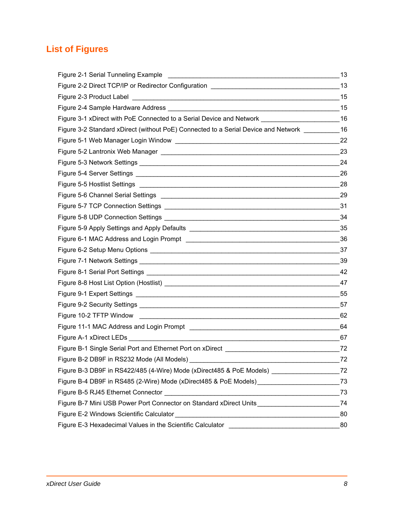## <span id="page-7-0"></span>**List of Figures**

|                                                                                                                                                                                                                                      | 13 |
|--------------------------------------------------------------------------------------------------------------------------------------------------------------------------------------------------------------------------------------|----|
| Figure 2-2 Direct TCP/IP or Redirector Configuration ___________________________                                                                                                                                                     | 13 |
|                                                                                                                                                                                                                                      |    |
|                                                                                                                                                                                                                                      | 15 |
| Figure 3-1 xDirect with PoE Connected to a Serial Device and Network ____________________________16                                                                                                                                  |    |
| Figure 3-2 Standard xDirect (without PoE) Connected to a Serial Device and Network ____________16                                                                                                                                    |    |
|                                                                                                                                                                                                                                      | 22 |
|                                                                                                                                                                                                                                      | 23 |
|                                                                                                                                                                                                                                      | 24 |
| Figure 5-4 Server Settings <b>Committee Committee Committee Committee Committee Committee Committee Committee Committee Committee Committee Committee Committee Committee Committee Committee Committee Committee Committee Comm</b> | 26 |
|                                                                                                                                                                                                                                      | 28 |
|                                                                                                                                                                                                                                      |    |
|                                                                                                                                                                                                                                      |    |
|                                                                                                                                                                                                                                      | 34 |
|                                                                                                                                                                                                                                      |    |
|                                                                                                                                                                                                                                      | 36 |
|                                                                                                                                                                                                                                      |    |
|                                                                                                                                                                                                                                      |    |
|                                                                                                                                                                                                                                      | 42 |
|                                                                                                                                                                                                                                      |    |
|                                                                                                                                                                                                                                      | 55 |
|                                                                                                                                                                                                                                      | 57 |
|                                                                                                                                                                                                                                      | 62 |
| Figure 11-1 MAC Address and Login Prompt [1944] [1944] [1944] [1944] [1944] [1944] [1944] [1944] [1944] [1944] [1944] [1944] [1944] [1944] [1944] [1944] [1944] [1944] [1944] [1944] [1944] [1944] [1944] [1944] [1944] [1944]       | 64 |
|                                                                                                                                                                                                                                      | 67 |
| Figure B-1 Single Serial Port and Ethernet Port on xDirect ______________________                                                                                                                                                    | 72 |
|                                                                                                                                                                                                                                      |    |
| Figure B-3 DB9F in RS422/485 (4-Wire) Mode (xDirect485 & PoE Models) ____________________72                                                                                                                                          |    |
| Figure B-4 DB9F in RS485 (2-Wire) Mode (xDirect485 & PoE Models) ________________                                                                                                                                                    | 73 |
|                                                                                                                                                                                                                                      | 73 |
| Figure B-7 Mini USB Power Port Connector on Standard xDirect Units _________________________________                                                                                                                                 | 74 |
|                                                                                                                                                                                                                                      | 80 |
|                                                                                                                                                                                                                                      | 80 |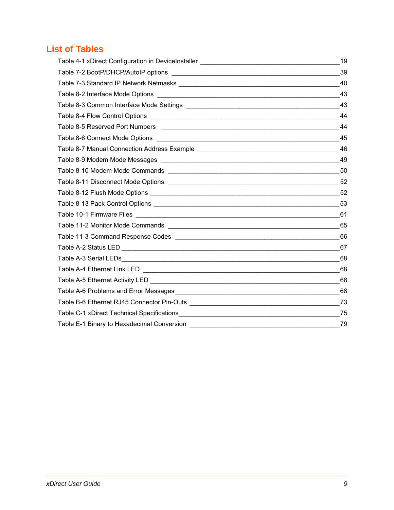## <span id="page-8-0"></span>**List of Tables**

|                                                                                                               | 19 |
|---------------------------------------------------------------------------------------------------------------|----|
|                                                                                                               | 39 |
|                                                                                                               | 40 |
|                                                                                                               | 43 |
|                                                                                                               |    |
|                                                                                                               | 44 |
|                                                                                                               | 44 |
|                                                                                                               | 45 |
|                                                                                                               |    |
|                                                                                                               |    |
|                                                                                                               |    |
|                                                                                                               |    |
|                                                                                                               |    |
|                                                                                                               |    |
|                                                                                                               |    |
|                                                                                                               |    |
|                                                                                                               |    |
|                                                                                                               |    |
|                                                                                                               | 68 |
|                                                                                                               |    |
|                                                                                                               | 68 |
|                                                                                                               | 68 |
| Table B-6 Ethernet RJ45 Connector Pin-Outs [19] [2010] [2010] [2010] [2010] [2010] [2010] [2010] [2010] [2010 | 73 |
|                                                                                                               | 75 |
| Table E-1 Binary to Hexadecimal Conversion                                                                    | 79 |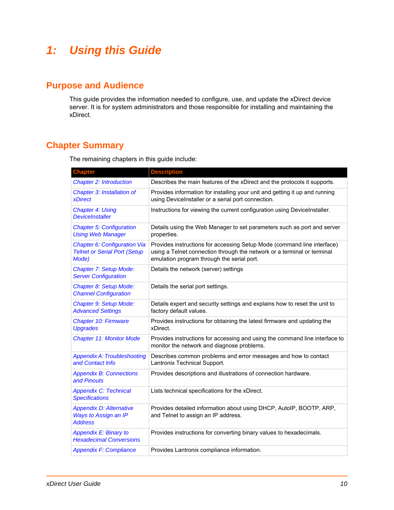## <span id="page-9-0"></span>*1: Using this Guide*

### <span id="page-9-1"></span>**Purpose and Audience**

This guide provides the information needed to configure, use, and update the xDirect device server. It is for system administrators and those responsible for installing and maintaining the xDirect.

### <span id="page-9-2"></span>**Chapter Summary**

The remaining chapters in this guide include:

| <b>Chapter</b>                                                                      | <b>Description</b>                                                                                                                                                                               |
|-------------------------------------------------------------------------------------|--------------------------------------------------------------------------------------------------------------------------------------------------------------------------------------------------|
| <b>Chapter 2: Introduction</b>                                                      | Describes the main features of the xDirect and the protocols it supports.                                                                                                                        |
| Chapter 3: Installation of<br><b>xDirect</b>                                        | Provides information for installing your unit and getting it up and running<br>using DeviceInstaller or a serial port connection.                                                                |
| <b>Chapter 4: Using</b><br><b>DeviceInstaller</b>                                   | Instructions for viewing the current configuration using DeviceInstaller.                                                                                                                        |
| <b>Chapter 5: Configuration</b><br><b>Using Web Manager</b>                         | Details using the Web Manager to set parameters such as port and server<br>properties.                                                                                                           |
| <b>Chapter 6: Configuration Via</b><br><b>Telnet or Serial Port (Setup</b><br>Mode) | Provides instructions for accessing Setup Mode (command line interface)<br>using a Telnet connection through the network or a terminal or terminal<br>emulation program through the serial port. |
| Chapter 7: Setup Mode:<br><b>Server Configuration</b>                               | Details the network (server) settings                                                                                                                                                            |
| Chapter 8: Setup Mode:<br><b>Channel Configuration</b>                              | Details the serial port settings.                                                                                                                                                                |
| Chapter 9: Setup Mode:<br><b>Advanced Settings</b>                                  | Details expert and security settings and explains how to reset the unit to<br>factory default values.                                                                                            |
| Chapter 10: Firmware<br><b>Upgrades</b>                                             | Provides instructions for obtaining the latest firmware and updating the<br>xDirect.                                                                                                             |
| <b>Chapter 11: Monitor Mode</b>                                                     | Provides instructions for accessing and using the command line interface to<br>monitor the network and diagnose problems.                                                                        |
| <b>Appendix A: Troubleshooting</b><br>and Contact Info                              | Describes common problems and error messages and how to contact<br>Lantronix Technical Support.                                                                                                  |
| <b>Appendix B: Connections</b><br>and Pinouts                                       | Provides descriptions and illustrations of connection hardware.                                                                                                                                  |
| <b>Appendix C: Technical</b><br><b>Specifications</b>                               | Lists technical specifications for the xDirect.                                                                                                                                                  |
| <b>Appendix D: Alternative</b><br>Ways to Assign an IP<br><b>Address</b>            | Provides detailed information about using DHCP, AutoIP, BOOTP, ARP,<br>and Telnet to assign an IP address.                                                                                       |
| Appendix E: Binary to<br><b>Hexadecimal Conversions</b>                             | Provides instructions for converting binary values to hexadecimals.                                                                                                                              |
| <b>Appendix F: Compliance</b>                                                       | Provides Lantronix compliance information.                                                                                                                                                       |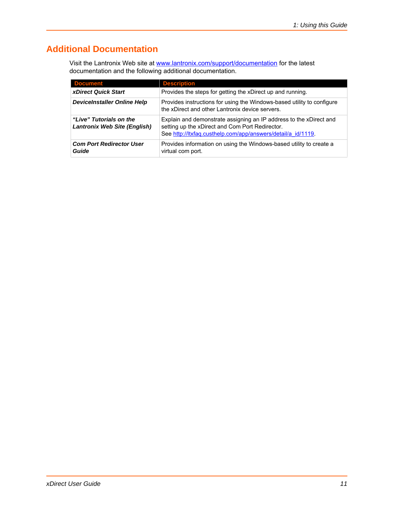## <span id="page-10-0"></span>**Additional Documentation**

Visit the Lantronix Web site at www.lantronix.com/support/documentation for the latest documentation and the following additional documentation.

| <b>Document</b>                                         | <b>Description</b>                                                                                                                                                                    |
|---------------------------------------------------------|---------------------------------------------------------------------------------------------------------------------------------------------------------------------------------------|
| <b>xDirect Quick Start</b>                              | Provides the steps for getting the xDirect up and running.                                                                                                                            |
| <b>DeviceInstaller Online Help</b>                      | Provides instructions for using the Windows-based utility to configure<br>the xDirect and other Lantronix device servers.                                                             |
| "Live" Tutorials on the<br>Lantronix Web Site (English) | Explain and demonstrate assigning an IP address to the xDirect and<br>setting up the xDirect and Com Port Redirector.<br>See http://ltxfaq.custhelp.com/app/answers/detail/a_id/1119. |
| <b>Com Port Redirector User</b><br>Guide                | Provides information on using the Windows-based utility to create a<br>virtual com port.                                                                                              |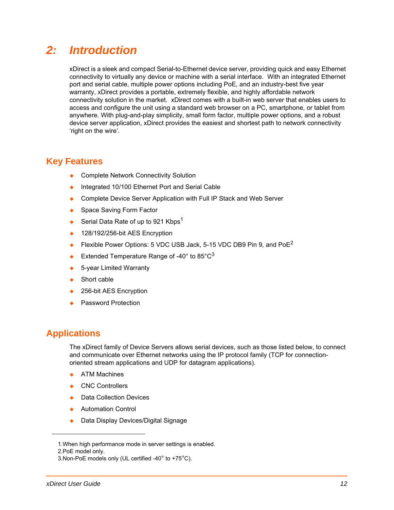## <span id="page-11-3"></span><span id="page-11-0"></span>*2: Introduction*

xDirect is a sleek and compact Serial-to-Ethernet device server, providing quick and easy Ethernet connectivity to virtually any device or machine with a serial interface. With an integrated Ethernet port and serial cable, multiple power options including PoE, and an industry-best five year warranty, xDirect provides a portable, extremely flexible, and highly affordable network connectivity solution in the market. xDirect comes with a built-in web server that enables users to access and configure the unit using a standard web browser on a PC, smartphone, or tablet from anywhere. With plug-and-play simplicity, small form factor, multiple power options, and a robust device server application, xDirect provides the easiest and shortest path to network connectivity 'right on the wire'.

### <span id="page-11-1"></span>**Key Features**

- ◆ Complete Network Connectivity Solution
- ◆ Integrated 10/100 Ethernet Port and Serial Cable
- ◆ Complete Device Server Application with Full IP Stack and Web Server
- ◆ Space Saving Form Factor
- Serial Data Rate of up to 921 Kbps<sup>1</sup>
- ◆ 128/192/256-bit AES Encryption
- Flexible Power Options: 5 VDC USB Jack, 5-15 VDC DB9 Pin 9, and  $PoE^2$
- Extended Temperature Range of -40 $^{\circ}$  to 85 $^{\circ}$ C $^3$
- ◆ 5-year Limited Warranty
- ◆ Short cable
- ◆ 256-bit AES Encryption
- ◆ Password Protection

### <span id="page-11-2"></span>**Applications**

The xDirect family of Device Servers allows serial devices, such as those listed below, to connect and communicate over Ethernet networks using the IP protocol family (TCP for connectionoriented stream applications and UDP for datagram applications).

- ◆ ATM Machines
- **◆ CNC Controllers**
- ◆ Data Collection Devices
- ◆ Automation Control
- ◆ Data Display Devices/Digital Signage

2.PoE model only.

<sup>1.</sup>When high performance mode in server settings is enabled.

<sup>3.</sup>Non-PoE models only (UL certified -40° to +75°C).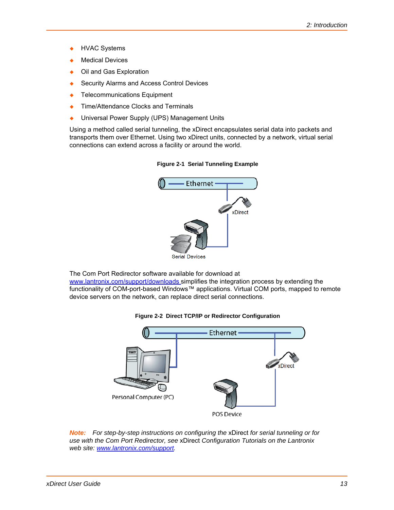- ◆ HVAC Systems
- Medical Devices
- ◆ Oil and Gas Exploration
- ◆ Security Alarms and Access Control Devices
- **Telecommunications Equipment**
- ◆ Time/Attendance Clocks and Terminals
- ◆ Universal Power Supply (UPS) Management Units

<span id="page-12-0"></span>Using a method called serial tunneling, the xDirect encapsulates serial data into packets and transports them over Ethernet. Using two xDirect units, connected by a network, virtual serial connections can extend across a facility or around the world.



#### **Figure 2-1 Serial Tunneling Example**

<span id="page-12-1"></span>The Com Port Redirector software available for download at www.lantronix.com/support/downloads simplifies the integration process by extending the functionality of COM-port-based Windows™ applications. Virtual COM ports, mapped to remote device servers on the network, can replace direct serial connections.



#### **Figure 2-2 Direct TCP/IP or Redirector Configuration**

*Note: For step-by-step instructions on configuring the* xDirect *for serial tunneling or for use with the Com Port Redirector, see* xDirect *Configuration Tutorials on the Lantronix web site: www.lantronix.com/support.*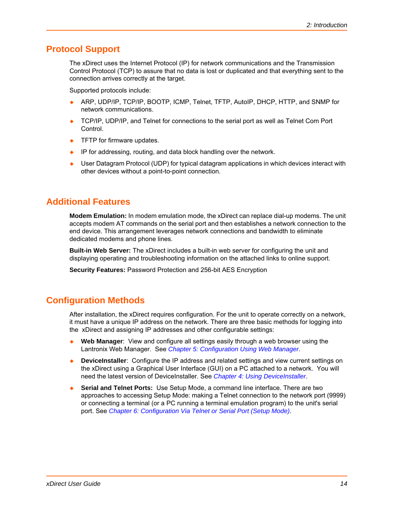### <span id="page-13-0"></span>**Protocol Support**

The xDirect uses the Internet Protocol (IP) for network communications and the Transmission Control Protocol (TCP) to assure that no data is lost or duplicated and that everything sent to the connection arrives correctly at the target.

Supported protocols include:

- ARP, UDP/IP, TCP/IP, BOOTP, ICMP, Telnet, TFTP, AutoIP, DHCP, HTTP, and SNMP for network communications.
- TCP/IP, UDP/IP, and Telnet for connections to the serial port as well as Telnet Com Port Control.
- $\leftarrow$  TFTP for firmware updates.
- ◆ IP for addressing, routing, and data block handling over the network.
- ◆ User Datagram Protocol (UDP) for typical datagram applications in which devices interact with other devices without a point-to-point connection.

### <span id="page-13-1"></span>**Additional Features**

**Modem Emulation:** In modem emulation mode, the xDirect can replace dial-up modems. The unit accepts modem AT commands on the serial port and then establishes a network connection to the end device. This arrangement leverages network connections and bandwidth to eliminate dedicated modems and phone lines.

**Built-in Web Server:** The xDirect includes a built-in web server for configuring the unit and displaying operating and troubleshooting information on the attached links to online support.

**Security Features:** Password Protection and 256-bit AES Encryption

### <span id="page-13-2"></span>**Configuration Methods**

After installation, the xDirect requires configuration. For the unit to operate correctly on a network, it must have a unique IP address on the network. There are three basic methods for logging into the xDirect and assigning IP addresses and other configurable settings:

- **Web Manager**: View and configure all settings easily through a web browser using the Lantronix Web Manager. See *[Chapter 5: Configuration Using Web Manager](#page-21-3)*.
- **DeviceInstaller**: Configure the IP address and related settings and view current settings on the xDirect using a Graphical User Interface (GUI) on a PC attached to a network. You will need the latest version of DeviceInstaller. See *[Chapter 4: Using DeviceInstaller](#page-17-3)*.
- **Serial and Telnet Ports:** Use Setup Mode, a command line interface. There are two approaches to accessing Setup Mode: making a Telnet connection to the network port (9999) or connecting a terminal (or a PC running a terminal emulation program) to the unit's serial port. See *[Chapter 6: Configuration Via Telnet or Serial Port \(Setup Mode\)](#page-35-4)*.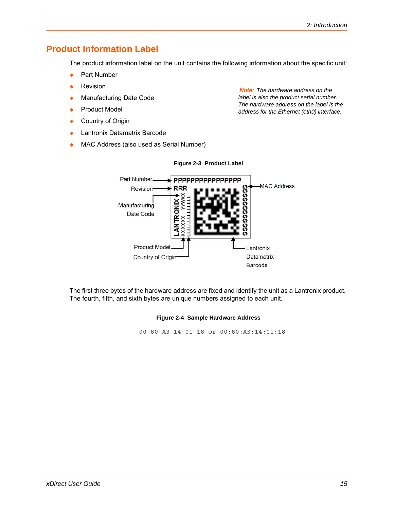*Note: The hardware address on the label is also the product serial number. The hardware address on the label is the address for the Ethernet (eth0) interface.* 

### <span id="page-14-3"></span><span id="page-14-0"></span>**Product Information Label**

The product information label on the unit contains the following information about the specific unit:

- ◆ Part Number
- Revision
- **Manufacturing Date Code**
- ◆ Product Model
- ◆ Country of Origin
- ◆ Lantronix Datamatrix Barcode
- <span id="page-14-1"></span>MAC Address (also used as Serial Number)





<span id="page-14-2"></span>The first three bytes of the hardware address are fixed and identify the unit as a Lantronix product. The fourth, fifth, and sixth bytes are unique numbers assigned to each unit.

#### **Figure 2-4 Sample Hardware Address**

00-80-A3-14-01-18 or 00:80:A3:14:01:18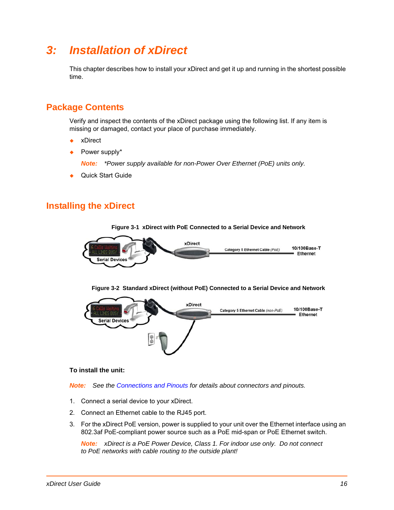## <span id="page-15-5"></span><span id="page-15-0"></span>*3: Installation of xDirect*

This chapter describes how to install your xDirect and get it up and running in the shortest possible time.

### <span id="page-15-1"></span>**Package Contents**

Verify and inspect the contents of the xDirect package using the following list. If any item is missing or damaged, contact your place of purchase immediately.

- ◆ xDirect
- ◆ Power supply\*

*Note: \*Power supply available for non-Power Over Ethernet (PoE) units only.*

Quick Start Guide

### <span id="page-15-2"></span>**Installing the xDirect**

<span id="page-15-3"></span>

**Figure 3-2 Standard xDirect (without PoE) Connected to a Serial Device and Network**

<span id="page-15-4"></span>

#### **To install the unit:**

*Note: See the [Connections and Pinouts](#page-71-5) for details about connectors and pinouts.*

- 1. Connect a serial device to your xDirect.
- 2. Connect an Ethernet cable to the RJ45 port.
- 3. For the xDirect PoE version, power is supplied to your unit over the Ethernet interface using an 802.3af PoE-compliant power source such as a PoE mid-span or PoE Ethernet switch.

*Note: xDirect is a PoE Power Device, Class 1. For indoor use only. Do not connect to PoE networks with cable routing to the outside plant!*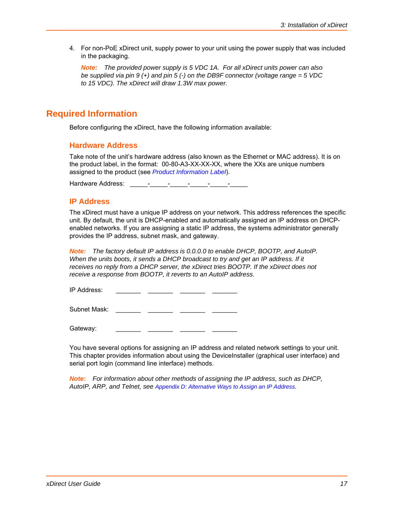4. For non-PoE xDirect unit, supply power to your unit using the power supply that was included in the packaging.

*Note: The provided power supply is 5 VDC 1A. For all xDirect units power can also be supplied via pin 9 (+) and pin 5 (-) on the DB9F connector (voltage range = 5 VDC to 15 VDC). The xDirect will draw 1.3W max power.*

### <span id="page-16-0"></span>**Required Information**

Before configuring the xDirect, have the following information available:

#### <span id="page-16-1"></span>**Hardware Address**

Take note of the unit's hardware address (also known as the Ethernet or MAC address). It is on the product label, in the format: 00-80-A3-XX-XX-XX, where the XXs are unique numbers assigned to the product (see *[Product Information Label](#page-14-3)*).

Hardware Address: \_\_\_\_\_-\_\_\_\_\_-\_\_\_\_\_-\_\_\_\_\_-\_\_\_\_\_-\_\_\_\_\_

### <span id="page-16-2"></span>**IP Address**

The xDirect must have a unique IP address on your network. This address references the specific unit. By default, the unit is DHCP-enabled and automatically assigned an IP address on DHCPenabled networks. If you are assigning a static IP address, the systems administrator generally provides the IP address, subnet mask, and gateway.

*Note: The factory default IP address is 0.0.0.0 to enable DHCP, BOOTP, and AutoIP. When the units boots, it sends a DHCP broadcast to try and get an IP address. If it receives no reply from a DHCP server, the xDirect tries BOOTP. If the xDirect does not receive a response from BOOTP, it reverts to an AutoIP address.*

IP Address:

Subnet Mask: \_\_\_\_\_\_\_\_\_ \_

Gateway:

You have several options for assigning an IP address and related network settings to your unit. This chapter provides information about using the DeviceInstaller (graphical user interface) and serial port login (command line interface) methods.

*Note: For information about other methods of assigning the IP address, such as DHCP, AutoIP, ARP, and Telnet, see [Appendix D: Alternative Ways to Assign an IP Address.](#page-76-3)*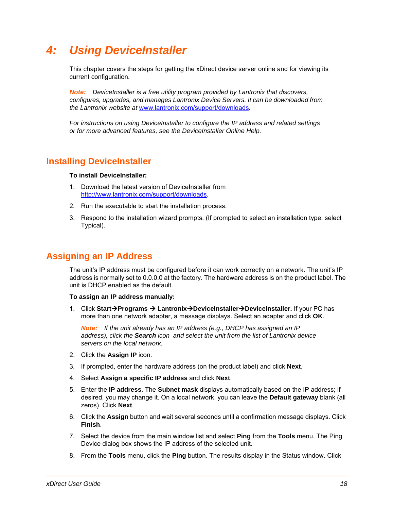## <span id="page-17-3"></span><span id="page-17-0"></span>*4: Using DeviceInstaller*

This chapter covers the steps for getting the xDirect device server online and for viewing its current configuration.

*Note: DeviceInstaller is a free utility program provided by Lantronix that discovers, configures, upgrades, and manages Lantronix Device Servers. It can be downloaded from the Lantronix website at* www.lantronix.com/support/downloads*.* 

*For instructions on using DeviceInstaller to configure the IP address and related settings or for more advanced features, see the DeviceInstaller Online Help.* 

### <span id="page-17-1"></span>**Installing DeviceInstaller**

#### **To install DeviceInstaller:**

- 1. Download the latest version of DeviceInstaller from http://www.lantronix.com/support/downloads.
- 2. Run the executable to start the installation process.
- 3. Respond to the installation wizard prompts. (If prompted to select an installation type, select Typical).

### <span id="page-17-2"></span>**Assigning an IP Address**

The unit's IP address must be configured before it can work correctly on a network. The unit's IP address is normally set to 0.0.0.0 at the factory. The hardware address is on the product label. The unit is DHCP enabled as the default.

#### **To assign an IP address manually:**

1. Click **StartPrograms LantronixDeviceInstallerDeviceInstaller.** If your PC has more than one network adapter, a message displays. Select an adapter and click **OK**.

*Note: If the unit already has an IP address (e.g., DHCP has assigned an IP address), click the Search icon and select the unit from the list of Lantronix device servers on the local network.*

- 2. Click the **Assign IP** icon.
- 3. If prompted, enter the hardware address (on the product label) and click **Next**.
- 4. Select **Assign a specific IP address** and click **Next**.
- 5. Enter the **IP address**. The **Subnet mask** displays automatically based on the IP address; if desired, you may change it. On a local network, you can leave the **Default gateway** blank (all zeros). Click **Next**.
- 6. Click the **Assign** button and wait several seconds until a confirmation message displays. Click **Finish**.
- 7. Select the device from the main window list and select **Ping** from the **Tools** menu. The Ping Device dialog box shows the IP address of the selected unit.
- 8. From the **Tools** menu, click the **Ping** button. The results display in the Status window. Click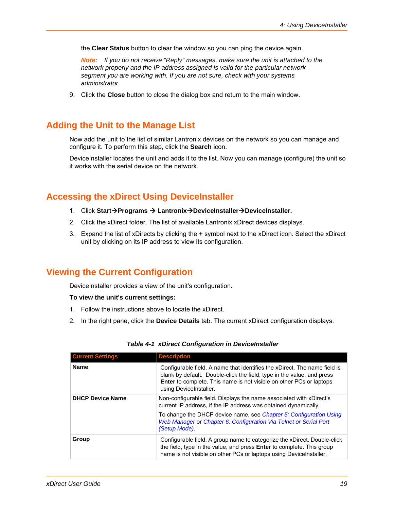the **Clear Status** button to clear the window so you can ping the device again.

*Note: If you do not receive "Reply" messages, make sure the unit is attached to the network properly and the IP address assigned is valid for the particular network segment you are working with. If you are not sure, check with your systems administrator.*

9. Click the **Close** button to close the dialog box and return to the main window.

### <span id="page-18-0"></span>**Adding the Unit to the Manage List**

Now add the unit to the list of similar Lantronix devices on the network so you can manage and configure it. To perform this step, click the **Search** icon.

DeviceInstaller locates the unit and adds it to the list. Now you can manage (configure) the unit so it works with the serial device on the network.

### <span id="page-18-1"></span>**Accessing the xDirect Using DeviceInstaller**

- 1. Click **StartPrograms LantronixDeviceInstallerDeviceInstaller.**
- 2. Click the xDirect folder. The list of available Lantronix xDirect devices displays.
- 3. Expand the list of xDirects by clicking the **+** symbol next to the xDirect icon. Select the xDirect unit by clicking on its IP address to view its configuration.

### <span id="page-18-2"></span>**Viewing the Current Configuration**

DeviceInstaller provides a view of the unit's configuration.

#### **To view the unit's current settings:**

- 1. Follow the instructions above to locate the xDirect.
- 2. In the right pane, click the **Device Details** tab. The current xDirect configuration displays.

<span id="page-18-3"></span>

| <b>Current Settings</b> | <b>Description</b>                                                                                                                                                                                                                                                                                 |
|-------------------------|----------------------------------------------------------------------------------------------------------------------------------------------------------------------------------------------------------------------------------------------------------------------------------------------------|
| <b>Name</b>             | Configurable field. A name that identifies the xDirect. The name field is<br>blank by default. Double-click the field, type in the value, and press<br><b>Enter</b> to complete. This name is not visible on other PCs or laptops<br>using DeviceInstaller.                                        |
| <b>DHCP Device Name</b> | Non-configurable field. Displays the name associated with xDirect's<br>current IP address, if the IP address was obtained dynamically.<br>To change the DHCP device name, see Chapter 5: Configuration Using<br>Web Manager or Chapter 6: Configuration Via Telnet or Serial Port<br>(Setup Mode). |
| Group                   | Configurable field. A group name to categorize the xDirect. Double-click<br>the field, type in the value, and press Enter to complete. This group<br>name is not visible on other PCs or laptops using Device Installer.                                                                           |

#### *Table 4-1 xDirect Configuration in DeviceInstaller*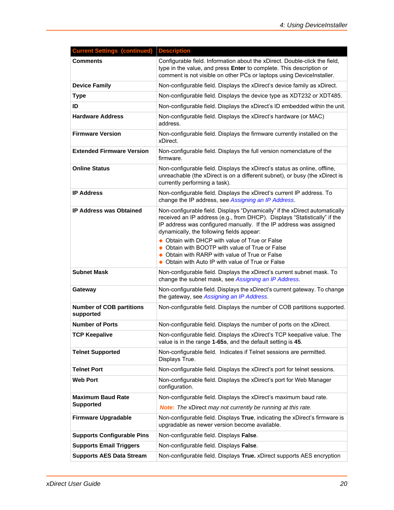| <b>Current Settings (continued)</b>          | <b>Description</b>                                                                                                                                                                                                                                                                                                                                                                                                                 |
|----------------------------------------------|------------------------------------------------------------------------------------------------------------------------------------------------------------------------------------------------------------------------------------------------------------------------------------------------------------------------------------------------------------------------------------------------------------------------------------|
| <b>Comments</b>                              | Configurable field. Information about the xDirect. Double-click the field,<br>type in the value, and press Enter to complete. This description or<br>comment is not visible on other PCs or laptops using DeviceInstaller.                                                                                                                                                                                                         |
| <b>Device Family</b>                         | Non-configurable field. Displays the xDirect's device family as xDirect.                                                                                                                                                                                                                                                                                                                                                           |
| <b>Type</b>                                  | Non-configurable field. Displays the device type as XDT232 or XDT485.                                                                                                                                                                                                                                                                                                                                                              |
| ID                                           | Non-configurable field. Displays the xDirect's ID embedded within the unit.                                                                                                                                                                                                                                                                                                                                                        |
| <b>Hardware Address</b>                      | Non-configurable field. Displays the xDirect's hardware (or MAC)<br>address.                                                                                                                                                                                                                                                                                                                                                       |
| <b>Firmware Version</b>                      | Non-configurable field. Displays the firmware currently installed on the<br>xDirect.                                                                                                                                                                                                                                                                                                                                               |
| <b>Extended Firmware Version</b>             | Non-configurable field. Displays the full version nomenclature of the<br>firmware.                                                                                                                                                                                                                                                                                                                                                 |
| <b>Online Status</b>                         | Non-configurable field. Displays the xDirect's status as online, offline,<br>unreachable (the xDirect is on a different subnet), or busy (the xDirect is<br>currently performing a task).                                                                                                                                                                                                                                          |
| <b>IP Address</b>                            | Non-configurable field. Displays the xDirect's current IP address. To<br>change the IP address, see Assigning an IP Address.                                                                                                                                                                                                                                                                                                       |
| <b>IP Address was Obtained</b>               | Non-configurable field. Displays "Dynamically" if the xDirect automatically<br>received an IP address (e.g., from DHCP). Displays "Statistically" if the<br>IP address was configured manually. If the IP address was assigned<br>dynamically, the following fields appear:<br>◆ Obtain with DHCP with value of True or False<br>◆ Obtain with BOOTP with value of True or False<br>◆ Obtain with RARP with value of True or False |
| <b>Subnet Mask</b>                           | ◆ Obtain with Auto IP with value of True or False<br>Non-configurable field. Displays the xDirect's current subnet mask. To                                                                                                                                                                                                                                                                                                        |
|                                              | change the subnet mask, see Assigning an IP Address.                                                                                                                                                                                                                                                                                                                                                                               |
| Gateway                                      | Non-configurable field. Displays the xDirect's current gateway. To change<br>the gateway, see Assigning an IP Address.                                                                                                                                                                                                                                                                                                             |
| <b>Number of COB partitions</b><br>supported | Non-configurable field. Displays the number of COB partitions supported.                                                                                                                                                                                                                                                                                                                                                           |
| <b>Number of Ports</b>                       | Non-configurable field. Displays the number of ports on the xDirect.                                                                                                                                                                                                                                                                                                                                                               |
| <b>TCP Keepalive</b>                         | Non-configurable field. Displays the xDirect's TCP keepalive value. The<br>value is in the range 1-65s, and the default setting is 45.                                                                                                                                                                                                                                                                                             |
| <b>Telnet Supported</b>                      | Non-configurable field. Indicates if Telnet sessions are permitted.<br>Displays True.                                                                                                                                                                                                                                                                                                                                              |
| <b>Teinet Port</b>                           | Non-configurable field. Displays the xDirect's port for telnet sessions.                                                                                                                                                                                                                                                                                                                                                           |
| <b>Web Port</b>                              | Non-configurable field. Displays the xDirect's port for Web Manager<br>configuration.                                                                                                                                                                                                                                                                                                                                              |
| <b>Maximum Baud Rate</b><br><b>Supported</b> | Non-configurable field. Displays the xDirect's maximum baud rate.<br><b>Note:</b> The xDirect may not currently be running at this rate.                                                                                                                                                                                                                                                                                           |
| <b>Firmware Upgradable</b>                   | Non-configurable field. Displays True, indicating the xDirect's firmware is<br>upgradable as newer version become available.                                                                                                                                                                                                                                                                                                       |
| <b>Supports Configurable Pins</b>            | Non-configurable field. Displays False.                                                                                                                                                                                                                                                                                                                                                                                            |
| <b>Supports Email Triggers</b>               | Non-configurable field. Displays False.                                                                                                                                                                                                                                                                                                                                                                                            |
| <b>Supports AES Data Stream</b>              | Non-configurable field. Displays True. xDirect supports AES encryption                                                                                                                                                                                                                                                                                                                                                             |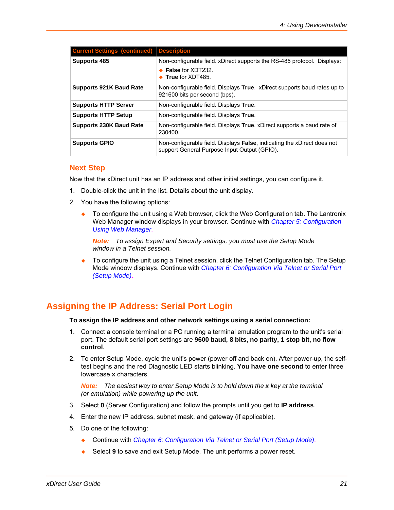| <b>Current Settings (continued) Description</b> |                                                                                                                                 |
|-------------------------------------------------|---------------------------------------------------------------------------------------------------------------------------------|
| Supports 485                                    | Non-configurable field. xDirect supports the RS-485 protocol. Displays:                                                         |
|                                                 | $\bullet$ False for XDT232.<br>$\bullet$ True for XDT485.                                                                       |
| <b>Supports 921K Baud Rate</b>                  | Non-configurable field. Displays True. xDirect supports baud rates up to<br>921600 bits per second (bps).                       |
| <b>Supports HTTP Server</b>                     | Non-configurable field. Displays True.                                                                                          |
| <b>Supports HTTP Setup</b>                      | Non-configurable field. Displays True.                                                                                          |
| <b>Supports 230K Baud Rate</b>                  | Non-configurable field. Displays True. xDirect supports a baud rate of<br>230400.                                               |
| <b>Supports GPIO</b>                            | Non-configurable field. Displays <b>False</b> , indicating the xDirect does not<br>support General Purpose Input Output (GPIO). |

#### <span id="page-20-0"></span>**Next Step**

Now that the xDirect unit has an IP address and other initial settings, you can configure it.

- 1. Double-click the unit in the list. Details about the unit display.
- 2. You have the following options:
	- To configure the unit using a Web browser, click the Web Configuration tab. The Lantronix Web Manager window displays in your browser. Continue with *[Chapter 5: Configuration](#page-21-3)  [Using Web Manager](#page-21-3)*.

*Note: To assign Expert and Security settings, you must use the Setup Mode window in a Telnet session.*

◆ To configure the unit using a Telnet session, click the Telnet Configuration tab. The Setup Mode window displays. Continue with *[Chapter 6: Configuration Via Telnet or Serial Port](#page-35-4)  [\(Setup Mode\)](#page-35-4)*.

### <span id="page-20-1"></span>**Assigning the IP Address: Serial Port Login**

**To assign the IP address and other network settings using a serial connection:**

- 1. Connect a console terminal or a PC running a terminal emulation program to the unit's serial port. The default serial port settings are **9600 baud, 8 bits, no parity, 1 stop bit, no flow control**.
- 2. To enter Setup Mode, cycle the unit's power (power off and back on). After power-up, the selftest begins and the red Diagnostic LED starts blinking. **You have one second** to enter three lowercase **x** characters.

*Note: The easiest way to enter Setup Mode is to hold down the x key at the terminal (or emulation) while powering up the unit.*

- 3. Select **0** (Server Configuration) and follow the prompts until you get to **IP address**.
- 4. Enter the new IP address, subnet mask, and gateway (if applicable).
- 5. Do one of the following:
	- Continue with *[Chapter 6: Configuration Via Telnet or Serial Port \(Setup Mode\)](#page-35-4)*.
	- Select **9** to save and exit Setup Mode. The unit performs a power reset.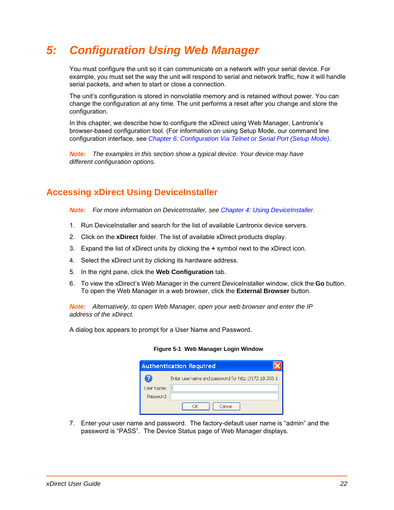## <span id="page-21-3"></span><span id="page-21-0"></span>*5: Configuration Using Web Manager*

You must configure the unit so it can communicate on a network with your serial device. For example, you must set the way the unit will respond to serial and network traffic, how it will handle serial packets, and when to start or close a connection.

The unit's configuration is stored in nonvolatile memory and is retained without power. You can change the configuration at any time. The unit performs a reset after you change and store the configuration.

In this chapter, we describe how to configure the xDirect using Web Manager, Lantronix's browser-based configuration tool. (For information on using Setup Mode, our command line configuration interface, see *[Chapter 6: Configuration Via Telnet or Serial Port \(Setup Mode\)](#page-35-4)*.

*Note: The examples in this section show a typical device. Your device may have different configuration options.*

### <span id="page-21-1"></span>**Accessing xDirect Using DeviceInstaller**

*Note: For more information on DeviceInstaller, see [Chapter 4: Using DeviceInstaller.](#page-17-3)*

- 1. Run DeviceInstaller and search for the list of available Lantronix device servers.
- 2. Click on the **xDirect** folder. The list of available xDirect products display.
- 3. Expand the list of xDirect units by clicking the **+** symbol next to the xDirect icon.
- 4. Select the xDirect unit by clicking its hardware address.
- 5. In the right pane, click the **Web Configuration** tab.
- 6. To view the xDirect's Web Manager in the current DeviceInstaller window, click the **Go** button. To open the Web Manager in a web browser, click the **External Browser** button.

*Note: Alternatively, to open Web Manager, open your web browser and enter the IP address of the xDirect.* 

<span id="page-21-2"></span>A dialog box appears to prompt for a User Name and Password.

|            | <b>Authentication Required</b>                      |
|------------|-----------------------------------------------------|
| 2          | Enter username and password for http://172.19.203.1 |
| User Name: |                                                     |
| Password:  |                                                     |
|            | Cancel                                              |

#### **Figure 5-1 Web Manager Login Window**

7. Enter your user name and password. The factory-default user name is "admin" and the password is "PASS". The Device Status page of Web Manager displays.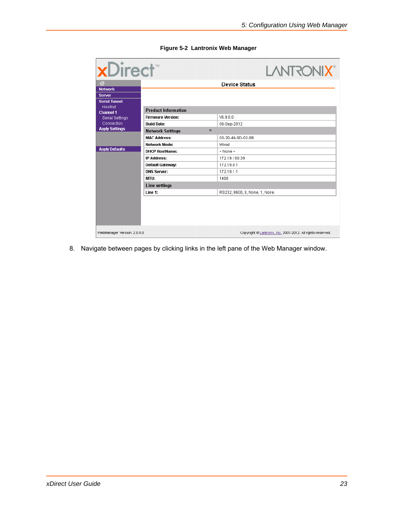<span id="page-22-0"></span>

| xDirect <sup>*</sup>                    |                                           | <b>LANTRONIX®</b>                                           |
|-----------------------------------------|-------------------------------------------|-------------------------------------------------------------|
| 샦                                       |                                           | Device Status                                               |
| <b>Network</b>                          |                                           |                                                             |
| <b>Server</b>                           |                                           |                                                             |
| <b>Serial Tunnel</b><br><b>Hostlist</b> |                                           |                                                             |
| <b>Channel 1</b>                        | <b>Product Information</b>                |                                                             |
| <b>Serial Settings</b>                  | <b>Firmware Version:</b>                  | V6.9.0.0                                                    |
| Connection                              | <b>Build Date:</b>                        | 06-Sep-2012                                                 |
| <b>Apply Settings</b>                   | $\blacksquare$<br><b>Network Settings</b> |                                                             |
|                                         | <b>MAC Address:</b>                       | 00-20-4A-9D-02-8B                                           |
|                                         | <b>Network Mode:</b>                      | Wired                                                       |
| <b>Apply Defaults</b>                   | <b>DHCP HostName:</b>                     | $\leq$ None $\geq$                                          |
|                                         | <b>IP Address:</b>                        | 172.19.100.39                                               |
|                                         | Default Gateway:                          | 172.19.0.1                                                  |
|                                         | <b>DNS Server:</b>                        | 172.19.1.1                                                  |
|                                         | MTU:                                      | 1400                                                        |
|                                         | <b>Line settings</b>                      |                                                             |
|                                         | Line 1:                                   | RS232, 9600, 8, None, 1, None.                              |
|                                         |                                           |                                                             |
| WebManager Version: 2.0.0.0             |                                           | Copyright @ Lantronix, Inc. 2007-2012. All rights reserved. |

#### **Figure 5-2 Lantronix Web Manager**

8. Navigate between pages by clicking links in the left pane of the Web Manager window.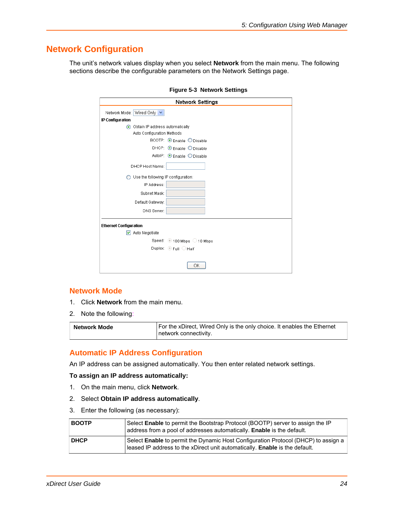### <span id="page-23-0"></span>**Network Configuration**

<span id="page-23-3"></span>The unit's network values display when you select **Network** from the main menu. The following sections describe the configurable parameters on the Network Settings page.

|                                     | <b>Network Settings</b>     |
|-------------------------------------|-----------------------------|
| Network Mode: Wired Only v          |                             |
| IP Configuration                    |                             |
| Obtain IP address automatically     |                             |
| Auto Configuration Methods          |                             |
|                                     | BOOTP: ⊙Enable ODisable     |
|                                     | DHCP: ⊙Enable ODisable      |
|                                     | AutolP: ⊙ Enable O Disable  |
| DHCP Host Name:                     |                             |
| Use the following IP configuration: |                             |
| IP Address:                         |                             |
| Subnet Mask:                        |                             |
| Default Gateway:                    |                             |
| DNS Server:                         |                             |
| <b>Ethernet Configuration</b>       |                             |
| $\sqrt{ }$ Auto Negotiate           |                             |
|                                     | Speed: ● 100 Mbps ● 10 Mbps |
|                                     | Duplex: PFull Half          |
|                                     | OK                          |

**Figure 5-3 Network Settings**

#### <span id="page-23-1"></span>**Network Mode**

- 1. Click **Network** from the main menu.
- 2. Note the following:

| <b>Network Mode</b> | For the xDirect, Wired Only is the only choice. It enables the Ethernet |
|---------------------|-------------------------------------------------------------------------|
|                     | network connectivity.                                                   |

#### <span id="page-23-2"></span>**Automatic IP Address Configuration**

An IP address can be assigned automatically. You then enter related network settings.

**To assign an IP address automatically:**

- 1. On the main menu, click **Network**.
- 2. Select **Obtain IP address automatically**.
- 3. Enter the following (as necessary):

| <b>BOOTP</b> | Select <b>Enable</b> to permit the Bootstrap Protocol (BOOTP) server to assign the IP<br>address from a pool of addresses automatically. Enable is the default.                 |
|--------------|---------------------------------------------------------------------------------------------------------------------------------------------------------------------------------|
| <b>DHCP</b>  | Select <b>Enable</b> to permit the Dynamic Host Configuration Protocol (DHCP) to assign a<br>leased IP address to the xDirect unit automatically. <b>Enable</b> is the default. |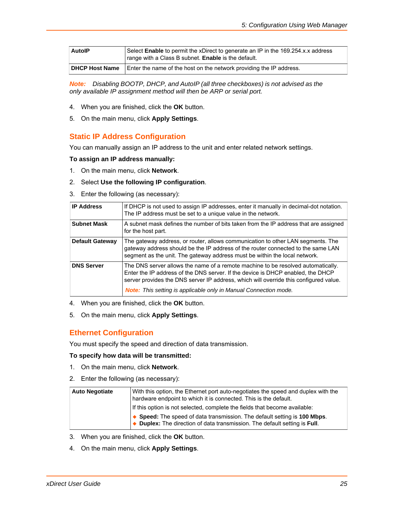| <b>AutolP</b>         | Select <b>Enable</b> to permit the xDirect to generate an IP in the 169.254.x.x address<br>range with a Class B subnet. <b>Enable</b> is the default. |
|-----------------------|-------------------------------------------------------------------------------------------------------------------------------------------------------|
| <b>DHCP Host Name</b> | Enter the name of the host on the network providing the IP address.                                                                                   |

*Note: Disabling BOOTP, DHCP, and AutoIP (all three checkboxes) is not advised as the only available IP assignment method will then be ARP or serial port.*

- 4. When you are finished, click the **OK** button.
- 5. On the main menu, click **Apply Settings**.

#### <span id="page-24-0"></span>**Static IP Address Configuration**

You can manually assign an IP address to the unit and enter related network settings.

#### **To assign an IP address manually:**

- 1. On the main menu, click **Network**.
- 2. Select **Use the following IP configuration**.
- 3. Enter the following (as necessary):

| <b>IP Address</b>      | If DHCP is not used to assign IP addresses, enter it manually in decimal-dot notation.<br>The IP address must be set to a unique value in the network.                                                                                                                                                                                  |
|------------------------|-----------------------------------------------------------------------------------------------------------------------------------------------------------------------------------------------------------------------------------------------------------------------------------------------------------------------------------------|
| <b>Subnet Mask</b>     | A subnet mask defines the number of bits taken from the IP address that are assigned<br>for the host part.                                                                                                                                                                                                                              |
| <b>Default Gateway</b> | The gateway address, or router, allows communication to other LAN segments. The<br>gateway address should be the IP address of the router connected to the same LAN<br>segment as the unit. The gateway address must be within the local network.                                                                                       |
| <b>DNS Server</b>      | The DNS server allows the name of a remote machine to be resolved automatically.<br>Enter the IP address of the DNS server. If the device is DHCP enabled, the DHCP<br>server provides the DNS server IP address, which will override this configured value.<br><b>Note:</b> This setting is applicable only in Manual Connection mode. |

- 4. When you are finished, click the **OK** button.
- 5. On the main menu, click **Apply Settings**.

#### <span id="page-24-1"></span>**Ethernet Configuration**

You must specify the speed and direction of data transmission.

#### **To specify how data will be transmitted:**

- 1. On the main menu, click **Network**.
- 2. Enter the following (as necessary):

| <b>Auto Negotiate</b> | With this option, the Ethernet port auto-negotiates the speed and duplex with the<br>hardware endpoint to which it is connected. This is the default. |
|-----------------------|-------------------------------------------------------------------------------------------------------------------------------------------------------|
|                       | If this option is not selected, complete the fields that become available:                                                                            |
|                       | Speed: The speed of data transmission. The default setting is 100 Mbps.                                                                               |
|                       | Duplex: The direction of data transmission. The default setting is Full.                                                                              |

- 3. When you are finished, click the **OK** button.
- 4. On the main menu, click **Apply Settings**.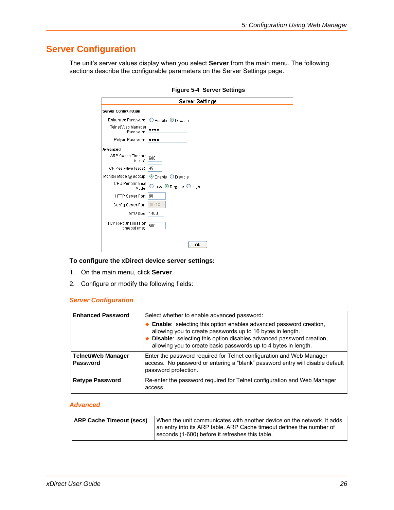## <span id="page-25-0"></span>**Server Configuration**

<span id="page-25-3"></span>The unit's server values display when you select **Server** from the main menu. The following sections describe the configurable parameters on the Server Settings page.

|                                           | <b>Server Settings</b>                |
|-------------------------------------------|---------------------------------------|
| <b>Server Configuration</b>               |                                       |
|                                           | Enhanced Password: ◯ Enable ⊙ Disable |
| Telnet/Web Manager<br>Password:           |                                       |
| Retype Password: 0000                     |                                       |
| Advanced                                  |                                       |
| ARP Cache Timeout<br>(secs):              | 600                                   |
| TCP Keepalive (secs): 45                  |                                       |
| Monitor Mode @ Bootup: ⊙ Enable ◯ Disable |                                       |
| CPU Performance<br>Mode:                  | ○ Low ● Regular ○ High                |
| HTTP Server Port: 80                      |                                       |
| Config Server Port: 30718                 |                                       |
| MTU Size: 1400                            |                                       |
| TCP Re-transmission (<br>timeout (ms):    | 500                                   |
|                                           | ОК                                    |

**Figure 5-4 Server Settings**

#### **To configure the xDirect device server settings:**

- 1. On the main menu, click **Server**.
- 2. Configure or modify the following fields:

#### <span id="page-25-1"></span>*Server Configuration*

| <b>Enhanced Password</b>              | Select whether to enable advanced password:                                                                                                                                                                                                                               |
|---------------------------------------|---------------------------------------------------------------------------------------------------------------------------------------------------------------------------------------------------------------------------------------------------------------------------|
|                                       | Enable: selecting this option enables advanced password creation,<br>allowing you to create passwords up to 16 bytes in length.<br>Disable: selecting this option disables advanced password creation,<br>allowing you to create basic passwords up to 4 bytes in length. |
| <b>Telnet/Web Manager</b><br>Password | Enter the password required for Telnet configuration and Web Manager<br>access. No password or entering a "blank" password entry will disable default<br>password protection.                                                                                             |
| <b>Retype Password</b>                | Re-enter the password required for Telnet configuration and Web Manager<br>access.                                                                                                                                                                                        |

#### <span id="page-25-2"></span>*Advanced*

| <b>ARP Cache Timeout (secs)</b> | When the unit communicates with another device on the network, it adds |
|---------------------------------|------------------------------------------------------------------------|
|                                 | an entry into its ARP table. ARP Cache timeout defines the number of   |
|                                 | seconds (1-600) before it refreshes this table.                        |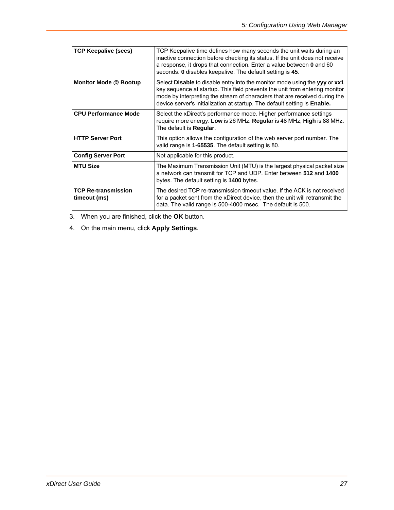| <b>TCP Keepalive (secs)</b>                | TCP Keepalive time defines how many seconds the unit waits during an<br>inactive connection before checking its status. If the unit does not receive<br>a response, it drops that connection. Enter a value between 0 and 60<br>seconds. O disables keepalive. The default setting is 45.                                   |
|--------------------------------------------|-----------------------------------------------------------------------------------------------------------------------------------------------------------------------------------------------------------------------------------------------------------------------------------------------------------------------------|
| <b>Monitor Mode @ Bootup</b>               | Select Disable to disable entry into the monitor mode using the yyy or xx1<br>key sequence at startup. This field prevents the unit from entering monitor<br>mode by interpreting the stream of characters that are received during the<br>device server's initialization at startup. The default setting is <b>Enable.</b> |
| <b>CPU Performance Mode</b>                | Select the xDirect's performance mode. Higher performance settings<br>require more energy. Low is 26 MHz. Regular is 48 MHz; High is 88 MHz.<br>The default is <b>Regular</b> .                                                                                                                                             |
| <b>HTTP Server Port</b>                    | This option allows the configuration of the web server port number. The<br>valid range is 1-65535. The default setting is 80.                                                                                                                                                                                               |
| <b>Config Server Port</b>                  | Not applicable for this product.                                                                                                                                                                                                                                                                                            |
| <b>MTU Size</b>                            | The Maximum Transmission Unit (MTU) is the largest physical packet size<br>a network can transmit for TCP and UDP. Enter between 512 and 1400<br>bytes. The default setting is 1400 bytes.                                                                                                                                  |
| <b>TCP Re-transmission</b><br>timeout (ms) | The desired TCP re-transmission timeout value. If the ACK is not received<br>for a packet sent from the xDirect device, then the unit will retransmit the<br>data. The valid range is 500-4000 msec. The default is 500.                                                                                                    |

3. When you are finished, click the **OK** button.

4. On the main menu, click **Apply Settings**.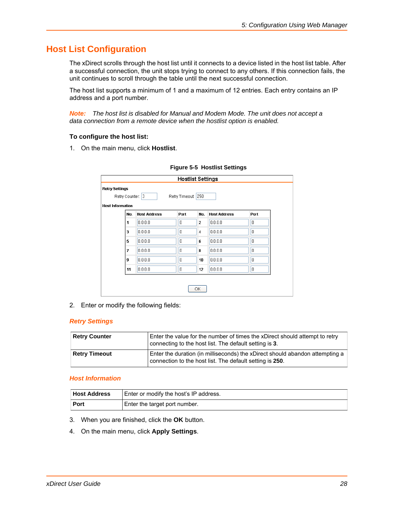### <span id="page-27-0"></span>**Host List Configuration**

The xDirect scrolls through the host list until it connects to a device listed in the host list table. After a successful connection, the unit stops trying to connect to any others. If this connection fails, the unit continues to scroll through the table until the next successful connection.

The host list supports a minimum of 1 and a maximum of 12 entries. Each entry contains an IP address and a port number.

*Note: The host list is disabled for Manual and Modem Mode. The unit does not accept a data connection from a remote device when the hostlist option is enabled.*

#### **To configure the host list:**

<span id="page-27-2"></span>1. On the main menu, click **Hostlist**.

|                         |                       |                     | <b>Hostlist Settings</b> |                |                     |              |  |
|-------------------------|-----------------------|---------------------|--------------------------|----------------|---------------------|--------------|--|
|                         | <b>Retry Settings</b> |                     |                          |                |                     |              |  |
|                         |                       | Retry Counter: 3    | Retry Timeout: 250       |                |                     |              |  |
| <b>Host Information</b> |                       |                     |                          |                |                     |              |  |
|                         | No.                   | <b>Host Address</b> | Port                     | No.            | <b>Host Address</b> | Port         |  |
|                         | 1                     | 0.0.0.0             | 0                        | $\overline{2}$ | 0.0.0.0             | 0            |  |
|                         | 3                     | 0.0.0.0             | 0                        | 4              | 0.0.0.0             | 0            |  |
|                         | 5                     | 0.0.0.0             | 0                        | 6              | 0.0.0.0             | 0            |  |
|                         | 7                     | 0.0.0.0             | $\mathbf{0}$             | 8              | 0.0.0.0             | $\mathbf{0}$ |  |
|                         | 9                     | 0.0.0.0             | 0                        | 10             | 0.0.0.0             | 0            |  |
|                         | 11                    | 0.0.0.0             | 0                        | 12             | 0.0.0.0             | 0            |  |
|                         |                       |                     |                          |                |                     |              |  |

**Figure 5-5 Hostlist Settings**

2. Enter or modify the following fields:

#### <span id="page-27-1"></span>*Retry Settings*

| <b>Retry Counter</b> | Enter the value for the number of times the xDirect should attempt to retry<br>connecting to the host list. The default setting is 3.    |
|----------------------|------------------------------------------------------------------------------------------------------------------------------------------|
| <b>Retry Timeout</b> | Enter the duration (in milliseconds) the xDirect should abandon attempting a<br>connection to the host list. The default setting is 250. |

#### *Host Information*

| <b>⊦Host Address</b> | Enter or modify the host's IP address. |
|----------------------|----------------------------------------|
| Port                 | Enter the target port number.          |

- 3. When you are finished, click the **OK** button.
- 4. On the main menu, click **Apply Settings**.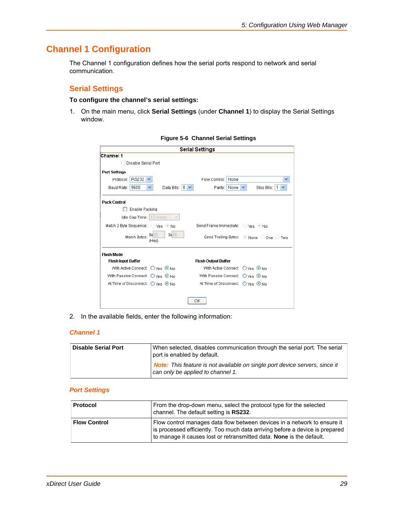### <span id="page-28-0"></span>**Channel 1 Configuration**

The Channel 1 configuration defines how the serial ports respond to network and serial communication.

#### <span id="page-28-1"></span>**Serial Settings**

#### **To configure the channel's serial settings:**

<span id="page-28-4"></span>1. On the main menu, click **Serial Settings** (under **Channel 1**) to display the Serial Settings window.

|                                                      |                     | <b>Serial Settings</b>                              |                                            |
|------------------------------------------------------|---------------------|-----------------------------------------------------|--------------------------------------------|
| Channel 1                                            |                     |                                                     |                                            |
| Disable Serial Port                                  |                     |                                                     |                                            |
| <b>Port Settings</b>                                 |                     |                                                     |                                            |
| Protocol: RS232 V                                    |                     | Flow Control: None                                  |                                            |
| 9600<br>Baud Rate:  <br>v                            | Data Bits: $8 \vee$ | Parity: None v                                      | Stop Bits:   1  <br>×.                     |
| <b>Pack Control</b>                                  |                     |                                                     |                                            |
| Enable Packing                                       |                     |                                                     |                                            |
| Idle Gap Time: $12$ msec $\sqrt{ }$                  |                     |                                                     |                                            |
| Match 2 Byte Sequence: O Yes O No                    |                     | Send Frame Immediate: O Yes O No                    |                                            |
| $0x$ 00<br>Match Bytes:<br>(Hex)                     | $0x$ 00             |                                                     | Send Trailing Bytes: . In None ○ One ○ Two |
| <b>Flush Mode</b>                                    |                     |                                                     |                                            |
| <b>Flush Input Buffer</b>                            |                     | <b>Flush Output Buffer</b>                          |                                            |
| With Active Connect: $\bigcirc$ Yes $\bigcirc$ No.   |                     | With Active Connect: $\bigcirc$ Yes $\bigcirc$ No.  |                                            |
| With Passive Connect: ○ Yes ⊙ No                     |                     | With Passive Connect: $O$ Yes $O$ No                |                                            |
| At Time of Disconnect: $\bigcirc$ Yes $\bigcirc$ No. |                     | At Time of Disconnect: $\bigcirc$ Yes $\bigcirc$ No |                                            |
|                                                      |                     | ОК                                                  |                                            |

**Figure 5-6 Channel Serial Settings**

2. In the available fields, enter the following information:

#### <span id="page-28-2"></span>*Channel 1*

| <b>Disable Serial Port</b> | When selected, disables communication through the serial port. The serial<br>port is enabled by default.                |
|----------------------------|-------------------------------------------------------------------------------------------------------------------------|
|                            | <b>Note:</b> This feature is not available on single port device servers, since it<br>can only be applied to channel 1. |

#### <span id="page-28-3"></span>*Port Settings*

| <b>Protocol</b>     | From the drop-down menu, select the protocol type for the selected<br>channel. The default setting is RS232.                                                                                                                     |
|---------------------|----------------------------------------------------------------------------------------------------------------------------------------------------------------------------------------------------------------------------------|
| <b>Flow Control</b> | Flow control manages data flow between devices in a network to ensure it<br>is processed efficiently. Too much data arriving before a device is prepared<br>to manage it causes lost or retransmitted data. None is the default. |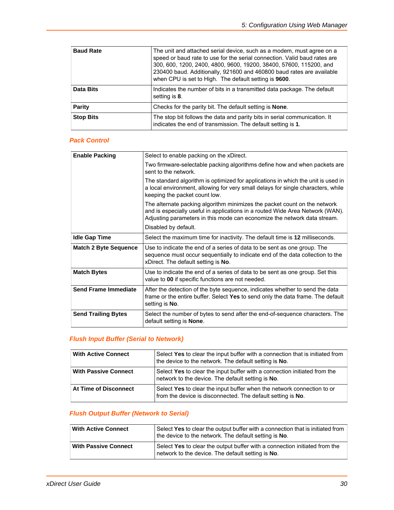| <b>Baud Rate</b> | The unit and attached serial device, such as a modem, must agree on a<br>speed or baud rate to use for the serial connection. Valid baud rates are<br>300, 600, 1200, 2400, 4800, 9600, 19200, 38400, 57600, 115200, and<br>230400 baud. Additionally, 921600 and 460800 baud rates are available<br>when CPU is set to High. The default setting is 9600. |  |
|------------------|------------------------------------------------------------------------------------------------------------------------------------------------------------------------------------------------------------------------------------------------------------------------------------------------------------------------------------------------------------|--|
| Data Bits        | Indicates the number of bits in a transmitted data package. The default<br>setting is 8.                                                                                                                                                                                                                                                                   |  |
| <b>Parity</b>    | Checks for the parity bit. The default setting is <b>None</b> .                                                                                                                                                                                                                                                                                            |  |
| <b>Stop Bits</b> | The stop bit follows the data and parity bits in serial communication. It<br>indicates the end of transmission. The default setting is 1.                                                                                                                                                                                                                  |  |

#### <span id="page-29-0"></span>*Pack Control*

| <b>Enable Packing</b>        | Select to enable packing on the xDirect.                                                                                                                                                                                               |
|------------------------------|----------------------------------------------------------------------------------------------------------------------------------------------------------------------------------------------------------------------------------------|
|                              | Two firmware-selectable packing algorithms define how and when packets are<br>sent to the network.                                                                                                                                     |
|                              | The standard algorithm is optimized for applications in which the unit is used in<br>a local environment, allowing for very small delays for single characters, while<br>keeping the packet count low.                                 |
|                              | The alternate packing algorithm minimizes the packet count on the network<br>and is especially useful in applications in a routed Wide Area Network (WAN).<br>Adjusting parameters in this mode can economize the network data stream. |
|                              | Disabled by default.                                                                                                                                                                                                                   |
| <b>Idle Gap Time</b>         | Select the maximum time for inactivity. The default time is 12 milliseconds.                                                                                                                                                           |
| <b>Match 2 Byte Sequence</b> | Use to indicate the end of a series of data to be sent as one group. The<br>sequence must occur sequentially to indicate end of the data collection to the<br>xDirect. The default setting is No.                                      |
| <b>Match Bytes</b>           | Use to indicate the end of a series of data to be sent as one group. Set this<br>value to 00 if specific functions are not needed.                                                                                                     |
| <b>Send Frame Immediate</b>  | After the detection of the byte sequence, indicates whether to send the data<br>frame or the entire buffer. Select Yes to send only the data frame. The default<br>setting is No.                                                      |
| <b>Send Trailing Bytes</b>   | Select the number of bytes to send after the end-of-sequence characters. The<br>default setting is None.                                                                                                                               |

### <span id="page-29-1"></span>*Flush Input Buffer (Serial to Network)*

| <b>With Active Connect</b>  | Select Yes to clear the input buffer with a connection that is initiated from<br>the device to the network. The default setting is No. |
|-----------------------------|----------------------------------------------------------------------------------------------------------------------------------------|
| <b>With Passive Connect</b> | Select Yes to clear the input buffer with a connection initiated from the<br>network to the device. The default setting is No.         |
| At Time of Disconnect       | Select Yes to clear the input buffer when the network connection to or<br>from the device is disconnected. The default setting is No.  |

#### <span id="page-29-2"></span>*Flush Output Buffer (Network to Serial)*

| <b>With Active Connect</b>  | Select Yes to clear the output buffer with a connection that is initiated from<br>the device to the network. The default setting is No. |
|-----------------------------|-----------------------------------------------------------------------------------------------------------------------------------------|
| <b>With Passive Connect</b> | Select Yes to clear the output buffer with a connection initiated from the<br>network to the device. The default setting is No.         |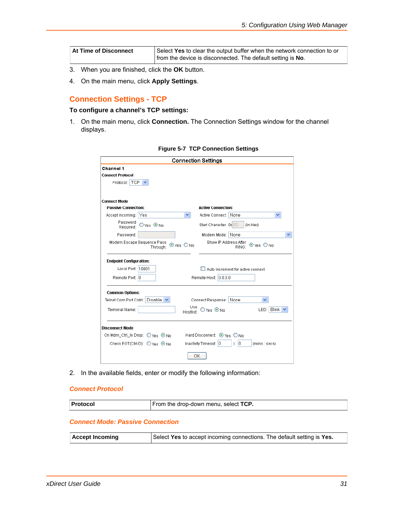| <b>At Time of Disconnect</b> | Select Yes to clear the output buffer when the network connection to or |  |  |
|------------------------------|-------------------------------------------------------------------------|--|--|
|                              | from the device is disconnected. The default setting is No.             |  |  |

- 3. When you are finished, click the **OK** button.
- 4. On the main menu, click **Apply Settings**.

#### <span id="page-30-0"></span>**Connection Settings - TCP**

#### **To configure a channel's TCP settings:**

<span id="page-30-3"></span>1. On the main menu, click **Connection.** The Connection Settings window for the channel displays.

|                                  |                                        |                        | <b>Connection Settings</b>                                    |   |
|----------------------------------|----------------------------------------|------------------------|---------------------------------------------------------------|---|
| Channel 1                        |                                        |                        |                                                               |   |
| <b>Connect Protocol</b>          |                                        |                        |                                                               |   |
| Protocol: TCP                    |                                        |                        |                                                               |   |
|                                  |                                        |                        |                                                               |   |
| <b>Connect Mode</b>              |                                        |                        |                                                               |   |
| <b>Passive Connection:</b>       |                                        |                        | <b>Active Connection:</b>                                     |   |
| Accept Incoming: Yes             |                                        | ×                      | Active Connect: None                                          | v |
| Password<br>Required:            | OYes ONO                               |                        | Start Character: 0x 0D<br>(in Hex)                            |   |
| Password:                        |                                        |                        | Modem Mode: None                                              | v |
|                                  | Modem Escape Sequence Pass<br>Through: | $\odot$ Yes $\odot$ No | Show IP Address After<br>$\odot$ Yes $\bigcirc$ No<br>RING:   |   |
| <b>Endpoint Configuration:</b>   |                                        |                        |                                                               |   |
| Local Port: 10001                |                                        |                        | Auto increment for active connect                             |   |
| Remote Port: 0                   |                                        |                        | Remote Host: 0.0.0.0                                          |   |
| <b>Common Options:</b>           |                                        |                        |                                                               |   |
| Teinet Com Port Cntri:   Disable |                                        |                        | Connect Response: None                                        |   |
| Terminal Name:                   |                                        | Use<br>Hostlist:       | <b>Blink</b><br>$O$ Yes $\odot$ No<br>LED: I                  |   |
| <b>Disconnect Mode</b>           |                                        |                        |                                                               |   |
|                                  | On Mdm_Ctrl_In Drop: ○ Yes ● No        |                        | Hard Disconnect: $\odot$ Yes $\bigcirc$ No.                   |   |
|                                  | Check EOT(Ctrl-D): ○ Yes ⊙ No          |                        | $\overline{0}$<br>Inactivity Timeout: 0<br>÷<br>(mins : secs) |   |
|                                  |                                        |                        | OK                                                            |   |

**Figure 5-7 TCP Connection Settings**

2. In the available fields, enter or modify the following information:

#### <span id="page-30-1"></span>*Connect Protocol*

**Protocol** From the drop-down menu, select **TCP.** 

#### <span id="page-30-2"></span>*Connect Mode: Passive Connection*

| <b>Accept Incoming</b> | Select Yes to accept incoming connections. The default setting is Yes. |
|------------------------|------------------------------------------------------------------------|
|------------------------|------------------------------------------------------------------------|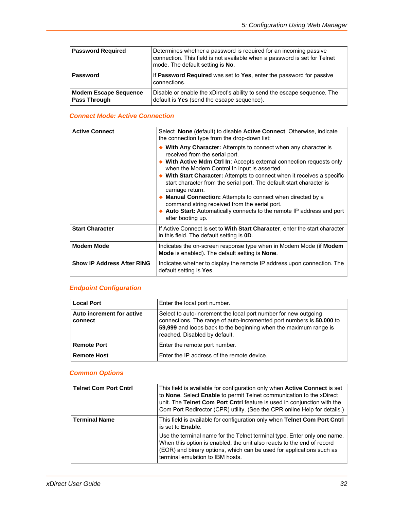| <b>Password Required</b>                     | Determines whether a password is required for an incoming passive<br>connection. This field is not available when a password is set for Telnet<br>mode. The default setting is No. |
|----------------------------------------------|------------------------------------------------------------------------------------------------------------------------------------------------------------------------------------|
| Password                                     | If Password Required was set to Yes, enter the password for passive<br>connections.                                                                                                |
| <b>Modem Escape Sequence</b><br>Pass Through | Disable or enable the xDirect's ability to send the escape sequence. The<br>default is Yes (send the escape sequence).                                                             |

#### <span id="page-31-0"></span>*Connect Mode: Active Connection*

| <b>Active Connect</b>             | Select None (default) to disable Active Connect. Otherwise, indicate<br>the connection type from the drop-down list:                                                                                                                                                                                                                                                                                                                                                                                                                                                                                               |
|-----------------------------------|--------------------------------------------------------------------------------------------------------------------------------------------------------------------------------------------------------------------------------------------------------------------------------------------------------------------------------------------------------------------------------------------------------------------------------------------------------------------------------------------------------------------------------------------------------------------------------------------------------------------|
|                                   | • With Any Character: Attempts to connect when any character is<br>received from the serial port.<br>With Active Mdm Ctrl In: Accepts external connection requests only<br>when the Modem Control In input is asserted.<br>• With Start Character: Attempts to connect when it receives a specific<br>start character from the serial port. The default start character is<br>carriage return.<br><b>Manual Connection:</b> Attempts to connect when directed by a<br>command string received from the serial port.<br>• Auto Start: Automatically connects to the remote IP address and port<br>after booting up. |
| <b>Start Character</b>            | If Active Connect is set to With Start Character, enter the start character<br>in this field. The default setting is <b>OD</b> .                                                                                                                                                                                                                                                                                                                                                                                                                                                                                   |
| <b>Modem Mode</b>                 | Indicates the on-screen response type when in Modem Mode (if <b>Modem</b><br><b>Mode</b> is enabled). The default setting is <b>None</b> .                                                                                                                                                                                                                                                                                                                                                                                                                                                                         |
| <b>Show IP Address After RING</b> | Indicates whether to display the remote IP address upon connection. The<br>default setting is Yes.                                                                                                                                                                                                                                                                                                                                                                                                                                                                                                                 |

### <span id="page-31-1"></span>*Endpoint Configuration*

| <b>Local Port</b>                    | Enter the local port number.                                                                                                                                                                                                                 |  |
|--------------------------------------|----------------------------------------------------------------------------------------------------------------------------------------------------------------------------------------------------------------------------------------------|--|
| Auto increment for active<br>connect | Select to auto-increment the local port number for new outgoing<br>connections. The range of auto-incremented port numbers is 50,000 to<br>59,999 and loops back to the beginning when the maximum range is<br>reached. Disabled by default. |  |
| <b>Remote Port</b>                   | Enter the remote port number.                                                                                                                                                                                                                |  |
| <b>Remote Host</b>                   | Enter the IP address of the remote device.                                                                                                                                                                                                   |  |

#### <span id="page-31-2"></span>*Common Options*

| <b>Teinet Com Port Cntri</b> | This field is available for configuration only when <b>Active Connect</b> is set<br>to None. Select Enable to permit Telnet communication to the xDirect<br>unit. The Telnet Com Port Cntrl feature is used in conjunction with the<br>Com Port Redirector (CPR) utility. (See the CPR online Help for details.) |
|------------------------------|------------------------------------------------------------------------------------------------------------------------------------------------------------------------------------------------------------------------------------------------------------------------------------------------------------------|
| <b>Terminal Name</b>         | This field is available for configuration only when Telnet Com Port Cntrl<br>is set to <b>Enable</b> .                                                                                                                                                                                                           |
|                              | Use the terminal name for the Telnet terminal type. Enter only one name.<br>When this option is enabled, the unit also reacts to the end of record<br>(EOR) and binary options, which can be used for applications such as<br>terminal emulation to IBM hosts.                                                   |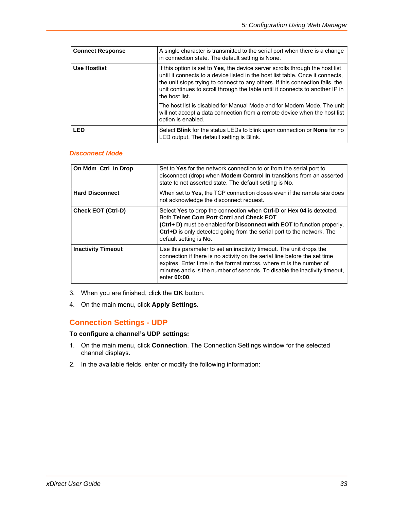| <b>Connect Response</b> | A single character is transmitted to the serial port when there is a change<br>in connection state. The default setting is None.                                                                                                                                                                                                                    |
|-------------------------|-----------------------------------------------------------------------------------------------------------------------------------------------------------------------------------------------------------------------------------------------------------------------------------------------------------------------------------------------------|
| <b>Use Hostlist</b>     | If this option is set to Yes, the device server scrolls through the host list<br>until it connects to a device listed in the host list table. Once it connects,<br>the unit stops trying to connect to any others. If this connection fails, the<br>unit continues to scroll through the table until it connects to another IP in<br>the host list. |
|                         | The host list is disabled for Manual Mode and for Modem Mode. The unit<br>will not accept a data connection from a remote device when the host list<br>option is enabled.                                                                                                                                                                           |
| <b>LED</b>              | Select Blink for the status LEDs to blink upon connection or None for no<br>LED output. The default setting is Blink.                                                                                                                                                                                                                               |

#### <span id="page-32-0"></span>*Disconnect Mode*

| On Mdm_Ctrl_In Drop       | Set to Yes for the network connection to or from the serial port to<br>disconnect (drop) when Modem Control In transitions from an asserted<br>state to not asserted state. The default setting is No.                                                                                                               |
|---------------------------|----------------------------------------------------------------------------------------------------------------------------------------------------------------------------------------------------------------------------------------------------------------------------------------------------------------------|
| <b>Hard Disconnect</b>    | When set to Yes, the TCP connection closes even if the remote site does<br>not acknowledge the disconnect request.                                                                                                                                                                                                   |
| <b>Check EOT (Ctrl-D)</b> | Select Yes to drop the connection when Ctrl-D or Hex 04 is detected.<br><b>Both Telnet Com Port Cntrl and Check EOT</b><br><b>(Ctrl+ D)</b> must be enabled for <b>Disconnect with EOT</b> to function properly.<br>Ctrl+D is only detected going from the serial port to the network. The<br>default setting is No. |
| <b>Inactivity Timeout</b> | Use this parameter to set an inactivity timeout. The unit drops the<br>connection if there is no activity on the serial line before the set time<br>expires. Enter time in the format mm:ss, where m is the number of<br>minutes and s is the number of seconds. To disable the inactivity time out.<br>enter 00:00. |

- 3. When you are finished, click the **OK** button.
- 4. On the main menu, click **Apply Settings**.

#### <span id="page-32-1"></span>**Connection Settings - UDP**

#### **To configure a channel's UDP settings:**

- 1. On the main menu, click **Connection**. The Connection Settings window for the selected channel displays.
- 2. In the available fields, enter or modify the following information: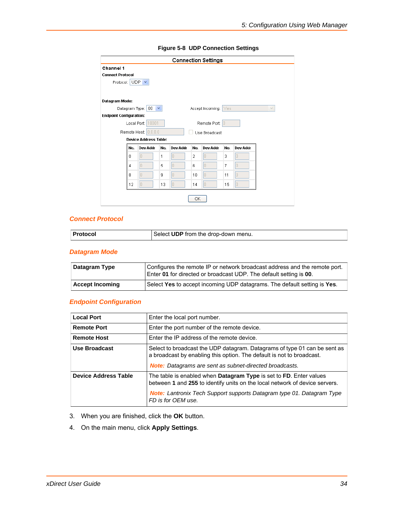<span id="page-33-3"></span>

|                                |     |                              |     |          |     | <b>Connection Settings</b> |     |                 |
|--------------------------------|-----|------------------------------|-----|----------|-----|----------------------------|-----|-----------------|
| Channel 1                      |     |                              |     |          |     |                            |     |                 |
| <b>Connect Protocol</b>        |     |                              |     |          |     |                            |     |                 |
| Protocol: UDP ↓                |     |                              |     |          |     |                            |     |                 |
|                                |     |                              |     |          |     |                            |     |                 |
| Datagram Mode:                 |     |                              |     |          |     |                            |     |                 |
|                                |     | Datagram Type: 00 V          |     |          |     | Accept Incoming: Yes       |     |                 |
| <b>Endpoint Configuration:</b> |     |                              |     |          |     |                            |     |                 |
|                                |     | Local Port: 10001            |     |          |     | Remote Port: 0             |     |                 |
|                                |     | Remote Host: 0.0.0.0         |     |          |     | Use Broadcast              |     |                 |
|                                |     | <b>Device Address Table:</b> |     |          |     |                            |     |                 |
|                                | No. | Dev Addr                     | No. | Dev Addr | No. | <b>Dev Addr</b>            | No. | <b>Dev Addr</b> |
|                                | 0   | I٥                           | 1   | 0        | 2   | $\vert$ 0                  | 3   | 0               |
|                                | 4   | 10                           | 5   | 0        | 6   | 0                          | 7   | 10              |
|                                | 8   | 10                           | 9   | 10       | 10  | 10                         | 11  | 10              |
|                                |     |                              | 13  | 10       | 14  | $\overline{0}$             | 15  | 10              |
|                                | 12  | $\vert$ 0                    |     |          |     |                            |     |                 |
|                                |     |                              |     |          | OK  |                            |     |                 |

#### **Figure 5-8 UDP Connection Settings**

#### <span id="page-33-0"></span>*Connect Protocol*

| Protocol | Select UDP from the drop-down menu. |
|----------|-------------------------------------|

#### <span id="page-33-1"></span>*Datagram Mode*

| Datagram Type          | Configures the remote IP or network broadcast address and the remote port.<br>Enter 01 for directed or broadcast UDP. The default setting is 00. |
|------------------------|--------------------------------------------------------------------------------------------------------------------------------------------------|
| <b>Accept Incoming</b> | Select Yes to accept incoming UDP datagrams. The default setting is Yes.                                                                         |

#### <span id="page-33-2"></span>*Endpoint Configuration*

| <b>Local Port</b>           | Enter the local port number.                                                                                                                                                                                                                            |  |
|-----------------------------|---------------------------------------------------------------------------------------------------------------------------------------------------------------------------------------------------------------------------------------------------------|--|
| <b>Remote Port</b>          | Enter the port number of the remote device.                                                                                                                                                                                                             |  |
| <b>Remote Host</b>          | Enter the IP address of the remote device.                                                                                                                                                                                                              |  |
| Use Broadcast               | Select to broadcast the UDP datagram. Datagrams of type 01 can be sent as<br>a broadcast by enabling this option. The default is not to broadcast.<br><b>Note:</b> Datagrams are sent as subnet-directed broadcasts.                                    |  |
| <b>Device Address Table</b> | The table is enabled when Datagram Type is set to FD. Enter values<br>between 1 and 255 to identify units on the local network of device servers.<br><b>Note:</b> Lantronix Tech Support supports Datagram type 01. Datagram Type<br>FD is for OFM use. |  |

- 3. When you are finished, click the **OK** button.
- 4. On the main menu, click **Apply Settings**.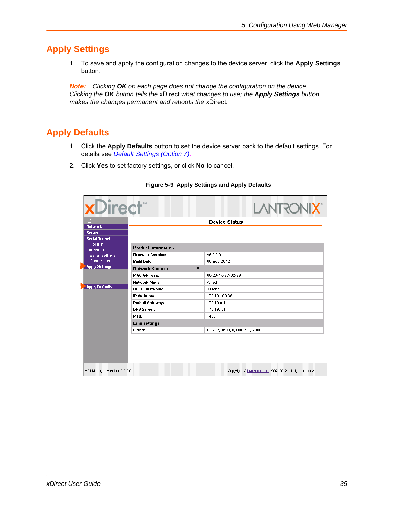### <span id="page-34-0"></span>**Apply Settings**

1. To save and apply the configuration changes to the device server, click the **Apply Settings** button.

*Note: Clicking OK on each page does not change the configuration on the device. Clicking the OK button tells the* xDirect *what changes to use; the Apply Settings button makes the changes permanent and reboots the* xDirect*.*

### <span id="page-34-1"></span>**Apply Defaults**

- 1. Click the **Apply Defaults** button to set the device server back to the default settings. For details see *[Default Settings \(Option 7\)](#page-58-2)*.
- <span id="page-34-2"></span>2. Click **Yes** to set factory settings, or click **No** to cancel.

| 令                                   |                            | Device Status                  |
|-------------------------------------|----------------------------|--------------------------------|
| <b>Network</b>                      |                            |                                |
| <b>Server</b>                       |                            |                                |
| <b>Serial Tunnel</b>                |                            |                                |
| <b>Hostlist</b><br><b>Channel 1</b> | <b>Product Information</b> |                                |
| <b>Serial Settings</b>              | <b>Firmware Version:</b>   | V6.9.0.0                       |
| Connection                          | <b>Build Date:</b>         | 06-Sep-2012                    |
| <b>Apply Settings</b>               | <b>Network Settings</b>    | $\blacksquare$                 |
|                                     | <b>MAC Address:</b>        | 00-20-4A-9D-02-8B              |
|                                     | <b>Network Mode:</b>       | Wired                          |
| <b>Apply Defaults</b>               | <b>DHCP HostName:</b>      | $\leq$ None $\geq$             |
|                                     | <b>IP Address:</b>         | 172.19.100.39                  |
|                                     | Default Gateway:           | 172.19.0.1                     |
|                                     | <b>DNS Server:</b>         | 172.19.1.1                     |
|                                     | MTU:                       | 1400                           |
|                                     | <b>Line settings</b>       |                                |
|                                     | Line 1:                    | RS232, 9600, 8, None, 1, None. |
|                                     |                            |                                |
|                                     |                            |                                |
|                                     |                            |                                |

#### **Figure 5-9 Apply Settings and Apply Defaults**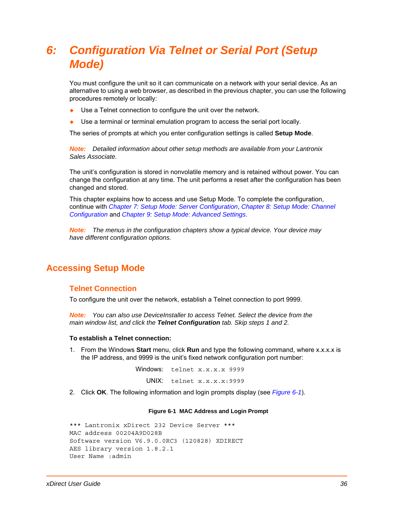## <span id="page-35-4"></span><span id="page-35-0"></span>*6: Configuration Via Telnet or Serial Port (Setup Mode)*

You must configure the unit so it can communicate on a network with your serial device. As an alternative to using a web browser, as described in the previous chapter, you can use the following procedures remotely or locally:

- Use a Telnet connection to configure the unit over the network.
- Use a terminal or terminal emulation program to access the serial port locally.

The series of prompts at which you enter configuration settings is called **Setup Mode**.

*Note: Detailed information about other setup methods are available from your Lantronix Sales Associate.* 

The unit's configuration is stored in nonvolatile memory and is retained without power. You can change the configuration at any time. The unit performs a reset after the configuration has been changed and stored.

This chapter explains how to access and use Setup Mode. To complete the configuration, continue with *[Chapter 7: Setup Mode: Server Configuration](#page-38-5)*, *[Chapter 8: Setup Mode: Channel](#page-41-4)  [Configuration](#page-41-4)* and *[Chapter 9: Setup Mode: Advanced Settings](#page-54-6)*.

*Note: The menus in the configuration chapters show a typical device. Your device may have different configuration options.* 

### <span id="page-35-2"></span><span id="page-35-1"></span>**Accessing Setup Mode**

#### **Telnet Connection**

To configure the unit over the network, establish a Telnet connection to port 9999.

*Note: You can also use DeviceInstaller to access Telnet. Select the device from the main window list, and click the Telnet Configuration tab. Skip steps 1 and 2.*

#### **To establish a Telnet connection:**

1. From the Windows **Start** menu, click **Run** and type the following command, where x.x.x.x is the IP address, and 9999 is the unit's fixed network configuration port number:

Windows: telnet x.x.x.x 9999

UNIX: telnet x.x.x.x:9999

2. Click **OK**. The following information and login prompts display (see *[Figure 6-1](#page-35-3)*).

#### **Figure 6-1 MAC Address and Login Prompt**

<span id="page-35-3"></span>\*\*\* Lantronix xDirect 232 Device Server \*\*\* MAC address 00204A9D028B Software version V6.9.0.0RC3 (120828) XDIRECT AES library version 1.8.2.1 User Name :admin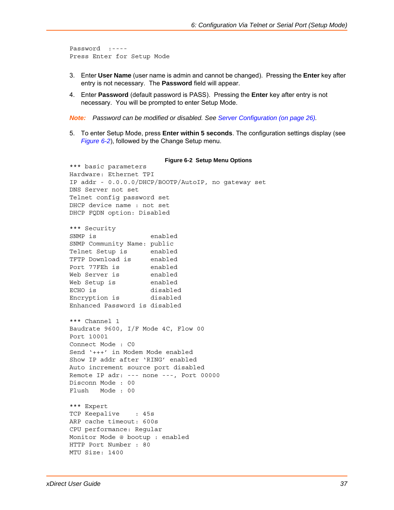```
Password :----
Press Enter for Setup Mode
```
- 3. Enter **User Name** (user name is admin and cannot be changed). Pressing the **Enter** key after entry is not necessary. The **Password** field will appear.
- 4. Enter **Password** (default password is PASS). Pressing the **Enter** key after entry is not necessary. You will be prompted to enter Setup Mode.

*Note: Password can be modified or disabled. See [Server Configuration \(on page 26\)](#page-25-0).*

5. To enter Setup Mode, press **Enter within 5 seconds**. The configuration settings display (see *[Figure 6-2](#page-36-0)*), followed by the Change Setup menu.

```
*** basic parameters
Hardware: Ethernet TPI
IP addr - 0.0.0.0/DHCP/BOOTP/AutoIP, no gateway set
DNS Server not set
Telnet config password set
DHCP device name : not set
DHCP FQDN option: Disabled
*** Security
SNMP is enabled
SNMP Community Name: public
Telnet Setup is enabled
TFTP Download is enabled
Port 77FEh is enabled
Web Server is enabled
Web Setup is enabled
ECHO is disabled
Encryption is disabled
Enhanced Password is disabled
*** Channel 1
Baudrate 9600, I/F Mode 4C, Flow 00
Port 10001
Connect Mode : C0
Send '+++' in Modem Mode enabled
Show IP addr after 'RING' enabled
Auto increment source port disabled
Remote IP adr: --- none ---, Port 00000
Disconn Mode : 00
Flush Mode : 00
*** Expert
TCP Keepalive : 45s
ARP cache timeout: 600s
CPU performance: Regular
Monitor Mode @ bootup : enabled
HTTP Port Number : 80
MTU Size: 1400
```
#### **Figure 6-2 Setup Menu Options**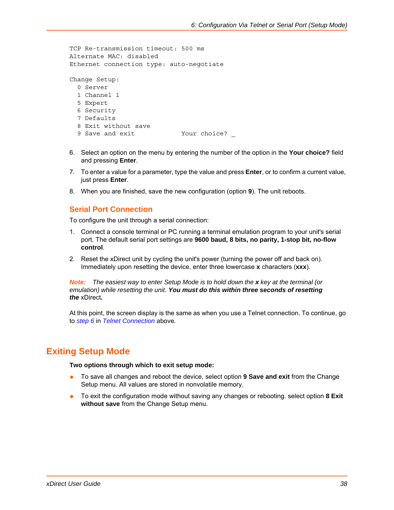```
TCP Re-transmission timeout: 500 ms
Alternate MAC: disabled
Ethernet connection type: auto-negotiate
Change Setup:
  0 Server
   1 Channel 1
  5 Expert
  6 Security
  7 Defaults
   8 Exit without save
  9 Save and exit Your choice?
```
- <span id="page-37-0"></span>6. Select an option on the menu by entering the number of the option in the **Your choice?** field and pressing **Enter**.
- 7. To enter a value for a parameter, type the value and press **Enter**, or to confirm a current value, just press **Enter**.
- 8. When you are finished, save the new configuration (option **9**). The unit reboots.

#### **Serial Port Connection**

To configure the unit through a serial connection:

- 1. Connect a console terminal or PC running a terminal emulation program to your unit's serial port. The default serial port settings are **9600 baud, 8 bits, no parity, 1-stop bit, no-flow control**.
- 2. Reset the xDirect unit by cycling the unit's power (turning the power off and back on). Immediately upon resetting the device, enter three lowercase **x** characters (**xxx**).

*Note: The easiest way to enter Setup Mode is to hold down the x key at the terminal (or emulation) while resetting the unit. You must do this within three seconds of resetting the* xDirect*.*

At this point, the screen display is the same as when you use a Telnet connection. To continue, go to *[step 6](#page-37-0)* in *[Telnet Connection](#page-35-0)* above*.*

### **Exiting Setup Mode**

#### **Two options through which to exit setup mode:**

- To save all changes and reboot the device, select option **9 Save and exit** from the Change Setup menu. All values are stored in nonvolatile memory.
- ◆ To exit the configuration mode without saving any changes or rebooting. select option **8 Exit without save** from the Change Setup menu.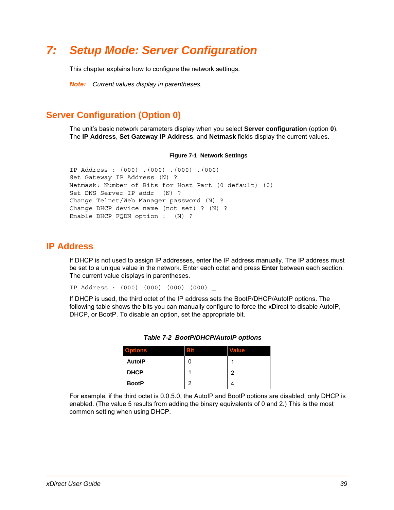## *7: Setup Mode: Server Configuration*

This chapter explains how to configure the network settings.

*Note: Current values display in parentheses.*

### **Server Configuration (Option 0)**

The unit's basic network parameters display when you select **Server configuration** (option **0**). The **IP Address**, **Set Gateway IP Address**, and **Netmask** fields display the current values.

#### **Figure 7-1 Network Settings**

IP Address : (000) .(000) .(000) .(000) Set Gateway IP Address (N) ? Netmask: Number of Bits for Host Part (0=default) (0) Set DNS Server IP addr (N) ? Change Telnet/Web Manager password (N) ? Change DHCP device name (not set) ? (N) ? Enable DHCP FQDN option : (N) ?

### **IP Address**

If DHCP is not used to assign IP addresses, enter the IP address manually. The IP address must be set to a unique value in the network. Enter each octet and press **Enter** between each section. The current value displays in parentheses.

IP Address : (000) (000) (000) (000) \_

If DHCP is used, the third octet of the IP address sets the BootP/DHCP/AutoIP options. The following table shows the bits you can manually configure to force the xDirect to disable AutoIP, DHCP, or BootP. To disable an option, set the appropriate bit.

| <b>Options</b> | ВĦ | <b>Value</b> |
|----------------|----|--------------|
| <b>AutolP</b>  |    |              |
| <b>DHCP</b>    |    | 2            |
| <b>BootP</b>   | າ  |              |

|  | Table 7-2 BootP/DHCP/AutoIP options |  |
|--|-------------------------------------|--|
|--|-------------------------------------|--|

For example, if the third octet is 0.0.5.0, the AutoIP and BootP options are disabled; only DHCP is enabled. (The value 5 results from adding the binary equivalents of 0 and 2.) This is the most common setting when using DHCP.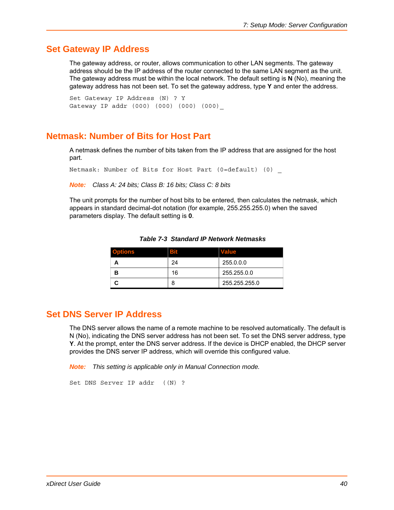### **Set Gateway IP Address**

The gateway address, or router, allows communication to other LAN segments. The gateway address should be the IP address of the router connected to the same LAN segment as the unit. The gateway address must be within the local network. The default setting is **N** (No), meaning the gateway address has not been set. To set the gateway address, type **Y** and enter the address.

```
Set Gateway IP Address (N) ? Y
Gateway IP addr (000) (000) (000) (000)_
```
### **Netmask: Number of Bits for Host Part**

A netmask defines the number of bits taken from the IP address that are assigned for the host part.

Netmask: Number of Bits for Host Part (0=default) (0) \_

*Note: Class A: 24 bits; Class B: 16 bits; Class C: 8 bits*

The unit prompts for the number of host bits to be entered, then calculates the netmask, which appears in standard decimal-dot notation (for example, 255.255.255.0) when the saved parameters display. The default setting is **0**.

| <b>Options</b> | Bit | <b>Value</b>  |
|----------------|-----|---------------|
|                | 24  | 255.0.0.0     |
| B              | 16  | 255.255.0.0   |
|                |     | 255.255.255.0 |

#### *Table 7-3 Standard IP Network Netmasks*

### **Set DNS Server IP Address**

The DNS server allows the name of a remote machine to be resolved automatically. The default is N (No), indicating the DNS server address has not been set. To set the DNS server address, type **Y**. At the prompt, enter the DNS server address. If the device is DHCP enabled, the DHCP server provides the DNS server IP address, which will override this configured value.

*Note: This setting is applicable only in Manual Connection mode.*

Set DNS Server IP addr ((N) ?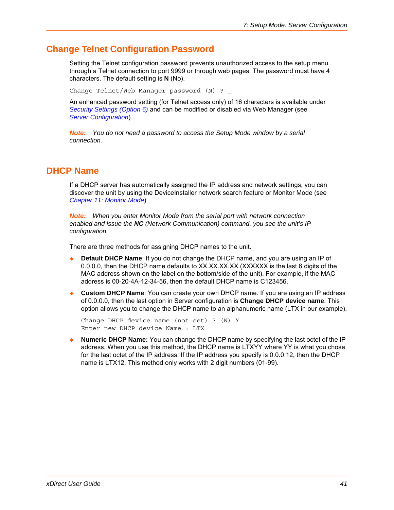### **Change Telnet Configuration Password**

Setting the Telnet configuration password prevents unauthorized access to the setup menu through a Telnet connection to port 9999 or through web pages. The password must have 4 characters. The default setting is **N** (No).

Change Telnet/Web Manager password (N) ? \_

An enhanced password setting (for Telnet access only) of 16 characters is available under *[Security Settings \(Option 6\)](#page-55-0)* and can be modified or disabled via Web Manager (see *[Server Configuration](#page-25-0)*).

*Note: You do not need a password to access the Setup Mode window by a serial connection.* 

### **DHCP Name**

If a DHCP server has automatically assigned the IP address and network settings, you can discover the unit by using the DeviceInstaller network search feature or Monitor Mode (see *[Chapter 11: Monitor Mode](#page-63-0)*).

*Note: When you enter Monitor Mode from the serial port with network connection enabled and issue the NC (Network Communication) command, you see the unit's IP configuration.*

There are three methods for assigning DHCP names to the unit.

- **Default DHCP Name**: If you do not change the DHCP name, and you are using an IP of 0.0.0.0, then the DHCP name defaults to XX.XX.XX.XX (XXXXXX is the last 6 digits of the MAC address shown on the label on the bottom/side of the unit). For example, if the MAC address is 00-20-4A-12-34-56, then the default DHCP name is C123456.
- **Custom DHCP Name**: You can create your own DHCP name. If you are using an IP address of 0.0.0.0, then the last option in Server configuration is **Change DHCP device name**. This option allows you to change the DHCP name to an alphanumeric name (LTX in our example).

Change DHCP device name (not set) ? (N) Y Enter new DHCP device Name : LTX

 **Numeric DHCP Name:** You can change the DHCP name by specifying the last octet of the IP address. When you use this method, the DHCP name is LTXYY where YY is what you chose for the last octet of the IP address. If the IP address you specify is 0.0.0.12, then the DHCP name is LTX12. This method only works with 2 digit numbers (01-99).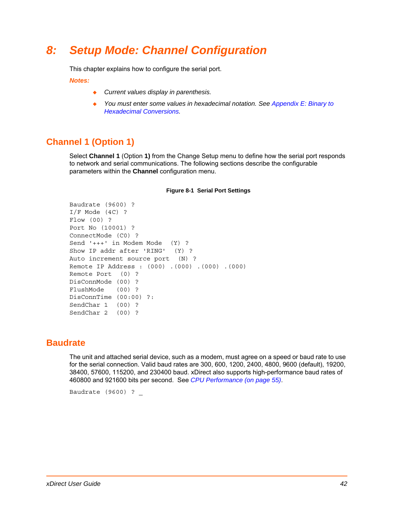## *8: Setup Mode: Channel Configuration*

This chapter explains how to configure the serial port.

*Notes:*

- *Current values display in parenthesis.*
- ◆ You must enter some values in hexadecimal notation. See Appendix E: Binary to *[Hexadecimal Conversions](#page-78-0).*

### **Channel 1 (Option 1)**

Select **Channel 1** (Option **1)** from the Change Setup menu to define how the serial port responds to network and serial communications. The following sections describe the configurable parameters within the **Channel** configuration menu.

#### **Figure 8-1 Serial Port Settings**

```
Baudrate (9600) ?
I/F Mode (4C) ?
Flow (00) ?
Port No (10001) ?
ConnectMode (C0) ?
Send '+++' in Modem Mode (Y) ?
Show IP addr after 'RING' (Y) ?
Auto increment source port (N) ?
Remote IP Address : (000) .(000) .(000) .(000)
Remote Port (0) ?
DisConnMode (00) ?
FlushMode (00) ?
DisConnTime (00:00) ?:
SendChar 1 (00) ?
SendChar 2 (00) ?
```
### **Baudrate**

The unit and attached serial device, such as a modem, must agree on a speed or baud rate to use for the serial connection. Valid baud rates are 300, 600, 1200, 2400, 4800, 9600 (default), 19200, 38400, 57600, 115200, and 230400 baud. xDirect also supports high-performance baud rates of 460800 and 921600 bits per second. See *[CPU Performance \(on page 55\)](#page-54-0)*.

Baudrate (9600) ? \_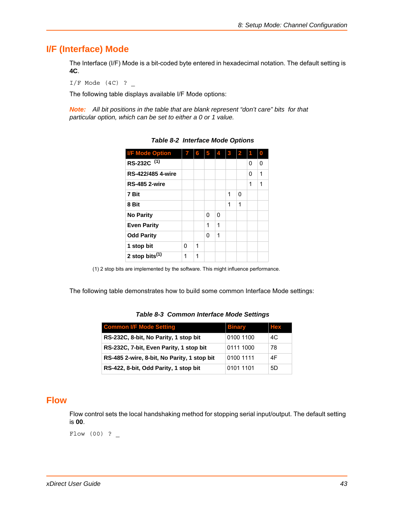### **I/F (Interface) Mode**

The Interface (I/F) Mode is a bit-coded byte entered in hexadecimal notation. The default setting is **4C**.

 $I/F$  Mode (4C) ?

The following table displays available I/F Mode options:

*Note: All bit positions in the table that are blank represent "don't care" bits for that particular option, which can be set to either a 0 or 1 value.*

| <b>I/F Mode Option</b>     | 7 6 5 4 3 |   |   |   |   | $\overline{\mathbf{2}}$ | 11 | $\overline{0}$ |
|----------------------------|-----------|---|---|---|---|-------------------------|----|----------------|
| RS-232C <sup>(1)</sup>     |           |   |   |   |   |                         | 0  | 0              |
| <b>RS-422/485 4-wire</b>   |           |   |   |   |   |                         | 0  | 1              |
| <b>RS-485 2-wire</b>       |           |   |   |   |   |                         | 1  | 1              |
| 7 Bit                      |           |   |   |   | 1 | 0                       |    |                |
| 8 Bit                      |           |   |   |   | 1 | 1                       |    |                |
| <b>No Parity</b>           |           |   | 0 | 0 |   |                         |    |                |
| <b>Even Parity</b>         |           |   | 1 | 1 |   |                         |    |                |
| <b>Odd Parity</b>          |           |   | 0 | 1 |   |                         |    |                |
| 1 stop bit                 | O         | 1 |   |   |   |                         |    |                |
| 2 stop bits <sup>(1)</sup> | 1         | 1 |   |   |   |                         |    |                |

*Table 8-2 Interface Mode Options*

(1) 2 stop bits are implemented by the software. This might influence performance.

The following table demonstrates how to build some common Interface Mode settings:

|  | Table 8-3 Common Interface Mode Settings |  |
|--|------------------------------------------|--|
|--|------------------------------------------|--|

| <b>Common I/F Mode Setting</b>              | <b>Binary</b> | <b>Hex</b> |
|---------------------------------------------|---------------|------------|
| RS-232C, 8-bit, No Parity, 1 stop bit       | 0100 1100     | 4C         |
| RS-232C, 7-bit, Even Parity, 1 stop bit     | 0111 1000     | 78         |
| RS-485 2-wire, 8-bit, No Parity, 1 stop bit | 0100 1111     | 4F         |
| RS-422, 8-bit, Odd Parity, 1 stop bit       | 0101 1101     | 5D         |

### **Flow**

Flow control sets the local handshaking method for stopping serial input/output. The default setting is **00**.

Flow (00) ? \_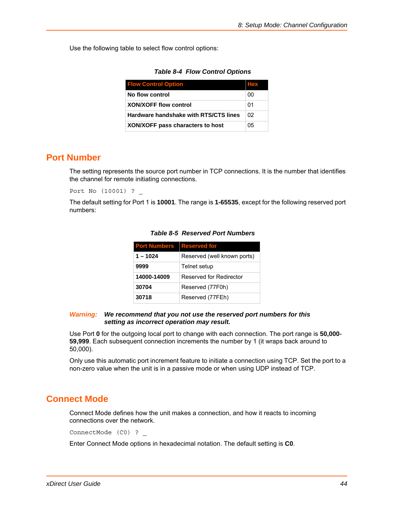Use the following table to select flow control options:

| <b>Table 8-4 Flow Control Options</b> |  |  |  |
|---------------------------------------|--|--|--|
|---------------------------------------|--|--|--|

| <b>Flow Control Option</b>            | Hex |
|---------------------------------------|-----|
| No flow control                       | nn  |
| <b>XON/XOFF flow control</b>          | 01  |
| Hardware handshake with RTS/CTS lines | 02  |
| XON/XOFF pass characters to host      | 05  |

### **Port Number**

The setting represents the source port number in TCP connections. It is the number that identifies the channel for remote initiating connections.

Port No (10001) ? \_

The default setting for Port 1 is **10001**. The range is **1-65535**, except for the following reserved port numbers:

| <b>Port Numbers</b> | <b>Reserved for</b>         |
|---------------------|-----------------------------|
| $1 - 1024$          | Reserved (well known ports) |
| 9999                | Telnet setup                |
| 14000-14009         | Reserved for Redirector     |
| 30704               | Reserved (77F0h)            |
| 30718               | Reserved (77FEh)            |

#### *Table 8-5 Reserved Port Numbers*

#### *Warning: We recommend that you not use the reserved port numbers for this setting as incorrect operation may result.*

Use Port **0** for the outgoing local port to change with each connection. The port range is **50,000**- **59,999**. Each subsequent connection increments the number by 1 (it wraps back around to 50,000).

Only use this automatic port increment feature to initiate a connection using TCP. Set the port to a non-zero value when the unit is in a passive mode or when using UDP instead of TCP.

### <span id="page-43-0"></span>**Connect Mode**

Connect Mode defines how the unit makes a connection, and how it reacts to incoming connections over the network.

ConnectMode (C0) ? \_

Enter Connect Mode options in hexadecimal notation. The default setting is **C0**.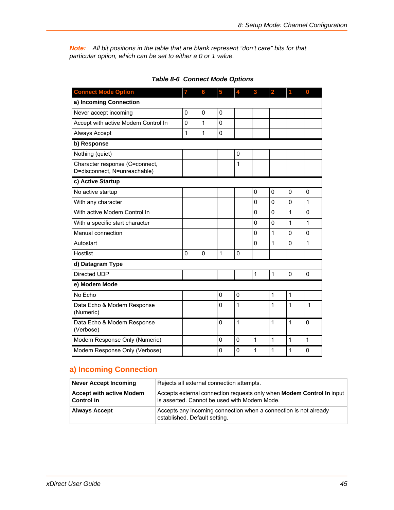*Note: All bit positions in the table that are blank represent "don't care" bits for that particular option, which can be set to either a 0 or 1 value.*

| <b>Connect Mode Option</b>                                     |                | 6           |                |              |              |              |              | ი            |
|----------------------------------------------------------------|----------------|-------------|----------------|--------------|--------------|--------------|--------------|--------------|
| a) Incoming Connection                                         |                |             |                |              |              |              |              |              |
| Never accept incoming                                          | $\Omega$       | $\mathbf 0$ | $\mathbf 0$    |              |              |              |              |              |
| Accept with active Modem Control In                            | $\mathbf 0$    | 1           | 0              |              |              |              |              |              |
| Always Accept                                                  | 1              | 1           | $\overline{0}$ |              |              |              |              |              |
| b) Response                                                    |                |             |                |              |              |              |              |              |
| Nothing (quiet)                                                |                |             |                | $\mathbf 0$  |              |              |              |              |
| Character response (C=connect,<br>D=disconnect, N=unreachable) |                |             |                | $\mathbf{1}$ |              |              |              |              |
| c) Active Startup                                              |                |             |                |              |              |              |              |              |
| No active startup                                              |                |             |                |              | 0            | $\mathbf 0$  | 0            | $\mathbf 0$  |
| With any character                                             |                |             |                |              | 0            | $\mathbf{0}$ | $\mathbf 0$  | 1            |
| With active Modem Control In                                   |                |             |                |              | $\mathbf{0}$ | $\mathbf{0}$ | $\mathbf{1}$ | $\mathbf{0}$ |
| With a specific start character                                |                |             |                |              | 0            | $\mathbf{0}$ | $\mathbf{1}$ | 1            |
| Manual connection                                              |                |             |                |              | $\mathbf 0$  | 1            | 0            | $\mathbf 0$  |
| Autostart                                                      |                |             |                |              | $\mathbf{0}$ | 1            | $\mathbf 0$  | 1            |
| Hostlist                                                       | $\overline{0}$ | $\mathbf 0$ | $\mathbf{1}$   | $\mathbf 0$  |              |              |              |              |
| d) Datagram Type                                               |                |             |                |              |              |              |              |              |
| Directed UDP                                                   |                |             |                |              | $\mathbf{1}$ | $\mathbf{1}$ | 0            | $\pmb{0}$    |
| e) Modem Mode                                                  |                |             |                |              |              |              |              |              |
| No Echo                                                        |                |             | $\mathbf 0$    | 0            |              | $\mathbf{1}$ | 1            |              |
| Data Echo & Modem Response<br>(Numeric)                        |                |             | $\mathbf 0$    | 1            |              | 1            | 1            | 1            |
| Data Echo & Modem Response<br>(Verbose)                        |                |             | 0              | $\mathbf{1}$ |              | $\mathbf{1}$ | 1            | 0            |
| Modem Response Only (Numeric)                                  |                |             | $\mathbf 0$    | 0            | 1            | $\mathbf{1}$ | 1            | 1            |
| Modem Response Only (Verbose)                                  |                |             | $\mathbf 0$    | 0            | 1            | 1            | 1            | $\mathbf 0$  |

*Table 8-6 Connect Mode Options*

### **a) Incoming Connection**

| <b>Never Accept Incoming</b>                         | Rejects all external connection attempts.                                                                                    |
|------------------------------------------------------|------------------------------------------------------------------------------------------------------------------------------|
| <b>Accept with active Modem</b><br><b>Control in</b> | Accepts external connection requests only when <b>Modem Control In</b> input<br>is asserted. Cannot be used with Modem Mode. |
| <b>Always Accept</b>                                 | Accepts any incoming connection when a connection is not already<br>established. Default setting.                            |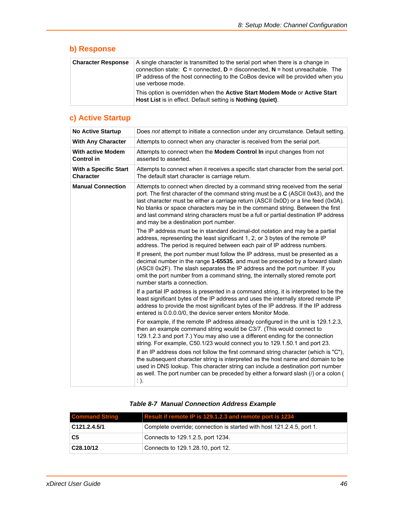### **b) Response**

| <b>Character Response</b> | A single character is transmitted to the serial port when there is a change in<br>connection state: $C =$ connected, $D =$ disconnected, $N =$ host unreachable. The<br>IP address of the host connecting to the CoBos device will be provided when you<br>use verbose mode. |
|---------------------------|------------------------------------------------------------------------------------------------------------------------------------------------------------------------------------------------------------------------------------------------------------------------------|
|                           | This option is overridden when the Active Start Modem Mode or Active Start<br>Host List is in effect. Default setting is Nothing (quiet).                                                                                                                                    |

### **c) Active Startup**

| <b>No Active Startup</b>                      | Does not attempt to initiate a connection under any circumstance. Default setting.                                                                                                                                                                                                                                                                                                                                                                                          |
|-----------------------------------------------|-----------------------------------------------------------------------------------------------------------------------------------------------------------------------------------------------------------------------------------------------------------------------------------------------------------------------------------------------------------------------------------------------------------------------------------------------------------------------------|
| <b>With Any Character</b>                     | Attempts to connect when any character is received from the serial port.                                                                                                                                                                                                                                                                                                                                                                                                    |
| <b>With active Modem</b><br><b>Control in</b> | Attempts to connect when the Modem Control In input changes from not<br>asserted to asserted.                                                                                                                                                                                                                                                                                                                                                                               |
| With a Specific Start<br><b>Character</b>     | Attempts to connect when it receives a specific start character from the serial port.<br>The default start character is carriage return.                                                                                                                                                                                                                                                                                                                                    |
| <b>Manual Connection</b>                      | Attempts to connect when directed by a command string received from the serial<br>port. The first character of the command string must be a C (ASCII 0x43), and the<br>last character must be either a carriage return (ASCII 0x0D) or a line feed (0x0A).<br>No blanks or space characters may be in the command string. Between the first<br>and last command string characters must be a full or partial destination IP address<br>and may be a destination port number. |
|                                               | The IP address must be in standard decimal-dot notation and may be a partial<br>address, representing the least significant 1, 2, or 3 bytes of the remote IP<br>address. The period is required between each pair of IP address numbers.                                                                                                                                                                                                                                   |
|                                               | If present, the port number must follow the IP address, must be presented as a<br>decimal number in the range 1-65535, and must be preceded by a forward slash<br>(ASCII 0x2F). The slash separates the IP address and the port number. If you<br>omit the port number from a command string, the internally stored remote port<br>number starts a connection.                                                                                                              |
|                                               | If a partial IP address is presented in a command string, it is interpreted to be the<br>least significant bytes of the IP address and uses the internally stored remote IP<br>address to provide the most significant bytes of the IP address. If the IP address<br>entered is 0.0.0.0/0, the device server enters Monitor Mode.                                                                                                                                           |
|                                               | For example, if the remote IP address already configured in the unit is 129.1.2.3,<br>then an example command string would be C3/7. (This would connect to<br>129.1.2.3 and port 7.) You may also use a different ending for the connection<br>string. For example, C50.1/23 would connect you to 129.1.50.1 and port 23.                                                                                                                                                   |
|                                               | If an IP address does not follow the first command string character (which is "C"),<br>the subsequent character string is interpreted as the host name and domain to be<br>used in DNS lookup. This character string can include a destination port number<br>as well. The port number can be preceded by either a forward slash ( <i>I</i> ) or a colon (<br>$:$ ).                                                                                                        |

| <b>Command String</b> | Result if remote IP is 129.1.2.3 and remote port is 1234              |
|-----------------------|-----------------------------------------------------------------------|
| C121.2.4.5/1          | Complete override; connection is started with host 121.2.4.5, port 1. |
| C5                    | Connects to 129.1.2.5, port 1234.                                     |
| C28.10/12             | Connects to 129.1.28.10, port 12.                                     |

#### *Table 8-7 Manual Connection Address Example*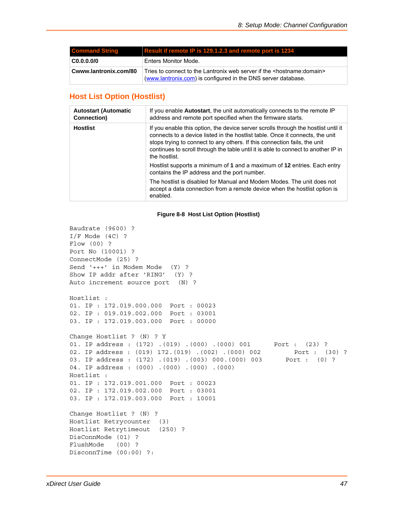| <b>Command String</b>   | Result if remote IP is 129.1.2.3 and remote port is 1234                                                                                                |
|-------------------------|---------------------------------------------------------------------------------------------------------------------------------------------------------|
| C <sub>0.0.0.0</sub> /0 | Enters Monitor Mode.                                                                                                                                    |
| Cwww.lantronix.com/80   | Tries to connect to the Lantronix web server if the <hostname: domain=""><br/>(www.lantronix.com) is configured in the DNS server database.</hostname:> |

### **Host List Option (Hostlist)**

| <b>Autostart (Automatic</b><br><b>Connection</b> ) | If you enable <b>Autostart</b> , the unit automatically connects to the remote IP<br>address and remote port specified when the firmware starts.                                                                                                                                                                                                        |
|----------------------------------------------------|---------------------------------------------------------------------------------------------------------------------------------------------------------------------------------------------------------------------------------------------------------------------------------------------------------------------------------------------------------|
| <b>Hostlist</b>                                    | If you enable this option, the device server scrolls through the hostlist until it<br>connects to a device listed in the hostlist table. Once it connects, the unit<br>stops trying to connect to any others. If this connection fails, the unit<br>continues to scroll through the table until it is able to connect to another IP in<br>the hostlist. |
|                                                    | Hostlist supports a minimum of 1 and a maximum of 12 entries. Each entry<br>contains the IP address and the port number.                                                                                                                                                                                                                                |
|                                                    | The hostlist is disabled for Manual and Modem Modes. The unit does not<br>accept a data connection from a remote device when the hostlist option is<br>enabled.                                                                                                                                                                                         |

#### **Figure 8-8 Host List Option (Hostlist)**

```
Baudrate (9600) ?
I/F Mode (4C) ?
Flow (00) ?
Port No (10001) ?
ConnectMode (25) ?
Send '+++' in Modem Mode (Y) ?
Show IP addr after 'RING' (Y) ?
Auto increment source port (N) ?
Hostlist :
01. IP : 172.019.000.000 Port : 00023
02. IP : 019.019.002.000 Port : 03001
03. IP : 172.019.003.000 Port : 00000
Change Hostlist ? (N) ? Y
01. IP address : (172) .(019) .(000) .(000) 001 Port : (23) ?
02. IP address : (019) 172.(019) .(002) .(000) 002 Port : (30) ?
03. IP address : (172) .(019) .(003) 000.(000) 003 Port : (0) ?
04. IP address : (000) .(000) .(000) .(000)
Hostlist :
01. IP : 172.019.001.000 Port : 00023
02. IP : 172.019.002.000 Port : 03001
03. IP : 172.019.003.000 Port : 10001
Change Hostlist ? (N) ?
Hostlist Retrycounter (3)
Hostlist Retrytimeout (250) ?
DisConnMode (01) ?
FlushMode (00) ?
DisconnTime (00:00) ?:
```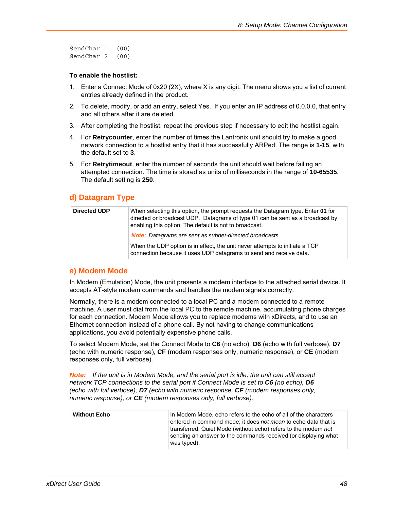```
SendChar 1 (00)
SendChar 2 (00)
```
#### **To enable the hostlist:**

- 1. Enter a Connect Mode of 0x20 (2X), where X is any digit. The menu shows you a list of current entries already defined in the product.
- 2. To delete, modify, or add an entry, select Yes. If you enter an IP address of 0.0.0.0, that entry and all others after it are deleted.
- 3. After completing the hostlist, repeat the previous step if necessary to edit the hostlist again.
- 4. For **Retrycounter**, enter the number of times the Lantronix unit should try to make a good network connection to a hostlist entry that it has successfully ARPed. The range is **1-15**, with the default set to **3**.
- 5. For **Retrytimeout**, enter the number of seconds the unit should wait before failing an attempted connection. The time is stored as units of milliseconds in the range of **10-65535**. The default setting is **250**.

#### **d) Datagram Type**

| Directed UDP | When selecting this option, the prompt requests the Datagram type. Enter 01 for<br>directed or broadcast UDP. Datagrams of type 01 can be sent as a broadcast by<br>enabling this option. The default is not to broadcast. |
|--------------|----------------------------------------------------------------------------------------------------------------------------------------------------------------------------------------------------------------------------|
|              | <b>Note:</b> Datagrams are sent as subnet-directed broadcasts.                                                                                                                                                             |
|              | When the UDP option is in effect, the unit never attempts to initiate a TCP<br>connection because it uses UDP datagrams to send and receive data.                                                                          |

#### **e) Modem Mode**

In Modem (Emulation) Mode, the unit presents a modem interface to the attached serial device. It accepts AT-style modem commands and handles the modem signals correctly.

Normally, there is a modem connected to a local PC and a modem connected to a remote machine. A user must dial from the local PC to the remote machine, accumulating phone charges for each connection. Modem Mode allows you to replace modems with xDirects, and to use an Ethernet connection instead of a phone call. By not having to change communications applications, you avoid potentially expensive phone calls.

To select Modem Mode, set the Connect Mode to **C6** (no echo), **D6** (echo with full verbose), **D7** (echo with numeric response), **CF** (modem responses only, numeric response), or **CE** (modem responses only, full verbose).

*Note: If the unit is in Modem Mode, and the serial port is idle, the unit can still accept network TCP connections to the serial port if Connect Mode is set to C6 (no echo), D6 (echo with full verbose), D7 (echo with numeric response, CF (modem responses only, numeric response), or CE (modem responses only, full verbose).* 

| <b>Without Echo</b> |
|---------------------|
|---------------------|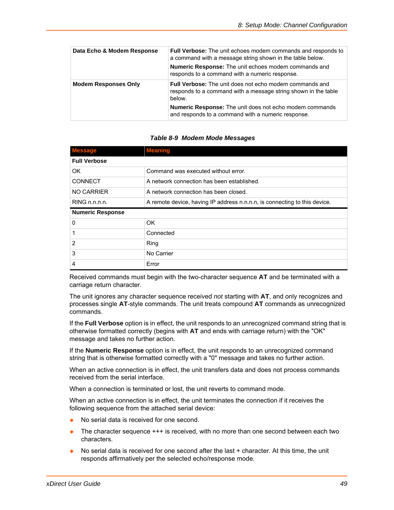| Data Echo & Modem Response  | <b>Full Verbose:</b> The unit echoes modem commands and responds to<br>a command with a message string shown in the table below.<br><b>Numeric Response:</b> The unit echoes modem commands and<br>responds to a command with a numeric response. |
|-----------------------------|---------------------------------------------------------------------------------------------------------------------------------------------------------------------------------------------------------------------------------------------------|
| <b>Modem Responses Only</b> | <b>Full Verbose:</b> The unit does not echo modem commands and<br>responds to a command with a message string shown in the table<br>below.                                                                                                        |
|                             | <b>Numeric Response:</b> The unit does not echo modem commands<br>and responds to a command with a numeric response.                                                                                                                              |

#### *Table 8-9 Modem Mode Messages*

| <b>Message</b>          | <b>Meaning</b>                                                            |
|-------------------------|---------------------------------------------------------------------------|
| <b>Full Verbose</b>     |                                                                           |
| OK.                     | Command was executed without error.                                       |
| <b>CONNECT</b>          | A network connection has been established.                                |
| <b>NO CARRIER</b>       | A network connection has been closed.                                     |
| RING n.n.n.n.           | A remote device, having IP address n.n.n.n, is connecting to this device. |
|                         |                                                                           |
| <b>Numeric Response</b> |                                                                           |
| 0                       | OK.                                                                       |
| 1                       | Connected                                                                 |
| $\overline{2}$          | Ring                                                                      |
| 3                       | No Carrier                                                                |

Received commands must begin with the two-character sequence **AT** and be terminated with a carriage return character.

The unit ignores any character sequence received *not* starting with **AT**, and only recognizes and processes single **AT**-style commands. The unit treats compound **AT** commands as unrecognized commands.

If the **Full Verbose** option is in effect, the unit responds to an unrecognized command string that is otherwise formatted correctly (begins with **AT** and ends with carriage return) with the "OK" message and takes no further action.

If the **Numeric Response** option is in effect, the unit responds to an unrecognized command string that is otherwise formatted correctly with a "0" message and takes no further action.

When an active connection is in effect, the unit transfers data and does not process commands received from the serial interface.

When a connection is terminated or lost, the unit reverts to command mode.

When an active connection is in effect, the unit terminates the connection if it receives the following sequence from the attached serial device:

- No serial data is received for one second.
- ◆ The character sequence +++ is received, with no more than one second between each two characters.
- No serial data is received for one second after the last + character. At this time, the unit responds affirmatively per the selected echo/response mode.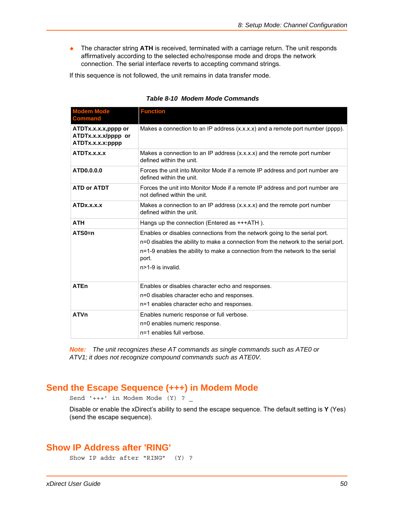◆ The character string **ATH** is received, terminated with a carriage return. The unit responds affirmatively according to the selected echo/response mode and drops the network connection. The serial interface reverts to accepting command strings.

If this sequence is not followed, the unit remains in data transfer mode.

| <b>Modem Mode</b><br>Command                                   | <b>Function</b>                                                                                                                                                                                                                                                                 |
|----------------------------------------------------------------|---------------------------------------------------------------------------------------------------------------------------------------------------------------------------------------------------------------------------------------------------------------------------------|
| ATDTx.x.x.x,pppp or<br>ATDTx.x.x.x/pppp or<br>ATDTx.x.x.x:pppp | Makes a connection to an IP address (x.x.x.x) and a remote port number (pppp).                                                                                                                                                                                                  |
| ATDTx.x.x.x                                                    | Makes a connection to an IP address $(x.x.x.x)$ and the remote port number<br>defined within the unit.                                                                                                                                                                          |
| ATD0.0.0.0                                                     | Forces the unit into Monitor Mode if a remote IP address and port number are<br>defined within the unit.                                                                                                                                                                        |
| <b>ATD or ATDT</b>                                             | Forces the unit into Monitor Mode if a remote IP address and port number are<br>not defined within the unit.                                                                                                                                                                    |
| ATDx.x.x.x                                                     | Makes a connection to an IP address (x.x.x.x) and the remote port number<br>defined within the unit.                                                                                                                                                                            |
| <b>ATH</b>                                                     | Hangs up the connection (Entered as +++ATH).                                                                                                                                                                                                                                    |
| $ATSO=n$                                                       | Enables or disables connections from the network going to the serial port.<br>n=0 disables the ability to make a connection from the network to the serial port.<br>n=1-9 enables the ability to make a connection from the network to the serial<br>port.<br>n>1-9 is invalid. |
| <b>ATEn</b>                                                    | Enables or disables character echo and responses.<br>n=0 disables character echo and responses.<br>n=1 enables character echo and responses.                                                                                                                                    |
| <b>ATVn</b>                                                    | Enables numeric response or full verbose.<br>n=0 enables numeric response.<br>n=1 enables full verbose.                                                                                                                                                                         |

*Table 8-10 Modem Mode Commands*

*Note: The unit recognizes these AT commands as single commands such as ATE0 or ATV1; it does not recognize compound commands such as ATE0V.*

### **Send the Escape Sequence (+++) in Modem Mode**

Send '+++' in Modem Mode (Y) ? \_

Disable or enable the xDirect's ability to send the escape sequence. The default setting is **Y** (Yes) (send the escape sequence).

### **Show IP Address after 'RING'**

```
Show IP addr after "RING" (Y) ?
```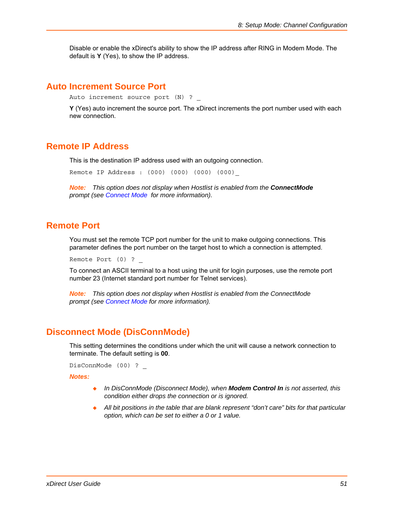Disable or enable the xDirect's ability to show the IP address after RING in Modem Mode. The default is **Y** (Yes), to show the IP address.

### **Auto Increment Source Port**

Auto increment source port (N) ?

**Y** (Yes) auto increment the source port. The xDirect increments the port number used with each new connection.

### **Remote IP Address**

This is the destination IP address used with an outgoing connection.

Remote IP Address : (000) (000) (000) (000)\_

*Note: This option does not display when Hostlist is enabled from the ConnectMode prompt (see [Connect Mode](#page-43-0) for more information).*

### **Remote Port**

You must set the remote TCP port number for the unit to make outgoing connections. This parameter defines the port number on the target host to which a connection is attempted.

Remote Port (0) ? \_

To connect an ASCII terminal to a host using the unit for login purposes, use the remote port number 23 (Internet standard port number for Telnet services).

*Note: This option does not display when Hostlist is enabled from the ConnectMode prompt (see [Connect Mode f](#page-43-0)or more information).*

### **Disconnect Mode (DisConnMode)**

This setting determines the conditions under which the unit will cause a network connection to terminate. The default setting is **00**.

DisConnMode (00) ? \_

*Notes:*

- *In DisConnMode (Disconnect Mode), when Modem Control In is not asserted, this condition either drops the connection or is ignored.*
- *All bit positions in the table that are blank represent "don't care" bits for that particular option, which can be set to either a 0 or 1 value.*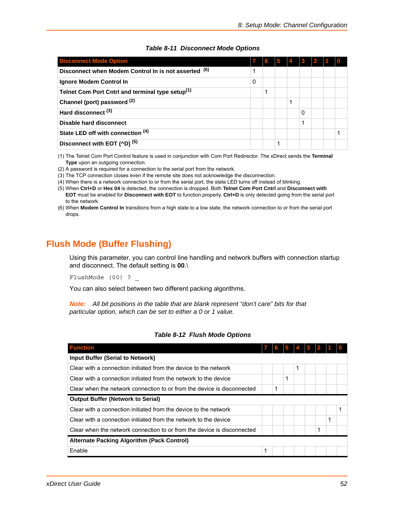| <b>Disconnect Mode Option</b>                                | -7 | <u> 16</u> | $\frac{15}{4}$ |   | $\mathbf{13}$ | $\mathbf{2}$ |  |
|--------------------------------------------------------------|----|------------|----------------|---|---------------|--------------|--|
| Disconnect when Modem Control In is not asserted             |    |            |                |   |               |              |  |
| Ignore Modem Control In                                      | 0  |            |                |   |               |              |  |
| Telnet Com Port Cntrl and terminal type setup <sup>(1)</sup> |    | 1          |                |   |               |              |  |
| Channel (port) password (2)                                  |    |            |                | 1 |               |              |  |
| Hard disconnect <sup>(3)</sup>                               |    |            |                |   | 0             |              |  |
| <b>Disable hard disconnect</b>                               |    |            |                |   | 1             |              |  |
| State LED off with connection (4)                            |    |            |                |   |               |              |  |
| Disconnect with EOT (^D) <sup>(5)</sup>                      |    |            |                |   |               |              |  |

#### *Table 8-11 Disconnect Mode Options*

(1) The Telnet Com Port Control feature is used in conjunction with Com Port Redirector. The xDirect sends the **Terminal Type** upon an outgoing connection.

(2) A password is required for a connection to the serial port from the network.

(3) The TCP connection closes even if the remote site does not acknowledge the disconnection.

(4) When there is a network connection to or from the serial port, the state LED turns off instead of blinking.

- (5) When **Ctrl+D** or **Hex 04** is detected, the connection is dropped. Both **Telnet Com Port Cntrl** and **Disconnect with EOT** must be enabled for **Disconnect with EOT** to function properly. **Ctrl+D** is only detected going from the serial port to the network.
- (6) When **Modem Control In** transitions from a high state to a low state, the network connection to or from the serial port drops.

### **Flush Mode (Buffer Flushing)**

Using this parameter, you can control line handling and network buffers with connection startup and disconnect. The default setting is **00**.\

FlushMode (00) ? \_

You can also select between two different packing algorithms.

*Note: All bit positions in the table that are blank represent "don't care" bits for that particular option, which can be set to either a 0 or 1 value.*

| <b>Function</b>                                                         | 7 | 6 | 15 |   | $\vert$ 3 | $\mathbf{12}$ |   |   |
|-------------------------------------------------------------------------|---|---|----|---|-----------|---------------|---|---|
| <b>Input Buffer (Serial to Network)</b>                                 |   |   |    |   |           |               |   |   |
| Clear with a connection initiated from the device to the network        |   |   |    | 1 |           |               |   |   |
| Clear with a connection initiated from the network to the device        |   |   | 1  |   |           |               |   |   |
| Clear when the network connection to or from the device is disconnected |   | 1 |    |   |           |               |   |   |
| <b>Output Buffer (Network to Serial)</b>                                |   |   |    |   |           |               |   |   |
| Clear with a connection initiated from the device to the network        |   |   |    |   |           |               |   | 1 |
| Clear with a connection initiated from the network to the device        |   |   |    |   |           |               | 1 |   |
| Clear when the network connection to or from the device is disconnected |   |   |    |   |           | 1             |   |   |
| <b>Alternate Packing Algorithm (Pack Control)</b>                       |   |   |    |   |           |               |   |   |
| Enable                                                                  | 1 |   |    |   |           |               |   |   |

#### *Table 8-12 Flush Mode Options*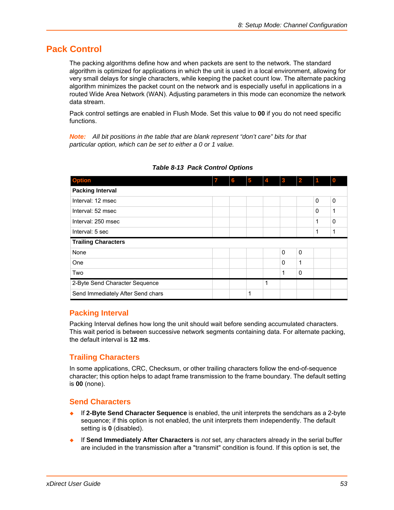### <span id="page-52-0"></span>**Pack Control**

The packing algorithms define how and when packets are sent to the network. The standard algorithm is optimized for applications in which the unit is used in a local environment, allowing for very small delays for single characters, while keeping the packet count low. The alternate packing algorithm minimizes the packet count on the network and is especially useful in applications in a routed Wide Area Network (WAN). Adjusting parameters in this mode can economize the network data stream.

Pack control settings are enabled in Flush Mode. Set this value to **00** if you do not need specific functions.

*Note: All bit positions in the table that are blank represent "don't care" bits for that particular option, which can be set to either a 0 or 1 value.*

| <b>Option</b>                  | $\overline{7}$ | $\overline{6}$ | $\overline{\mathbf{5}}$ | $\overline{4}$ | $\overline{\mathbf{3}}$ | $\overline{2}$ | l 1         | $\overline{0}$ |
|--------------------------------|----------------|----------------|-------------------------|----------------|-------------------------|----------------|-------------|----------------|
| <b>Packing Interval</b>        |                |                |                         |                |                         |                |             |                |
| Interval: 12 msec              |                |                |                         |                |                         |                | $\Omega$    | 0              |
| Interval: 52 msec              |                |                |                         |                |                         |                | $\mathbf 0$ | 1              |
| Interval: 250 msec             |                |                |                         |                |                         |                | 1           | 0              |
| Interval: 5 sec                |                |                |                         |                |                         |                | 1           |                |
|                                |                |                |                         |                |                         |                |             |                |
| <b>Trailing Characters</b>     |                |                |                         |                |                         |                |             |                |
| None                           |                |                |                         |                | $\Omega$                | 0              |             |                |
| One                            |                |                |                         |                | $\mathbf{0}$            | 1              |             |                |
| Two                            |                |                |                         |                | 1                       | 0              |             |                |
| 2-Byte Send Character Sequence |                |                |                         | 1              |                         |                |             |                |

*Table 8-13 Pack Control Options*

### **Packing Interval**

Packing Interval defines how long the unit should wait before sending accumulated characters. This wait period is between successive network segments containing data. For alternate packing, the default interval is **12 ms**.

### **Trailing Characters**

In some applications, CRC, Checksum, or other trailing characters follow the end-of-sequence character; this option helps to adapt frame transmission to the frame boundary. The default setting is **00** (none).

### **Send Characters**

- If **2-Byte Send Character Sequence** is enabled, the unit interprets the sendchars as a 2-byte sequence; if this option is not enabled, the unit interprets them independently. The default setting is **0** (disabled).
- If **Send Immediately After Characters** is *not* set, any characters already in the serial buffer are included in the transmission after a "transmit" condition is found. If this option is set, the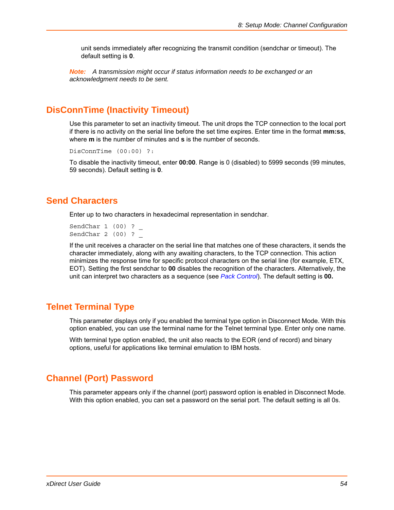unit sends immediately after recognizing the transmit condition (sendchar or timeout). The default setting is **0**.

*Note: A transmission might occur if status information needs to be exchanged or an acknowledgment needs to be sent.* 

### **DisConnTime (Inactivity Timeout)**

Use this parameter to set an inactivity timeout. The unit drops the TCP connection to the local port if there is no activity on the serial line before the set time expires. Enter time in the format **mm:ss**, where **m** is the number of minutes and **s** is the number of seconds.

```
DisConnTime (00:00) ?:
```
To disable the inactivity timeout, enter **00:00**. Range is 0 (disabled) to 5999 seconds (99 minutes, 59 seconds). Default setting is **0**.

### **Send Characters**

Enter up to two characters in hexadecimal representation in sendchar.

SendChar  $1 \t(00)$  ?  $\overline{\phantom{0}}$ SendChar 2 (00) ? \_

If the unit receives a character on the serial line that matches one of these characters, it sends the character immediately, along with any awaiting characters, to the TCP connection. This action minimizes the response time for specific protocol characters on the serial line (for example, ETX, EOT). Setting the first sendchar to **00** disables the recognition of the characters. Alternatively, the unit can interpret two characters as a sequence (see *[Pack Control](#page-52-0)*). The default setting is **00.**

### **Telnet Terminal Type**

This parameter displays only if you enabled the terminal type option in Disconnect Mode. With this option enabled, you can use the terminal name for the Telnet terminal type. Enter only one name.

With terminal type option enabled, the unit also reacts to the EOR (end of record) and binary options, useful for applications like terminal emulation to IBM hosts.

### **Channel (Port) Password**

This parameter appears only if the channel (port) password option is enabled in Disconnect Mode. With this option enabled, you can set a password on the serial port. The default setting is all 0s.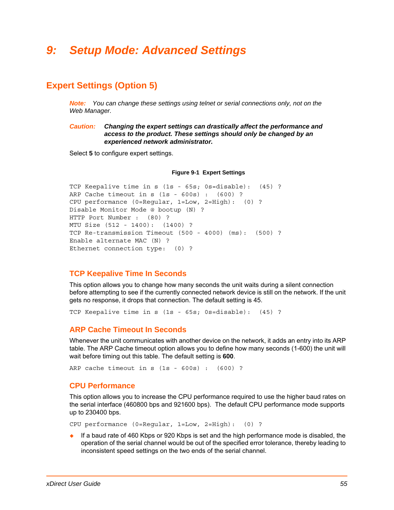## *9: Setup Mode: Advanced Settings*

### **Expert Settings (Option 5)**

*Note: You can change these settings using telnet or serial connections only, not on the Web Manager.* 

*Caution: Changing the expert settings can drastically affect the performance and access to the product. These settings should only be changed by an experienced network administrator.*

Select **5** to configure expert settings.

#### **Figure 9-1 Expert Settings**

```
TCP Keepalive time in s (1s - 65s; 0s=disable): (45) ?
ARP Cache timeout in s (1s - 600s) : (600) ?
CPU performance (0=Regular, 1=Low, 2=High): (0) ?
Disable Monitor Mode @ bootup (N) ?
HTTP Port Number : (80) ?
MTU Size (512 - 1400): (1400) ?
TCP Re-transmission Timeout (500 - 4000) (ms): (500) ?
Enable alternate MAC (N) ?
Ethernet connection type: (0) ?
```
#### **TCP Keepalive Time In Seconds**

This option allows you to change how many seconds the unit waits during a silent connection before attempting to see if the currently connected network device is still on the network. If the unit gets no response, it drops that connection. The default setting is 45.

```
TCP Keepalive time in s (1s - 65s; 0s=disable): (45) ?
```
### **ARP Cache Timeout In Seconds**

Whenever the unit communicates with another device on the network, it adds an entry into its ARP table. The ARP Cache timeout option allows you to define how many seconds (1-600) the unit will wait before timing out this table. The default setting is **600**.

ARP cache timeout in s (1s - 600s) : (600) ?

#### <span id="page-54-0"></span>**CPU Performance**

This option allows you to increase the CPU performance required to use the higher baud rates on the serial interface (460800 bps and 921600 bps). The default CPU performance mode supports up to 230400 bps.

CPU performance (0=Regular, 1=Low, 2=High): (0) ?

 If a baud rate of 460 Kbps or 920 Kbps is set and the high performance mode is disabled, the operation of the serial channel would be out of the specified error tolerance, thereby leading to inconsistent speed settings on the two ends of the serial channel.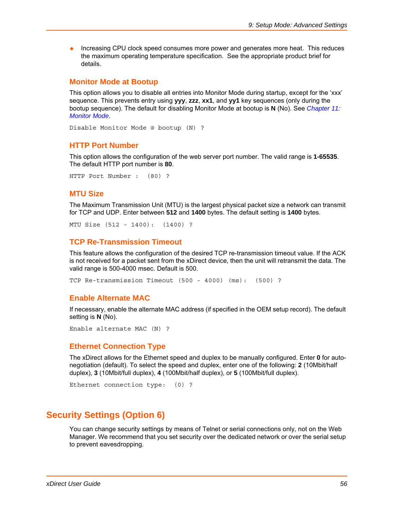◆ Increasing CPU clock speed consumes more power and generates more heat. This reduces the maximum operating temperature specification. See the appropriate product brief for details.

#### **Monitor Mode at Bootup**

This option allows you to disable all entries into Monitor Mode during startup, except for the 'xxx' sequence. This prevents entry using **yyy**, **zzz**, **xx1**, and **yy1** key sequences (only during the bootup sequence). The default for disabling Monitor Mode at bootup is **N** (No). See *[Chapter 11:](#page-63-0)  [Monitor Mode](#page-63-0)*.

```
Disable Monitor Mode @ bootup (N) ?
```
#### **HTTP Port Number**

This option allows the configuration of the web server port number. The valid range is **1-65535**. The default HTTP port number is **80**.

HTTP Port Number : (80) ?

#### **MTU Size**

The Maximum Transmission Unit (MTU) is the largest physical packet size a network can transmit for TCP and UDP. Enter between **512** and **1400** bytes. The default setting is **1400** bytes.

MTU Size (512 - 1400): (1400) ?

#### **TCP Re-Transmission Timeout**

This feature allows the configuration of the desired TCP re-transmission timeout value. If the ACK is not received for a packet sent from the xDirect device, then the unit will retransmit the data. The valid range is 500-4000 msec. Default is 500.

TCP Re-transmission Timeout (500 - 4000) (ms): (500) ?

#### **Enable Alternate MAC**

If necessary, enable the alternate MAC address (if specified in the OEM setup record). The default setting is **N** (No).

Enable alternate MAC (N) ?

#### **Ethernet Connection Type**

The xDirect allows for the Ethernet speed and duplex to be manually configured. Enter **0** for autonegotiation (default). To select the speed and duplex, enter one of the following: **2** (10Mbit/half duplex), **3** (10Mbit/full duplex), **4** (100Mbit/half duplex), or **5** (100Mbit/full duplex).

```
Ethernet connection type: (0) ?
```
### <span id="page-55-0"></span>**Security Settings (Option 6)**

You can change security settings by means of Telnet or serial connections only, not on the Web Manager. We recommend that you set security over the dedicated network or over the serial setup to prevent eavesdropping.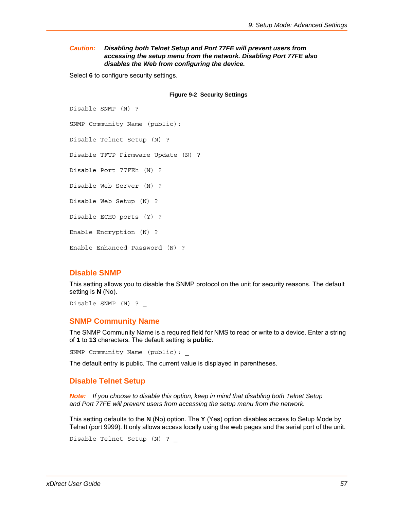#### *Caution: Disabling both Telnet Setup and Port 77FE will prevent users from accessing the setup menu from the network. Disabling Port 77FE also disables the Web from configuring the device.*

Select **6** to configure security settings.

**Figure 9-2 Security Settings**

Disable SNMP (N) ?

SNMP Community Name (public):

Disable Telnet Setup (N) ?

Disable TFTP Firmware Update (N) ?

Disable Port 77FEh (N) ?

Disable Web Server (N) ?

Disable Web Setup (N) ?

Disable ECHO ports (Y) ?

Enable Encryption (N) ?

Enable Enhanced Password (N) ?

#### **Disable SNMP**

This setting allows you to disable the SNMP protocol on the unit for security reasons. The default setting is **N** (No).

Disable SNMP (N) ? \_

#### **SNMP Community Name**

The SNMP Community Name is a required field for NMS to read or write to a device. Enter a string of **1** to **13** characters. The default setting is **public**.

SNMP Community Name (public):

The default entry is public. The current value is displayed in parentheses.

#### **Disable Telnet Setup**

*Note: If you choose to disable this option, keep in mind that disabling both Telnet Setup and Port 77FE will prevent users from accessing the setup menu from the network.*

This setting defaults to the **N** (No) option. The **Y** (Yes) option disables access to Setup Mode by Telnet (port 9999). It only allows access locally using the web pages and the serial port of the unit.

Disable Telnet Setup (N) ? \_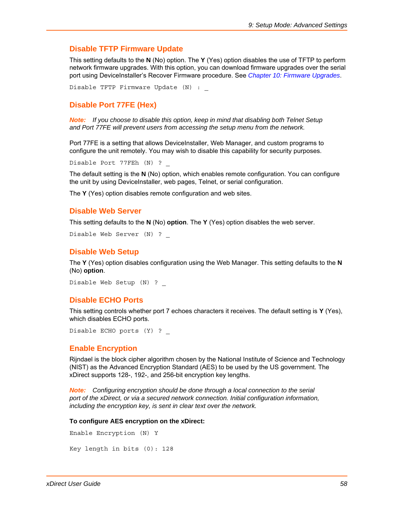#### **Disable TFTP Firmware Update**

This setting defaults to the **N** (No) option. The **Y** (Yes) option disables the use of TFTP to perform network firmware upgrades. With this option, you can download firmware upgrades over the serial port using DeviceInstaller's Recover Firmware procedure. See *[Chapter 10: Firmware Upgrades](#page-60-0)*.

Disable TFTP Firmware Update (N) :

#### **Disable Port 77FE (Hex)**

*Note: If you choose to disable this option, keep in mind that disabling both Telnet Setup and Port 77FE will prevent users from accessing the setup menu from the network.*

Port 77FE is a setting that allows DeviceInstaller, Web Manager, and custom programs to configure the unit remotely. You may wish to disable this capability for security purposes.

Disable Port 77FEh (N) ? \_

The default setting is the **N** (No) option, which enables remote configuration. You can configure the unit by using DeviceInstaller, web pages, Telnet, or serial configuration.

The **Y** (Yes) option disables remote configuration and web sites.

#### **Disable Web Server**

This setting defaults to the **N** (No) **option**. The **Y** (Yes) option disables the web server.

Disable Web Server (N) ? \_

#### **Disable Web Setup**

The **Y** (Yes) option disables configuration using the Web Manager. This setting defaults to the **N**  (No) **option**.

Disable Web Setup (N) ? \_

#### **Disable ECHO Ports**

This setting controls whether port 7 echoes characters it receives. The default setting is **Y** (Yes), which disables ECHO ports.

Disable ECHO ports (Y) ? \_

#### **Enable Encryption**

Rijndael is the block cipher algorithm chosen by the National Institute of Science and Technology (NIST) as the Advanced Encryption Standard (AES) to be used by the US government. The xDirect supports 128-, 192-, and 256-bit encryption key lengths.

*Note: Configuring encryption should be done through a local connection to the serial port of the xDirect, or via a secured network connection. Initial configuration information, including the encryption key, is sent in clear text over the network.* 

#### **To configure AES encryption on the xDirect:**

Enable Encryption (N) Y Key length in bits (0): 128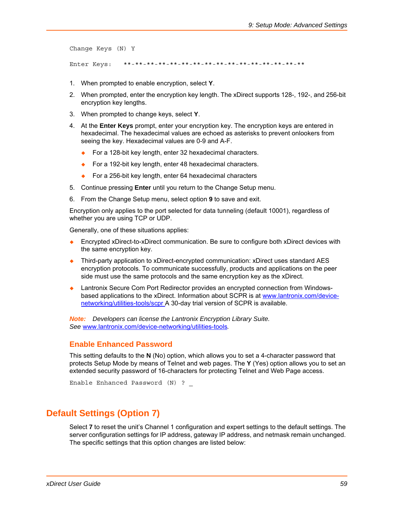```
Change Keys (N) Y
Enter Keys: **-**-**-**-**-**-**-**-**-**-**-**-**-**-**-**
```
- 1. When prompted to enable encryption, select **Y**.
- 2. When prompted, enter the encryption key length. The xDirect supports 128-, 192-, and 256-bit encryption key lengths.
- 3. When prompted to change keys, select **Y**.
- 4. At the **Enter Keys** prompt, enter your encryption key. The encryption keys are entered in hexadecimal. The hexadecimal values are echoed as asterisks to prevent onlookers from seeing the key. Hexadecimal values are 0-9 and A-F.
	- ◆ For a 128-bit key length, enter 32 hexadecimal characters.
	- ◆ For a 192-bit key length, enter 48 hexadecimal characters.
	- ◆ For a 256-bit key length, enter 64 hexadecimal characters
- 5. Continue pressing **Enter** until you return to the Change Setup menu.
- 6. From the Change Setup menu, select option **9** to save and exit.

Encryption only applies to the port selected for data tunneling (default 10001), regardless of whether you are using TCP or UDP.

Generally, one of these situations applies:

- Encrypted xDirect-to-xDirect communication. Be sure to configure both xDirect devices with the same encryption key.
- ◆ Third-party application to xDirect-encrypted communication: xDirect uses standard AES encryption protocols. To communicate successfully, products and applications on the peer side must use the same protocols and the same encryption key as the xDirect.
- Lantronix Secure Com Port Redirector provides an encrypted connection from Windowsbased applications to the xDirect. Information about SCPR is at www.lantronix.com/devicenetworking/utilities-tools/scpr A 30-day trial version of SCPR is available.

*Note: Developers can license the Lantronix Encryption Library Suite. See* www.lantronix.com/device-networking/utilities-tools*.*

### **Enable Enhanced Password**

This setting defaults to the **N** (No) option, which allows you to set a 4-character password that protects Setup Mode by means of Telnet and web pages. The **Y** (Yes) option allows you to set an extended security password of 16-characters for protecting Telnet and Web Page access.

```
Enable Enhanced Password (N) ? _
```
### **Default Settings (Option 7)**

Select **7** to reset the unit's Channel 1 configuration and expert settings to the default settings. The server configuration settings for IP address, gateway IP address, and netmask remain unchanged. The specific settings that this option changes are listed below: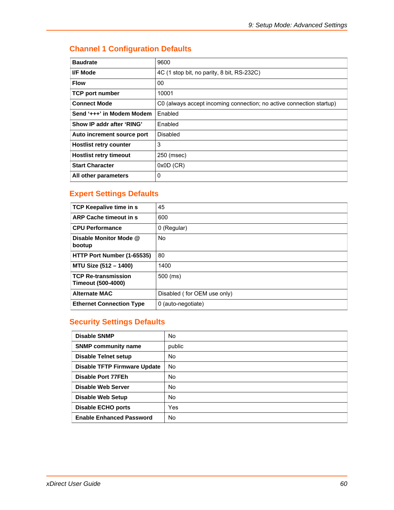### **Channel 1 Configuration Defaults**

| <b>Baudrate</b>               | 9600                                                                 |
|-------------------------------|----------------------------------------------------------------------|
| I/F Mode                      | 4C (1 stop bit, no parity, 8 bit, RS-232C)                           |
| <b>Flow</b>                   | 00                                                                   |
| <b>TCP port number</b>        | 10001                                                                |
| <b>Connect Mode</b>           | C0 (always accept incoming connection; no active connection startup) |
| Send '+++' in Modem Modem     | Enabled                                                              |
| Show IP addr after 'RING'     | Enabled                                                              |
| Auto increment source port    | Disabled                                                             |
| <b>Hostlist retry counter</b> | 3                                                                    |
| <b>Hostlist retry timeout</b> | 250 (msec)                                                           |
| <b>Start Character</b>        | $0x0D$ (CR)                                                          |
| All other parameters          | 0                                                                    |

### **Expert Settings Defaults**

| <b>TCP Keepalive time in s</b>                          | 45                          |
|---------------------------------------------------------|-----------------------------|
| ARP Cache timeout in s                                  | 600                         |
| <b>CPU Performance</b>                                  | 0 (Regular)                 |
| Disable Monitor Mode @<br>bootup                        | No                          |
| HTTP Port Number (1-65535)                              | 80                          |
| <b>MTU Size (512 – 1400)</b>                            | 1400                        |
| <b>TCP Re-transmission</b><br><b>Timeout (500-4000)</b> | 500 (ms)                    |
| <b>Alternate MAC</b>                                    | Disabled (for OEM use only) |
| <b>Ethernet Connection Type</b>                         | 0 (auto-negotiate)          |

### **Security Settings Defaults**

| <b>Disable SNMP</b>             | No             |
|---------------------------------|----------------|
| <b>SNMP community name</b>      | public         |
| <b>Disable Telnet setup</b>     | No             |
| Disable TFTP Firmware Update    | N <sub>o</sub> |
| Disable Port 77FEh              | No             |
| <b>Disable Web Server</b>       | No             |
| <b>Disable Web Setup</b>        | No             |
| <b>Disable ECHO ports</b>       | Yes            |
| <b>Enable Enhanced Password</b> | No             |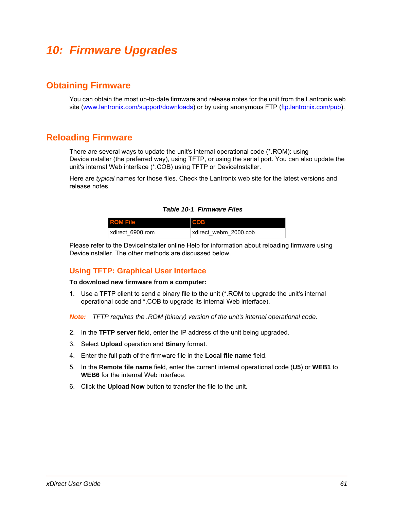## <span id="page-60-0"></span>*10: Firmware Upgrades*

### **Obtaining Firmware**

You can obtain the most up-to-date firmware and release notes for the unit from the Lantronix web site (www.lantronix.com/support/downloads) or by using anonymous FTP (ftp.lantronix.com/pub).

### **Reloading Firmware**

There are several ways to update the unit's internal operational code (\*.ROM): using DeviceInstaller (the preferred way), using TFTP, or using the serial port. You can also update the unit's internal Web interface (\*.COB) using TFTP or DeviceInstaller.

Here are *typical* names for those files. Check the Lantronix web site for the latest versions and release notes.

#### *Table 10-1 Firmware Files*

| <b>ROM File</b>  | <b>COB</b>            |
|------------------|-----------------------|
| xdirect 6900.rom | xdirect webm 2000.cob |

Please refer to the DeviceInstaller online Help for information about reloading firmware using DeviceInstaller. The other methods are discussed below.

### **Using TFTP: Graphical User Interface**

#### **To download new firmware from a computer:**

1. Use a TFTP client to send a binary file to the unit (\*.ROM to upgrade the unit's internal operational code and \*.COB to upgrade its internal Web interface).

*Note: TFTP requires the .ROM (binary) version of the unit's internal operational code.* 

- 2. In the **TFTP server** field, enter the IP address of the unit being upgraded.
- 3. Select **Upload** operation and **Binary** format.
- 4. Enter the full path of the firmware file in the **Local file name** field.
- 5. In the **Remote file name** field, enter the current internal operational code (**U5**) or **WEB1** to **WEB6** for the internal Web interface.
- 6. Click the **Upload Now** button to transfer the file to the unit.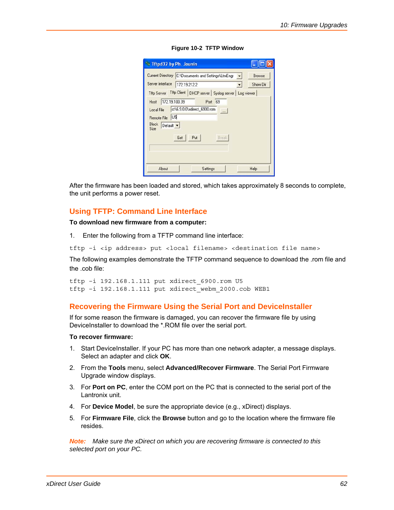| Server interface                                                                                              | Current Directory C:\Documents and Settings\LtrxEngr ~<br>172.19.212.2                                                                          | Browse<br>Show Dir |
|---------------------------------------------------------------------------------------------------------------|-------------------------------------------------------------------------------------------------------------------------------------------------|--------------------|
| 172.19.100.39<br>Host<br>Local File<br>Remote File U5<br><b>Block</b><br>Default $\blacktriangledown$<br>Size | Tftp Server Tftp Client   DHCP server   Syslog server   Log viewer<br>Port 69<br>ct\6.9.0.0\xdirect_6900.rom<br>$\cdots$<br>Break<br>Get<br>Put |                    |
|                                                                                                               |                                                                                                                                                 |                    |

**Figure 10-2 TFTP Window** 

After the firmware has been loaded and stored, which takes approximately 8 seconds to complete, the unit performs a power reset.

#### **Using TFTP: Command Line Interface**

**To download new firmware from a computer:**

1. Enter the following from a TFTP command line interface:

tftp -i <ip address> put <local filename> <destination file name>

The following examples demonstrate the TFTP command sequence to download the .rom file and the .cob file:

tftp –i 192.168.1.111 put xdirect\_6900.rom U5 tftp -i 192.168.1.111 put xdirect webm 2000.cob WEB1

#### **Recovering the Firmware Using the Serial Port and DeviceInstaller**

If for some reason the firmware is damaged, you can recover the firmware file by using DeviceInstaller to download the \*.ROM file over the serial port.

#### **To recover firmware:**

- 1. Start DeviceInstaller. If your PC has more than one network adapter, a message displays. Select an adapter and click **OK**.
- 2. From the **Tools** menu, select **Advanced/Recover Firmware**. The Serial Port Firmware Upgrade window displays.
- 3. For **Port on PC**, enter the COM port on the PC that is connected to the serial port of the Lantronix unit.
- 4. For **Device Model**, be sure the appropriate device (e.g., xDirect) displays.
- 5. For **Firmware File**, click the **Browse** button and go to the location where the firmware file resides.

*Note: Make sure the xDirect on which you are recovering firmware is connected to this selected port on your PC.*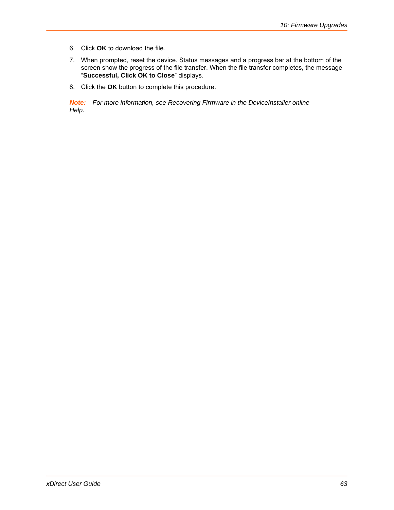- 6. Click **OK** to download the file.
- 7. When prompted, reset the device. Status messages and a progress bar at the bottom of the screen show the progress of the file transfer. When the file transfer completes, the message "**Successful, Click OK to Close**" displays.
- 8. Click the **OK** button to complete this procedure.

*Note: For more information, see Recovering Firmware in the DeviceInstaller online Help.*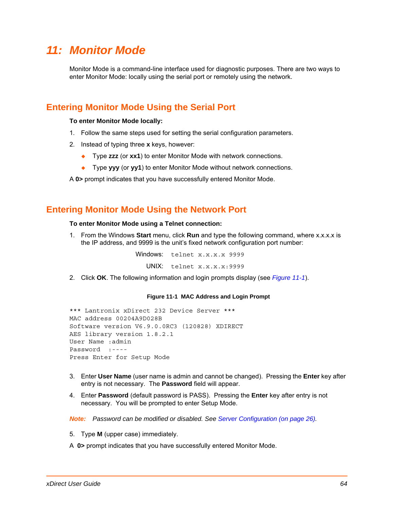## <span id="page-63-0"></span>*11: Monitor Mode*

Monitor Mode is a command-line interface used for diagnostic purposes. There are two ways to enter Monitor Mode: locally using the serial port or remotely using the network.

### **Entering Monitor Mode Using the Serial Port**

#### **To enter Monitor Mode locally:**

- 1. Follow the same steps used for setting the serial configuration parameters.
- 2. Instead of typing three **x** keys, however:
	- ◆ Type zzz (or xx1) to enter Monitor Mode with network connections.
	- ◆ Type yyy (or yy1) to enter Monitor Mode without network connections.

A **0>** prompt indicates that you have successfully entered Monitor Mode.

### **Entering Monitor Mode Using the Network Port**

#### **To enter Monitor Mode using a Telnet connection:**

1. From the Windows **Start** menu, click **Run** and type the following command, where x.x.x.x is the IP address, and 9999 is the unit's fixed network configuration port number:

> Windows: telnet x.x.x.x 9999 UNIX: telnet x.x.x.x:9999

2. Click **OK**. The following information and login prompts display (see *[Figure 11-1](#page-63-1)*).

#### **Figure 11-1 MAC Address and Login Prompt**

<span id="page-63-1"></span>\*\*\* Lantronix xDirect 232 Device Server \*\*\* MAC address 00204A9D028B Software version V6.9.0.0RC3 (120828) XDIRECT AES library version 1.8.2.1 User Name :admin Password :---- Press Enter for Setup Mode

- 3. Enter **User Name** (user name is admin and cannot be changed). Pressing the **Enter** key after entry is not necessary. The **Password** field will appear.
- 4. Enter **Password** (default password is PASS). Pressing the **Enter** key after entry is not necessary. You will be prompted to enter Setup Mode.

*Note: Password can be modified or disabled. See [Server Configuration \(on page 26\)](#page-25-0).*

- 5. Type **M** (upper case) immediately.
- A **0>** prompt indicates that you have successfully entered Monitor Mode.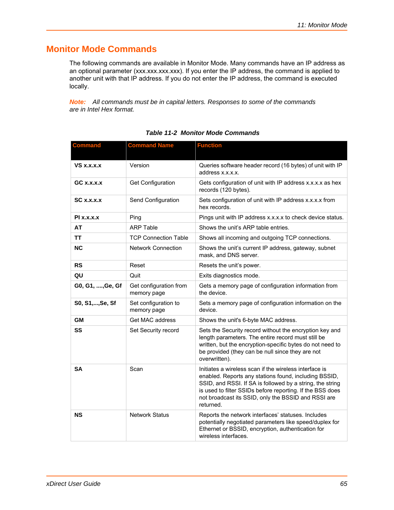## **Monitor Mode Commands**

The following commands are available in Monitor Mode. Many commands have an IP address as an optional parameter (xxx.xxx.xxx.xxx). If you enter the IP address, the command is applied to another unit with that IP address. If you do not enter the IP address, the command is executed locally.

*Note: All commands must be in capital letters. Responses to some of the commands are in Intel Hex format.*

| <b>Command</b>                                            | <b>Command Name</b>         | <b>Function</b>                                                                                                                                                                                                                                                                                               |  |
|-----------------------------------------------------------|-----------------------------|---------------------------------------------------------------------------------------------------------------------------------------------------------------------------------------------------------------------------------------------------------------------------------------------------------------|--|
| $VS$ x.x.x.x                                              | Version                     | Queries software header record (16 bytes) of unit with IP<br>address x.x.x.x.                                                                                                                                                                                                                                 |  |
| $GC$ x.x.x. $x$                                           | <b>Get Configuration</b>    | Gets configuration of unit with IP address x.x.x.x as hex<br>records (120 bytes).                                                                                                                                                                                                                             |  |
| $SC$ x.x.x. $x$                                           | Send Configuration          | Sets configuration of unit with IP address x.x.x.x from<br>hex records.                                                                                                                                                                                                                                       |  |
| $PI$ x.x.x.x                                              | Ping                        | Pings unit with IP address x.x.x.x to check device status.                                                                                                                                                                                                                                                    |  |
| АT                                                        | <b>ARP Table</b>            | Shows the unit's ARP table entries.                                                                                                                                                                                                                                                                           |  |
| TΤ                                                        | <b>TCP Connection Table</b> | Shows all incoming and outgoing TCP connections.                                                                                                                                                                                                                                                              |  |
| <b>NC</b>                                                 | <b>Network Connection</b>   | Shows the unit's current IP address, gateway, subnet<br>mask, and DNS server.                                                                                                                                                                                                                                 |  |
| <b>RS</b>                                                 | Reset                       | Resets the unit's power.                                                                                                                                                                                                                                                                                      |  |
| QU                                                        | Quit                        | Exits diagnostics mode.                                                                                                                                                                                                                                                                                       |  |
| Get configuration from<br>G0, G1, , Ge, Gf<br>memory page |                             | Gets a memory page of configuration information from<br>the device.                                                                                                                                                                                                                                           |  |
| S0, S1,,Se, Sf<br>Set configuration to<br>memory page     |                             | Sets a memory page of configuration information on the<br>device.                                                                                                                                                                                                                                             |  |
| GM                                                        | Get MAC address             | Shows the unit's 6-byte MAC address.                                                                                                                                                                                                                                                                          |  |
| SS                                                        | Set Security record         | Sets the Security record without the encryption key and<br>length parameters. The entire record must still be<br>written, but the encryption-specific bytes do not need to<br>be provided (they can be null since they are not<br>overwritten).                                                               |  |
| <b>SA</b><br>Scan                                         |                             | Initiates a wireless scan if the wireless interface is<br>enabled. Reports any stations found, including BSSID,<br>SSID, and RSSI. If SA is followed by a string, the string<br>is used to filter SSIDs before reporting. If the BSS does<br>not broadcast its SSID, only the BSSID and RSSI are<br>returned. |  |
| <b>NS</b>                                                 | <b>Network Status</b>       | Reports the network interfaces' statuses. Includes<br>potentially negotiated parameters like speed/duplex for<br>Ethernet or BSSID, encryption, authentication for<br>wireless interfaces.                                                                                                                    |  |

#### *Table 11-2 Monitor Mode Commands*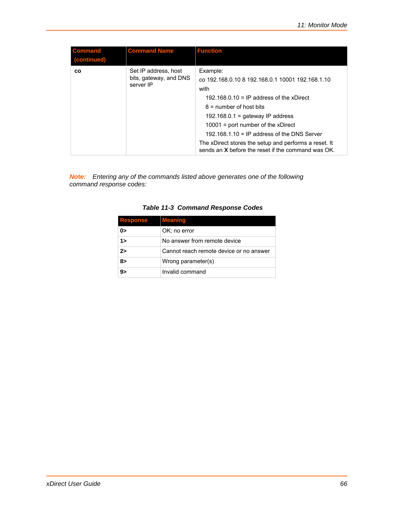| <b>Command</b> | <b>Command Name</b>                            | <b>Function</b>                                                                                             |
|----------------|------------------------------------------------|-------------------------------------------------------------------------------------------------------------|
| (continued)    |                                                |                                                                                                             |
| <b>CO</b>      | Set IP address, host<br>bits, gateway, and DNS | Example:<br>co 192.168.0.10 8 192.168.0.1 10001 192.168.1.10                                                |
|                | server IP                                      | with                                                                                                        |
|                |                                                | 192.168.0.10 = IP address of the xDirect                                                                    |
|                |                                                | $8 =$ number of host bits                                                                                   |
|                |                                                | 192.168.0.1 = gateway IP address                                                                            |
|                |                                                | $10001$ = port number of the xDirect                                                                        |
|                |                                                | 192.168.1.10 = IP address of the DNS Server                                                                 |
|                |                                                | The xDirect stores the setup and performs a reset. It<br>sends an X before the reset if the command was OK. |

*Note: Entering any of the commands listed above generates one of the following command response codes:*

| <b>Response</b> | <b>Meaning</b>                          |  |
|-----------------|-----------------------------------------|--|
| 0>              | OK; no error                            |  |
| 1>              | No answer from remote device            |  |
| $2\geq$         | Cannot reach remote device or no answer |  |
| 8>              | Wrong parameter(s)                      |  |
| 9>              | Invalid command                         |  |

### *Table 11-3 Command Response Codes*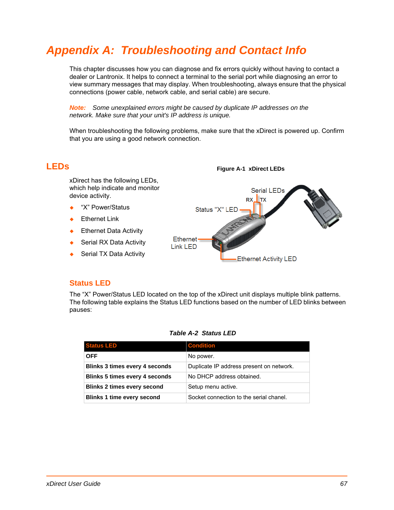# *Appendix A: Troubleshooting and Contact Info*

This chapter discusses how you can diagnose and fix errors quickly without having to contact a dealer or Lantronix. It helps to connect a terminal to the serial port while diagnosing an error to view summary messages that may display. When troubleshooting, always ensure that the physical connections (power cable, network cable, and serial cable) are secure.

*Note: Some unexplained errors might be caused by duplicate IP addresses on the network. Make sure that your unit's IP address is unique.* 

When troubleshooting the following problems, make sure that the xDirect is powered up. Confirm that you are using a good network connection.



#### **Status LED**

The "X" Power/Status LED located on the top of the xDirect unit displays multiple blink patterns. The following table explains the Status LED functions based on the number of LED blinks between pauses:

|  |  | <b>Table A-2 Status LED</b> |  |
|--|--|-----------------------------|--|
|--|--|-----------------------------|--|

| <b>Status LED</b>                     | <b>Condition</b>                         |
|---------------------------------------|------------------------------------------|
| <b>OFF</b>                            | No power.                                |
| <b>Blinks 3 times every 4 seconds</b> | Duplicate IP address present on network. |
| <b>Blinks 5 times every 4 seconds</b> | No DHCP address obtained.                |
| <b>Blinks 2 times every second</b>    | Setup menu active.                       |
| <b>Blinks 1 time every second</b>     | Socket connection to the serial chanel.  |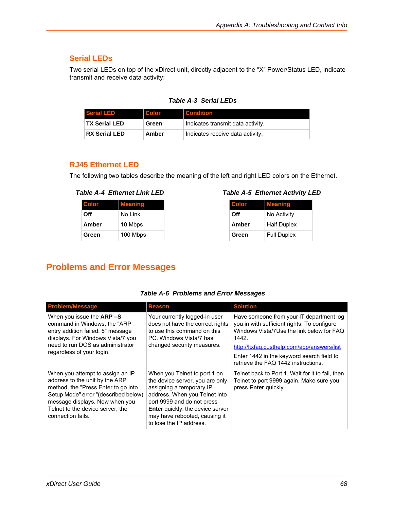### **Serial LEDs**

Two serial LEDs on top of the xDirect unit, directly adjacent to the "X" Power/Status LED, indicate transmit and receive data activity:

| <b>Serial LED</b>    | <b>Color</b> | <b>Condition</b>                  |
|----------------------|--------------|-----------------------------------|
| <b>TX Serial LED</b> | Green        | Indicates transmit data activity. |
| RX Serial LED        | Amber        | Indicates receive data activity.  |

### *Table A-3 Serial LEDs*

### **RJ45 Ethernet LED**

The following two tables describe the meaning of the left and right LED colors on the Ethernet.

| <b>Color</b> | <b>Meaning</b> | <b>Color</b> | Meaning            |
|--------------|----------------|--------------|--------------------|
| Off          | No Link        | Off          | No Activity        |
| Amber        | 10 Mbps        | Amber        | <b>Half Duplex</b> |
| Green        | 100 Mbps       | Green        | <b>Full Duplex</b> |

### *Table A-4 Ethernet Link LED Table A-5 Ethernet Activity LED*

| <b>Color</b> | <b>Meaning</b>     |  |
|--------------|--------------------|--|
| Off          | No Activity        |  |
| Amber        | <b>Half Duplex</b> |  |
| Green        | <b>Full Duplex</b> |  |

### **Problems and Error Messages**

| <b>Problem/Message</b>                                                                                                                                                                                                                       | <b>Reason</b>                                                                                                                                                                                                                                                     | <b>Solution</b>                                                                                                                                                                                                                                                                  |
|----------------------------------------------------------------------------------------------------------------------------------------------------------------------------------------------------------------------------------------------|-------------------------------------------------------------------------------------------------------------------------------------------------------------------------------------------------------------------------------------------------------------------|----------------------------------------------------------------------------------------------------------------------------------------------------------------------------------------------------------------------------------------------------------------------------------|
| When you issue the ARP-S<br>command in Windows, the "ARP"<br>entry addition failed: 5" message<br>displays. For Windows Vista/7 you<br>need to run DOS as administrator<br>regardless of your login.                                         | Your currently logged-in user<br>does not have the correct rights<br>to use this command on this<br>PC. Windows Vista/7 has<br>changed security measures.                                                                                                         | Have someone from your IT department log<br>you in with sufficient rights. To configure<br>Windows Vista/7Use the link below for FAQ<br>1442.<br>http://ltxfaq.custhelp.com/app/answers/list<br>Enter 1442 in the keyword search field to<br>retrieve the FAQ 1442 instructions. |
| When you attempt to assign an IP<br>address to the unit by the ARP<br>method, the "Press Enter to go into<br>Setup Mode" error "(described below)<br>message displays. Now when you<br>Telnet to the device server, the<br>connection fails. | When you Telnet to port 1 on<br>the device server, you are only<br>assigning a temporary IP<br>address. When you Telnet into<br>port 9999 and do not press<br><b>Enter</b> quickly, the device server<br>may have rebooted, causing it<br>to lose the IP address. | Telnet back to Port 1. Wait for it to fail, then<br>Telnet to port 9999 again. Make sure you<br>press Enter quickly.                                                                                                                                                             |

#### *Table A-6 Problems and Error Messages*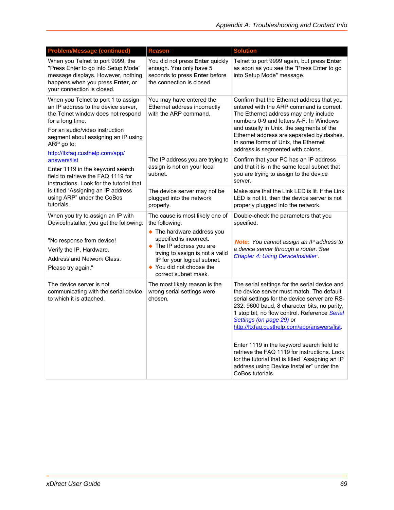| <b>Problem/Message (continued)</b>                                                                                                                                                                                                                                                                                                                                                                                                                                                     | <b>Reason</b>                                                                                                                                                                                                                                                        | <b>Solution</b>                                                                                                                                                                                                                                                                                                                                                                                                                                                                                                                           |
|----------------------------------------------------------------------------------------------------------------------------------------------------------------------------------------------------------------------------------------------------------------------------------------------------------------------------------------------------------------------------------------------------------------------------------------------------------------------------------------|----------------------------------------------------------------------------------------------------------------------------------------------------------------------------------------------------------------------------------------------------------------------|-------------------------------------------------------------------------------------------------------------------------------------------------------------------------------------------------------------------------------------------------------------------------------------------------------------------------------------------------------------------------------------------------------------------------------------------------------------------------------------------------------------------------------------------|
| When you Telnet to port 9999, the<br>"Press Enter to go into Setup Mode"<br>message displays. However, nothing<br>happens when you press Enter, or<br>your connection is closed.                                                                                                                                                                                                                                                                                                       | You did not press Enter quickly<br>enough. You only have 5<br>seconds to press Enter before<br>the connection is closed.                                                                                                                                             | Telnet to port 9999 again, but press Enter<br>as soon as you see the "Press Enter to go<br>into Setup Mode" message.                                                                                                                                                                                                                                                                                                                                                                                                                      |
| When you Telnet to port 1 to assign<br>an IP address to the device server,<br>the Telnet window does not respond<br>for a long time.<br>For an audio/video instruction<br>segment about assigning an IP using<br>ARP go to:<br>http://ltxfaq.custhelp.com/app/<br>answers/list<br>Enter 1119 in the keyword search<br>field to retrieve the FAQ 1119 for<br>instructions. Look for the tutorial that<br>is titled "Assigning an IP address<br>using ARP" under the CoBos<br>tutorials. | You may have entered the<br>Ethernet address incorrectly<br>with the ARP command.                                                                                                                                                                                    | Confirm that the Ethernet address that you<br>entered with the ARP command is correct.<br>The Ethernet address may only include<br>numbers 0-9 and letters A-F. In Windows<br>and usually in Unix, the segments of the<br>Ethernet address are separated by dashes.<br>In some forms of Unix, the Ethernet<br>address is segmented with colons.                                                                                                                                                                                           |
|                                                                                                                                                                                                                                                                                                                                                                                                                                                                                        | The IP address you are trying to<br>assign is not on your local<br>subnet.                                                                                                                                                                                           | Confirm that your PC has an IP address<br>and that it is in the same local subnet that<br>you are trying to assign to the device<br>server.                                                                                                                                                                                                                                                                                                                                                                                               |
|                                                                                                                                                                                                                                                                                                                                                                                                                                                                                        | The device server may not be<br>plugged into the network<br>properly.                                                                                                                                                                                                | Make sure that the Link LED is lit. If the Link<br>LED is not lit, then the device server is not<br>properly plugged into the network.                                                                                                                                                                                                                                                                                                                                                                                                    |
| When you try to assign an IP with<br>DeviceInstaller, you get the following:<br>"No response from device!<br>Verify the IP, Hardware.<br>Address and Network Class.<br>Please try again."                                                                                                                                                                                                                                                                                              | The cause is most likely one of<br>the following:<br>$\bullet$ The hardware address you<br>specified is incorrect.<br>◆ The IP address you are<br>trying to assign is not a valid<br>IP for your logical subnet.<br>◆ You did not choose the<br>correct subnet mask. | Double-check the parameters that you<br>specified.<br><b>Note:</b> You cannot assign an IP address to<br>a device server through a router. See<br><b>Chapter 4: Using DeviceInstaller.</b>                                                                                                                                                                                                                                                                                                                                                |
| The device server is not<br>communicating with the serial device<br>to which it is attached.                                                                                                                                                                                                                                                                                                                                                                                           | The most likely reason is the<br>wrong serial settings were<br>chosen.                                                                                                                                                                                               | The serial settings for the serial device and<br>the device server must match. The default<br>serial settings for the device server are RS-<br>232, 9600 baud, 8 character bits, no parity,<br>1 stop bit, no flow control. Reference Serial<br>Settings (on page 29) or<br>http://ltxfaq.custhelp.com/app/answers/list<br>Enter 1119 in the keyword search field to<br>retrieve the FAQ 1119 for instructions. Look<br>for the tutorial that is titled "Assigning an IP<br>address using Device Installer" under the<br>CoBos tutorials. |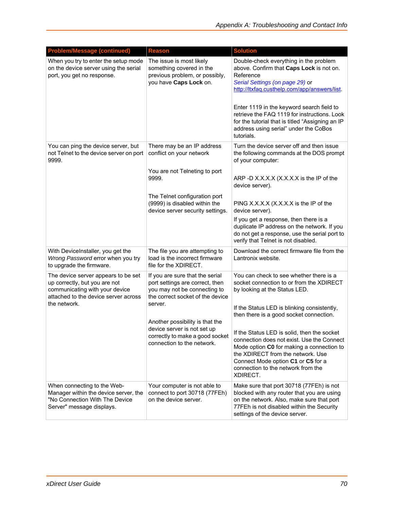| <b>Problem/Message (continued)</b>                                                                                                                             | <b>Reason</b>                                                                                                                                                                                                                                                                        | <b>Solution</b>                                                                                                                                                                                                                                                                                                                                                                                                                                                                                     |
|----------------------------------------------------------------------------------------------------------------------------------------------------------------|--------------------------------------------------------------------------------------------------------------------------------------------------------------------------------------------------------------------------------------------------------------------------------------|-----------------------------------------------------------------------------------------------------------------------------------------------------------------------------------------------------------------------------------------------------------------------------------------------------------------------------------------------------------------------------------------------------------------------------------------------------------------------------------------------------|
| When you try to enter the setup mode<br>on the device server using the serial<br>port, you get no response.                                                    | The issue is most likely<br>something covered in the<br>previous problem, or possibly,<br>you have Caps Lock on.                                                                                                                                                                     | Double-check everything in the problem<br>above. Confirm that Caps Lock is not on.<br>Reference<br>Serial Settings (on page 29) or<br>http://ltxfaq.custhelp.com/app/answers/list<br>Enter 1119 in the keyword search field to<br>retrieve the FAQ 1119 for instructions. Look<br>for the tutorial that is titled "Assigning an IP<br>address using serial" under the CoBos<br>tutorials.                                                                                                           |
| You can ping the device server, but<br>not Telnet to the device server on port<br>9999.                                                                        | There may be an IP address<br>conflict on your network<br>You are not Telneting to port<br>9999.<br>The Telnet configuration port<br>(9999) is disabled within the<br>device server security settings.                                                                               | Turn the device server off and then issue<br>the following commands at the DOS prompt<br>of your computer:<br>ARP -D X.X.X.X (X.X.X.X is the IP of the<br>device server).<br>PING X.X.X.X (X.X.X.X is the IP of the<br>device server).<br>If you get a response, then there is a<br>duplicate IP address on the network. If you<br>do not get a response, use the serial port to<br>verify that Telnet is not disabled.                                                                             |
| With DeviceInstaller, you get the<br>Wrong Password error when you try<br>to upgrade the firmware.                                                             | The file you are attempting to<br>load is the incorrect firmware<br>file for the XDIRECT.                                                                                                                                                                                            | Download the correct firmware file from the<br>Lantronix website.                                                                                                                                                                                                                                                                                                                                                                                                                                   |
| The device server appears to be set<br>up correctly, but you are not<br>communicating with your device<br>attached to the device server across<br>the network. | If you are sure that the serial<br>port settings are correct, then<br>you may not be connecting to<br>the correct socket of the device<br>server.<br>Another possibility is that the<br>device server is not set up<br>correctly to make a good socket<br>connection to the network. | You can check to see whether there is a<br>socket connection to or from the XDIRECT<br>by looking at the Status LED.<br>If the Status LED is blinking consistently,<br>then there is a good socket connection.<br>If the Status LED is solid, then the socket<br>connection does not exist. Use the Connect<br>Mode option <b>C0</b> for making a connection to<br>the XDIRECT from the network. Use<br>Connect Mode option C1 or C5 for a<br>connection to the network from the<br><b>XDIRECT.</b> |
| When connecting to the Web-<br>Manager within the device server, the<br>"No Connection With The Device<br>Server" message displays.                            | Your computer is not able to<br>connect to port 30718 (77FEh)<br>on the device server.                                                                                                                                                                                               | Make sure that port 30718 (77FEh) is not<br>blocked with any router that you are using<br>on the network. Also, make sure that port<br>77FEh is not disabled within the Security<br>settings of the device server.                                                                                                                                                                                                                                                                                  |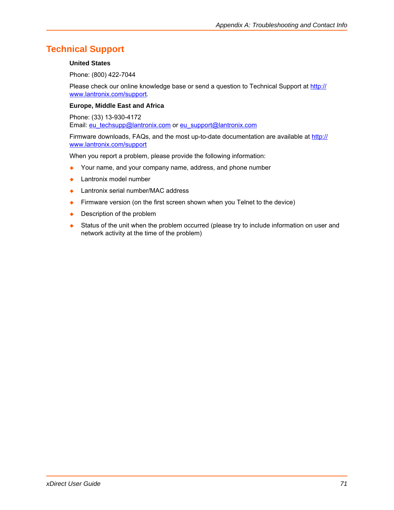## **Technical Support**

#### **United States**

Phone: (800) 422-7044

Please check our online knowledge base or send a question to Technical Support at http:// www.lantronix.com/support.

### **Europe, Middle East and Africa**

Phone: (33) 13-930-4172 Email: eu\_techsupp@lantronix.com or eu\_support@lantronix.com

Firmware downloads, FAQs, and the most up-to-date documentation are available at http:// www.lantronix.com/support

When you report a problem, please provide the following information:

- Your name, and your company name, address, and phone number
- ◆ Lantronix model number
- ◆ Lantronix serial number/MAC address
- Firmware version (on the first screen shown when you Telnet to the device)
- ◆ Description of the problem
- Status of the unit when the problem occurred (please try to include information on user and network activity at the time of the problem)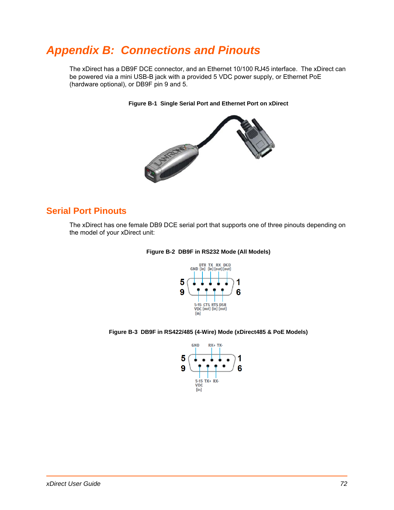## *Appendix B: Connections and Pinouts*

The xDirect has a DB9F DCE connector, and an Ethernet 10/100 RJ45 interface. The xDirect can be powered via a mini USB-B jack with a provided 5 VDC power supply, or Ethernet PoE (hardware optional), or DB9F pin 9 and 5.



#### **Figure B-1 Single Serial Port and Ethernet Port on xDirect**

### **Serial Port Pinouts**

The xDirect has one female DB9 DCE serial port that supports one of three pinouts depending on the model of your xDirect unit:

#### **Figure B-2 DB9F in RS232 Mode (All Models)**



#### **Figure B-3 DB9F in RS422/485 (4-Wire) Mode (xDirect485 & PoE Models)**

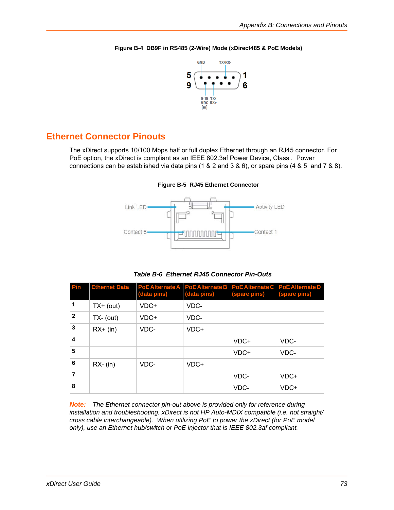### **Figure B-4 DB9F in RS485 (2-Wire) Mode (xDirect485 & PoE Models)**



### **Ethernet Connector Pinouts**

The xDirect supports 10/100 Mbps half or full duplex Ethernet through an RJ45 connector. For PoE option, the xDirect is compliant as an IEEE 802.3af Power Device, Class . Power connections can be established via data pins (1 & 2 and 3 & 6), or spare pins (4 & 5 and 7 & 8).

## **Activity LED** Link LED Contact 8 Contact 1

### **Figure B-5 RJ45 Ethernet Connector**

| <b>Table B-6 Ethernet RJ45 Connector Pin-Outs</b> |  |  |  |  |  |
|---------------------------------------------------|--|--|--|--|--|
|---------------------------------------------------|--|--|--|--|--|

| Pin          | <b>Ethernet Data</b> | (data pins) | (data pins) | PoE Alternate A   PoE Alternate B   PoE Alternate C   PoE Alternate D<br>(spare pins) | (spare pins) |
|--------------|----------------------|-------------|-------------|---------------------------------------------------------------------------------------|--------------|
| 1            | $TX+$ (out)          | VDC+        | VDC-        |                                                                                       |              |
| $\mathbf{2}$ | $TX - (out)$         | VDC+        | VDC-        |                                                                                       |              |
| 3            | $RX+$ (in)           | VDC-        | VDC+        |                                                                                       |              |
| 4            |                      |             |             | VDC+                                                                                  | VDC-         |
| 5            |                      |             |             | VDC+                                                                                  | VDC-         |
| 6            | $RX - (in)$          | VDC-        | VDC+        |                                                                                       |              |
| 7            |                      |             |             | VDC-                                                                                  | VDC+         |
| 8            |                      |             |             | VDC-                                                                                  | VDC+         |

*Note: The Ethernet connector pin-out above is provided only for reference during installation and troubleshooting. xDirect is not HP Auto-MDIX compatible (i.e. not straight/ cross cable interchangeable). When utilizing PoE to power the xDirect (for PoE model only), use an Ethernet hub/switch or PoE injector that is IEEE 802.3af compliant.*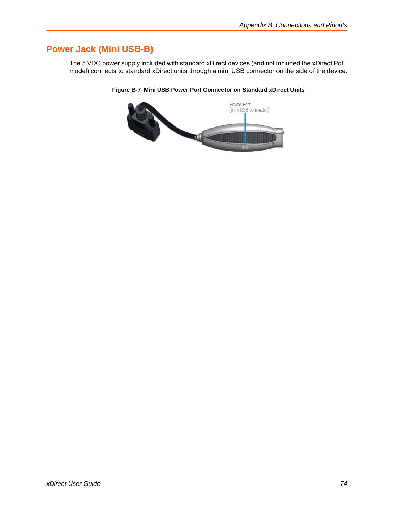## **Power Jack (Mini USB-B)**

The 5 VDC power supply included with standard xDirect devices (and not included the xDirect PoE model) connects to standard xDirect units through a mini USB connector on the side of the device.

**Figure B-7 Mini USB Power Port Connector on Standard xDirect Units**

Power Port (mini USB connector)

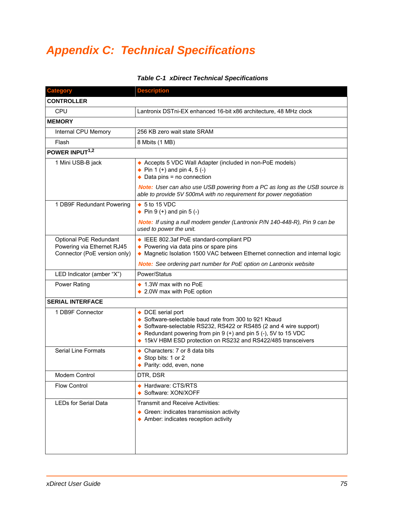# *Appendix C: Technical Specifications*

## *Table C-1 xDirect Technical Specifications*

| <b>Description</b>                                                                                                                                                                                                                                                                 |  |
|------------------------------------------------------------------------------------------------------------------------------------------------------------------------------------------------------------------------------------------------------------------------------------|--|
|                                                                                                                                                                                                                                                                                    |  |
| Lantronix DSTni-EX enhanced 16-bit x86 architecture, 48 MHz clock                                                                                                                                                                                                                  |  |
|                                                                                                                                                                                                                                                                                    |  |
| 256 KB zero wait state SRAM                                                                                                                                                                                                                                                        |  |
| 8 Mbits (1 MB)                                                                                                                                                                                                                                                                     |  |
|                                                                                                                                                                                                                                                                                    |  |
| ◆ Accepts 5 VDC Wall Adapter (included in non-PoE models)<br>• Pin 1 (+) and pin 4, 5 (-)<br>$\bullet$ Data pins = no connection                                                                                                                                                   |  |
| <b>Note:</b> User can also use USB powering from a PC as long as the USB source is<br>able to provide 5V 500mA with no requirement for power negotiation                                                                                                                           |  |
| $\div$ 5 to 15 VDC<br>$\bullet$ Pin 9 (+) and pin 5 (-)                                                                                                                                                                                                                            |  |
| Note: If using a null modem gender (Lantronix P/N 140-448-R), Pin 9 can be<br>used to power the unit.                                                                                                                                                                              |  |
| ● IEEE 802.3af PoE standard-compliant PD<br>◆ Powering via data pins or spare pins<br>◆ Magnetic Isolation 1500 VAC between Ethernet connection and internal logic                                                                                                                 |  |
| <b>Note:</b> See ordering part number for PoE option on Lantronix website                                                                                                                                                                                                          |  |
| Power/Status                                                                                                                                                                                                                                                                       |  |
| ◆ 1.3W max with no PoE<br>◆ 2.0W max with PoE option                                                                                                                                                                                                                               |  |
|                                                                                                                                                                                                                                                                                    |  |
| ◆ DCE serial port<br>◆ Software-selectable baud rate from 300 to 921 Kbaud<br>◆ Software-selectable RS232, RS422 or RS485 (2 and 4 wire support)<br>◆ Redundant powering from pin 9 (+) and pin 5 (-), 5V to 15 VDC<br>15kV HBM ESD protection on RS232 and RS422/485 transceivers |  |
| ← Characters: 7 or 8 data bits<br>Stop bits: 1 or 2<br>Parity: odd, even, none                                                                                                                                                                                                     |  |
| DTR, DSR                                                                                                                                                                                                                                                                           |  |
| ← Hardware: CTS/RTS<br>Software: XON/XOFF                                                                                                                                                                                                                                          |  |
| Transmit and Receive Activities:<br>← Green: indicates transmission activity<br>Amber: indicates reception activity                                                                                                                                                                |  |
|                                                                                                                                                                                                                                                                                    |  |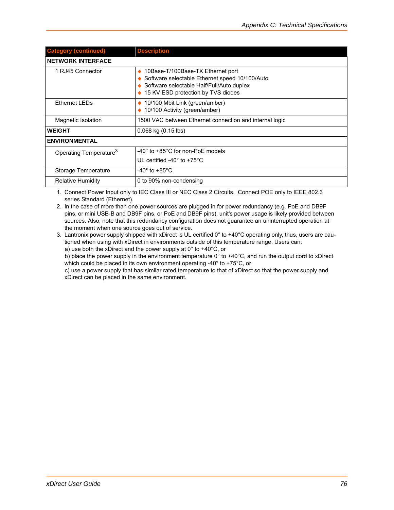| <b>Category (continued)</b>        | <b>Description</b>                                                                                                                                                          |  |
|------------------------------------|-----------------------------------------------------------------------------------------------------------------------------------------------------------------------------|--|
| <b>NETWORK INTERFACE</b>           |                                                                                                                                                                             |  |
| 1 RJ45 Connector                   | 10Base-T/100Base-TX Ethernet port<br>۰<br>Software selectable Ethernet speed 10/100/Auto<br>Software selectable Half/Full/Auto duplex<br>15 KV ESD protection by TVS diodes |  |
| Ethernet LEDs                      | 10/100 Mbit Link (green/amber)<br>10/100 Activity (green/amber)                                                                                                             |  |
| Magnetic Isolation                 | 1500 VAC between Ethernet connection and internal logic                                                                                                                     |  |
| <b>WEIGHT</b>                      | $0.068$ kg $(0.15$ lbs)                                                                                                                                                     |  |
| <b>ENVIRONMENTAL</b>               |                                                                                                                                                                             |  |
| Operating Temperature <sup>3</sup> | -40° to +85°C for non-PoE models<br>UL certified -40 $^{\circ}$ to +75 $^{\circ}$ C                                                                                         |  |
| Storage Temperature                | -40 $^{\circ}$ to +85 $^{\circ}$ C                                                                                                                                          |  |
| Relative Humidity                  | 0 to 90% non-condensing                                                                                                                                                     |  |

1. Connect Power Input only to IEC Class III or NEC Class 2 Circuits. Connect POE only to IEEE 802.3 series Standard (Ethernet).

2. In the case of more than one power sources are plugged in for power redundancy (e.g. PoE and DB9F pins, or mini USB-B and DB9F pins, or PoE and DB9F pins), unit's power usage is likely provided between sources. Also, note that this redundancy configuration does not guarantee an uninterrupted operation at the moment when one source goes out of service.

3. Lantronix power supply shipped with xDirect is UL certified 0° to +40°C operating only, thus, users are cautioned when using with xDirect in environments outside of this temperature range. Users can: a) use both the xDirect and the power supply at 0° to +40°C, or

 b) place the power supply in the environment temperature 0° to +40°C, and run the output cord to xDirect which could be placed in its own environment operating -40° to +75°C, or

 c) use a power supply that has similar rated temperature to that of xDirect so that the power supply and xDirect can be placed in the same environment.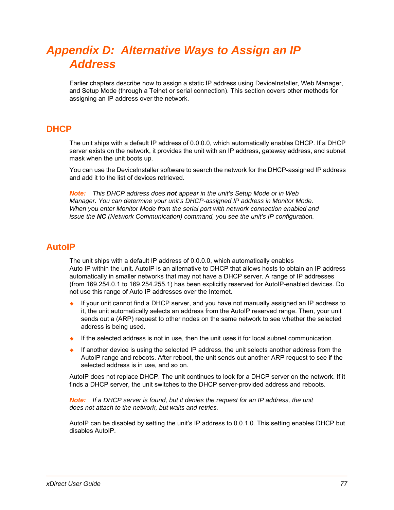## *Appendix D: Alternative Ways to Assign an IP Address*

Earlier chapters describe how to assign a static IP address using DeviceInstaller, Web Manager, and Setup Mode (through a Telnet or serial connection). This section covers other methods for assigning an IP address over the network.

## **DHCP**

The unit ships with a default IP address of 0.0.0.0, which automatically enables DHCP. If a DHCP server exists on the network, it provides the unit with an IP address, gateway address, and subnet mask when the unit boots up.

You can use the DeviceInstaller software to search the network for the DHCP-assigned IP address and add it to the list of devices retrieved.

*Note: This DHCP address does not appear in the unit's Setup Mode or in Web Manager. You can determine your unit's DHCP-assigned IP address in Monitor Mode. When you enter Monitor Mode from the serial port with network connection enabled and issue the NC (Network Communication) command, you see the unit's IP configuration.*

## **AutoIP**

The unit ships with a default IP address of 0.0.0.0, which automatically enables Auto IP within the unit. AutoIP is an alternative to DHCP that allows hosts to obtain an IP address automatically in smaller networks that may not have a DHCP server. A range of IP addresses (from 169.254.0.1 to 169.254.255.1) has been explicitly reserved for AutoIP-enabled devices. Do not use this range of Auto IP addresses over the Internet.

- If your unit cannot find a DHCP server, and you have not manually assigned an IP address to it, the unit automatically selects an address from the AutoIP reserved range. Then, your unit sends out a (ARP) request to other nodes on the same network to see whether the selected address is being used.
- If the selected address is not in use, then the unit uses it for local subnet communication.
- If another device is using the selected IP address, the unit selects another address from the AutoIP range and reboots. After reboot, the unit sends out another ARP request to see if the selected address is in use, and so on.

AutoIP does not replace DHCP. The unit continues to look for a DHCP server on the network. If it finds a DHCP server, the unit switches to the DHCP server-provided address and reboots.

*Note: If a DHCP server is found, but it denies the request for an IP address, the unit does not attach to the network, but waits and retries.* 

AutoIP can be disabled by setting the unit's IP address to 0.0.1.0. This setting enables DHCP but disables AutoIP.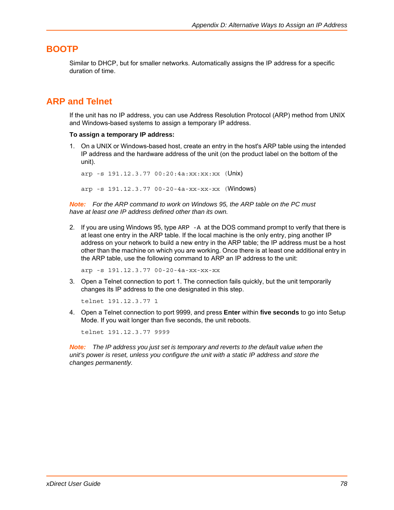## **BOOTP**

Similar to DHCP, but for smaller networks. Automatically assigns the IP address for a specific duration of time.

## **ARP and Telnet**

If the unit has no IP address, you can use Address Resolution Protocol (ARP) method from UNIX and Windows-based systems to assign a temporary IP address.

### **To assign a temporary IP address:**

1. On a UNIX or Windows-based host, create an entry in the host's ARP table using the intended IP address and the hardware address of the unit (on the product label on the bottom of the unit).

```
arp -s 191.12.3.77 00:20:4a:xx:xx:xx (Unix)
arp -s 191.12.3.77 00-20-4a-xx-xx-xx (Windows)
```
*Note: For the ARP command to work on Windows 95, the ARP table on the PC must have at least one IP address defined other than its own.* 

2. If you are using Windows 95, type  $ARP - A$  at the DOS command prompt to verify that there is at least one entry in the ARP table. If the local machine is the only entry, ping another IP address on your network to build a new entry in the ARP table; the IP address must be a host other than the machine on which you are working. Once there is at least one additional entry in the ARP table, use the following command to ARP an IP address to the unit:

arp -s 191.12.3.77 00-20-4a-xx-xx-xx

3. Open a Telnet connection to port 1. The connection fails quickly, but the unit temporarily changes its IP address to the one designated in this step.

telnet 191.12.3.77 1

4. Open a Telnet connection to port 9999, and press **Enter** within **five seconds** to go into Setup Mode. If you wait longer than five seconds, the unit reboots.

telnet 191.12.3.77 9999

*Note: The IP address you just set is temporary and reverts to the default value when the unit's power is reset, unless you configure the unit with a static IP address and store the changes permanently.*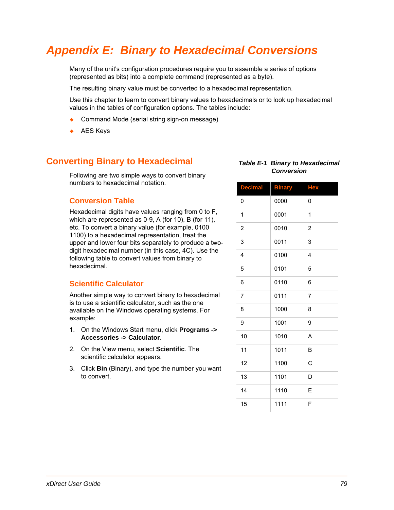## *Appendix E: Binary to Hexadecimal Conversions*

Many of the unit's configuration procedures require you to assemble a series of options (represented as bits) into a complete command (represented as a byte).

The resulting binary value must be converted to a hexadecimal representation.

Use this chapter to learn to convert binary values to hexadecimals or to look up hexadecimal values in the tables of configuration options. The tables include:

- ◆ Command Mode (serial string sign-on message)
- AES Keys

### **Converting Binary to Hexadecimal**

Following are two simple ways to convert binary numbers to hexadecimal notation.

### **Conversion Table**

Hexadecimal digits have values ranging from 0 to F, which are represented as 0-9, A (for 10), B (for 11), etc. To convert a binary value (for example, 0100 1100) to a hexadecimal representation, treat the upper and lower four bits separately to produce a twodigit hexadecimal number (in this case, 4C). Use the following table to convert values from binary to hexadecimal.

### **Scientific Calculator**

Another simple way to convert binary to hexadecimal is to use a scientific calculator, such as the one available on the Windows operating systems. For example:

- 1. On the Windows Start menu, click **Programs -> Accessories -> Calculator**.
- 2. On the View menu, select **Scientific**. The scientific calculator appears.
- 3. Click **Bin** (Binary), and type the number you want to convert.

### *Table E-1 Binary to Hexadecimal Conversion*

| <b>Decimal</b> | <b>Binary</b> | Hex            |
|----------------|---------------|----------------|
| 0              | 0000          | 0              |
| 1              | 0001          | 1              |
| $\overline{c}$ | 0010          | $\overline{c}$ |
| 3              | 0011          | 3              |
| 4              | 0100          | 4              |
| 5              | 0101          | 5              |
| 6              | 0110          | 6              |
| 7              | 0111          | 7              |
| 8              | 1000          | 8              |
| 9              | 1001          | 9              |
| 10             | 1010          | A              |
| 11             | 1011          | B              |
| 12             | 1100          | C              |
| 13             | 1101          | D              |
| 14             | 1110          | Ε              |
| 15             | 1111          | F              |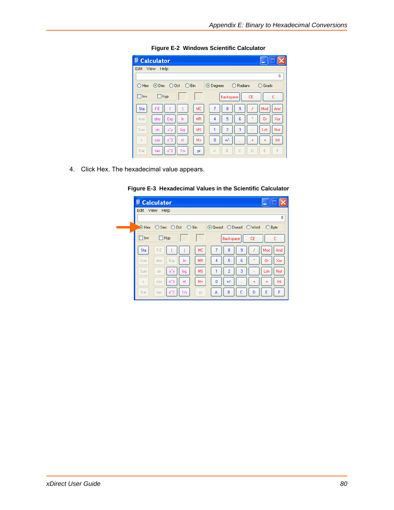**■ Calculator**  $\mathbf{L}$   $\mathbf{I}$ Ι× п Edit View Help  $\overline{0.}$ O Hex @ Dec O Oct O Bin O Degrees  $\bigcirc$  Radians  $\overline{\bigcirc}$  Grads  $\Box$ lnv  $\Box$ Hyp Backspace  $\mathbb{C}\mathsf{E}$ C.  $\rm MC$  $\bar{7}$ Sta  $\bf 8$  $\mathsf g$  $\mathcal I$ Mod And  $\ensuremath{\mathsf{MR}}\xspace$  $\overline{4}$  $\mathbf 5$ 6 Or.  $Xor$ Ave In × MS.  $\mathbf{1}$  $\overline{2}$ 3 Lsh  $\operatorname{\mathsf{Not}}$ Sum  $\mathsf{M}\texttt{+}$  $\mathbf{0}^ \star/\!\!\!\!\cdot$  $\equiv$  $\mathsf{Int}$  $\ddot{\phantom{1}}$  $\mathbb S$ pi Dat  $\mathsf B$ А D E

**Figure E-2 Windows Scientific Calculator**

4. Click Hex. The hexadecimal value appears.

|                    | <b>M</b> Calculator                           |                                              |
|--------------------|-----------------------------------------------|----------------------------------------------|
| Edit               | View<br>Help                                  |                                              |
|                    |                                               | 0                                            |
| Hex<br>๑           | <b>Oct</b><br>Bin<br>Dec $\bigcirc$<br>$\cap$ | O Dword O Word<br>Qword<br>◯ Byte<br>$\odot$ |
| Inv<br>ш           | $\Box$ Hyp                                    | c<br>Backspace<br><b>CE</b>                  |
| Sta                | F-E<br>MC                                     | 7<br>8<br>9<br>And<br>Mod                    |
| Ave                | <b>MR</b><br>Exp<br>dms<br>In.                | 5<br>×<br>6<br>Xor<br>0r<br>4                |
| Sum                | sin<br><b>MS</b><br>хŶу<br>log                | $\overline{2}$<br>3<br>Not<br>Lsh            |
| $\bar{\mathbb{S}}$ | x^З<br>M+<br>n!<br>cos                        | 0<br>$+/-$<br>Int<br>$\ddot{}$<br>$=$<br>٠   |
| Dat                | pi<br>$x^2$<br>1/x<br>tan                     | E<br>F<br>B<br>с<br>Α<br>D                   |

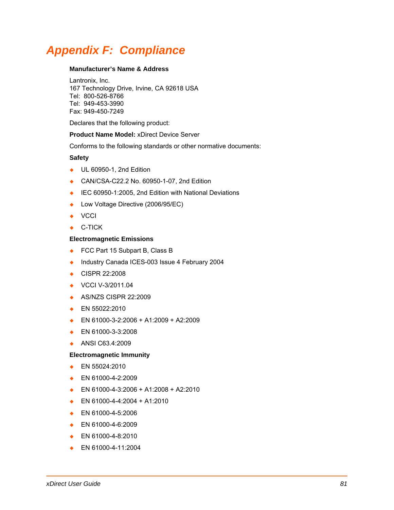## *Appendix F: Compliance*

#### **Manufacturer's Name & Address**

Lantronix, Inc. 167 Technology Drive, Irvine, CA 92618 USA Tel: 800-526-8766 Tel: 949-453-3990 Fax: 949-450-7249

Declares that the following product:

### **Product Name Model:** xDirect Device Server

Conforms to the following standards or other normative documents:

#### **Safety**

- UL 60950-1, 2nd Edition
- ◆ CAN/CSA-C22.2 No. 60950-1-07, 2nd Edition
- ◆ IEC 60950-1:2005, 2nd Edition with National Deviations
- ◆ Low Voltage Directive (2006/95/EC)
- $\bullet$  VCCI
- ◆ C-TICK

### **Electromagnetic Emissions**

- ◆ FCC Part 15 Subpart B, Class B
- ◆ Industry Canada ICES-003 Issue 4 February 2004
- ◆ CISPR 22:2008
- ◆ VCCI V-3/2011.04
- ◆ AS/NZS CISPR 22:2009
- ◆ EN 55022:2010
- $\bullet$  EN 61000-3-2:2006 + A1:2009 + A2:2009
- ◆ EN 61000-3-3:2008
- ◆ ANSI C63.4:2009

#### **Electromagnetic Immunity**

- ◆ EN 55024:2010
- ◆ EN 61000-4-2:2009
- EN 61000-4-3:2006 + A1:2008 + A2:2010
- $\bullet$  EN 61000-4-4:2004 + A1:2010
- ◆ EN 61000-4-5:2006
- EN 61000-4-6:2009
- ◆ EN 61000-4-8:2010
- EN 61000-4-11:2004